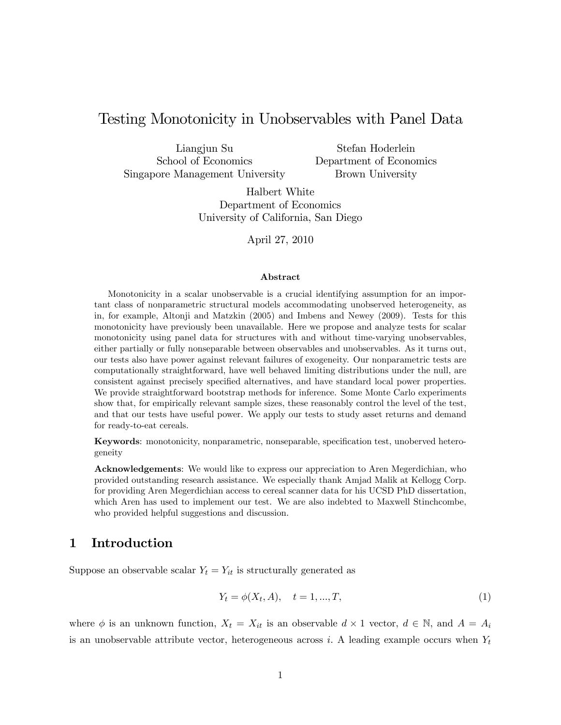# Testing Monotonicity in Unobservables with Panel Data

Liangjun Su School of Economics Singapore Management University

Stefan Hoderlein Department of Economics Brown University

Halbert White Department of Economics University of California, San Diego

April 27, 2010

#### Abstract

Monotonicity in a scalar unobservable is a crucial identifying assumption for an important class of nonparametric structural models accommodating unobserved heterogeneity, as in, for example, Altonji and Matzkin (2005) and Imbens and Newey (2009). Tests for this monotonicity have previously been unavailable. Here we propose and analyze tests for scalar monotonicity using panel data for structures with and without time-varying unobservables, either partially or fully nonseparable between observables and unobservables. As it turns out, our tests also have power against relevant failures of exogeneity. Our nonparametric tests are computationally straightforward, have well behaved limiting distributions under the null, are consistent against precisely specified alternatives, and have standard local power properties. We provide straightforward bootstrap methods for inference. Some Monte Carlo experiments show that, for empirically relevant sample sizes, these reasonably control the level of the test, and that our tests have useful power. We apply our tests to study asset returns and demand for ready-to-eat cereals.

Keywords: monotonicity, nonparametric, nonseparable, specification test, unoberved heterogeneity

Acknowledgements: We would like to express our appreciation to Aren Megerdichian, who provided outstanding research assistance. We especially thank Amjad Malik at Kellogg Corp. for providing Aren Megerdichian access to cereal scanner data for his UCSD PhD dissertation, which Aren has used to implement our test. We are also indebted to Maxwell Stinchcombe, who provided helpful suggestions and discussion.

# 1 Introduction

Suppose an observable scalar  $Y_t = Y_{it}$  is structurally generated as

$$
Y_t = \phi(X_t, A), \quad t = 1, ..., T,
$$
\n(1)

where  $\phi$  is an unknown function,  $X_t = X_{it}$  is an observable  $d \times 1$  vector,  $d \in \mathbb{N}$ , and  $A = A_i$ is an unobservable attribute vector, heterogeneous across i. A leading example occurs when  $Y_t$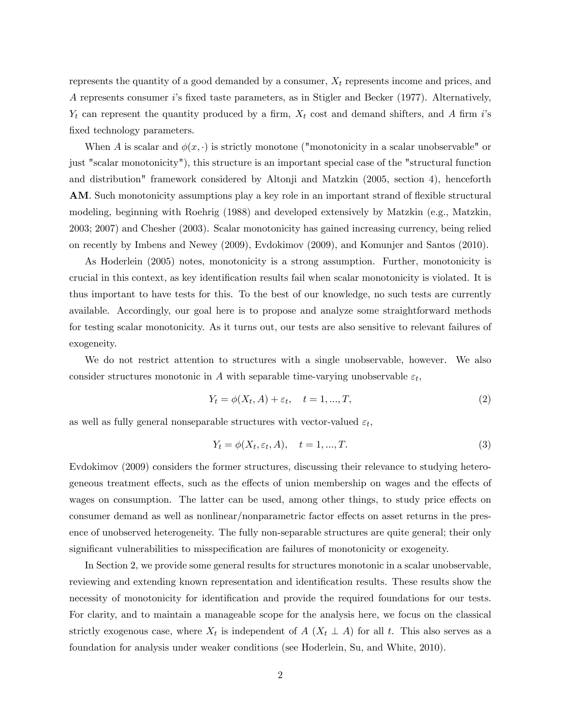represents the quantity of a good demanded by a consumer,  $X_t$  represents income and prices, and A represents consumer is fixed taste parameters, as in Stigler and Becker (1977). Alternatively,  $Y_t$  can represent the quantity produced by a firm,  $X_t$  cost and demand shifters, and A firm is fixed technology parameters.

When A is scalar and  $\phi(x, \cdot)$  is strictly monotone ("monotonicity in a scalar unobservable" or just "scalar monotonicity"), this structure is an important special case of the "structural function and distribution" framework considered by Altonji and Matzkin (2005, section 4), henceforth AM. Such monotonicity assumptions play a key role in an important strand of flexible structural modeling, beginning with Roehrig (1988) and developed extensively by Matzkin (e.g., Matzkin, 2003; 2007) and Chesher (2003). Scalar monotonicity has gained increasing currency, being relied on recently by Imbens and Newey (2009), Evdokimov (2009), and Komunjer and Santos (2010).

As Hoderlein (2005) notes, monotonicity is a strong assumption. Further, monotonicity is crucial in this context, as key identification results fail when scalar monotonicity is violated. It is thus important to have tests for this. To the best of our knowledge, no such tests are currently available. Accordingly, our goal here is to propose and analyze some straightforward methods for testing scalar monotonicity. As it turns out, our tests are also sensitive to relevant failures of exogeneity.

We do not restrict attention to structures with a single unobservable, however. We also consider structures monotonic in A with separable time-varying unobservable  $\varepsilon_t$ ,

$$
Y_t = \phi(X_t, A) + \varepsilon_t, \quad t = 1, \dots, T,\tag{2}
$$

as well as fully general nonseparable structures with vector-valued  $\varepsilon_t,$ 

$$
Y_t = \phi(X_t, \varepsilon_t, A), \quad t = 1, \dots, T. \tag{3}
$$

Evdokimov (2009) considers the former structures, discussing their relevance to studying heterogeneous treatment effects, such as the effects of union membership on wages and the effects of wages on consumption. The latter can be used, among other things, to study price effects on consumer demand as well as nonlinear/nonparametric factor effects on asset returns in the presence of unobserved heterogeneity. The fully non-separable structures are quite general; their only significant vulnerabilities to misspecification are failures of monotonicity or exogeneity.

In Section 2, we provide some general results for structures monotonic in a scalar unobservable, reviewing and extending known representation and identification results. These results show the necessity of monotonicity for identification and provide the required foundations for our tests. For clarity, and to maintain a manageable scope for the analysis here, we focus on the classical strictly exogenous case, where  $X_t$  is independent of  $A(X_t \perp A)$  for all t. This also serves as a foundation for analysis under weaker conditions (see Hoderlein, Su, and White, 2010).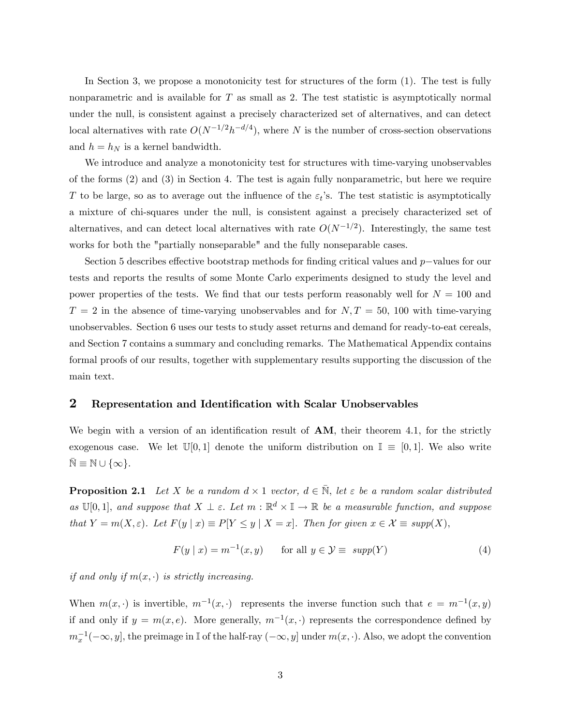In Section 3, we propose a monotonicity test for structures of the form (1). The test is fully nonparametric and is available for  $T$  as small as 2. The test statistic is asymptotically normal under the null, is consistent against a precisely characterized set of alternatives, and can detect local alternatives with rate  $O(N^{-1/2}h^{-d/4})$ , where N is the number of cross-section observations and  $h = h_N$  is a kernel bandwidth.

We introduce and analyze a monotonicity test for structures with time-varying unobservables of the forms (2) and (3) in Section 4. The test is again fully nonparametric, but here we require T to be large, so as to average out the influence of the  $\varepsilon_t$ 's. The test statistic is asymptotically a mixture of chi-squares under the null, is consistent against a precisely characterized set of alternatives, and can detect local alternatives with rate  $O(N^{-1/2})$ . Interestingly, the same test works for both the "partially nonseparable" and the fully nonseparable cases.

Section 5 describes effective bootstrap methods for finding critical values and  $p$ -values for our tests and reports the results of some Monte Carlo experiments designed to study the level and power properties of the tests. We find that our tests perform reasonably well for  $N = 100$  and  $T = 2$  in the absence of time-varying unobservables and for  $N, T = 50, 100$  with time-varying unobservables. Section 6 uses our tests to study asset returns and demand for ready-to-eat cereals, and Section 7 contains a summary and concluding remarks. The Mathematical Appendix contains formal proofs of our results, together with supplementary results supporting the discussion of the main text.

## 2 Representation and Identification with Scalar Unobservables

We begin with a version of an identification result of  $AM$ , their theorem 4.1, for the strictly exogenous case. We let  $\mathbb{U}[0,1]$  denote the uniform distribution on  $\mathbb{I} \equiv [0,1]$ . We also write  $\bar{\mathbb{N}} \equiv \mathbb{N} \cup \{\infty\}.$ 

**Proposition 2.1** Let X be a random  $d \times 1$  vector,  $d \in \overline{N}$ , let  $\varepsilon$  be a random scalar distributed as  $\mathbb{U}[0,1]$ , and suppose that  $X \perp \varepsilon$ . Let  $m : \mathbb{R}^d \times \mathbb{I} \to \mathbb{R}$  be a measurable function, and suppose that  $Y = m(X, \varepsilon)$ . Let  $F(y | x) \equiv P[Y \leq y | X = x]$ . Then for given  $x \in \mathcal{X} \equiv supp(X)$ ,

$$
F(y \mid x) = m^{-1}(x, y) \quad \text{for all } y \in \mathcal{Y} \equiv \text{supp}(Y) \tag{4}
$$

if and only if  $m(x, \cdot)$  is strictly increasing.

When  $m(x, \cdot)$  is invertible,  $m^{-1}(x, \cdot)$  represents the inverse function such that  $e = m^{-1}(x, y)$ if and only if  $y = m(x, e)$ . More generally,  $m^{-1}(x, \cdot)$  represents the correspondence defined by  $m_x^{-1}(-\infty, y]$ , the preimage in I of the half-ray  $(-\infty, y]$  under  $m(x, \cdot)$ . Also, we adopt the convention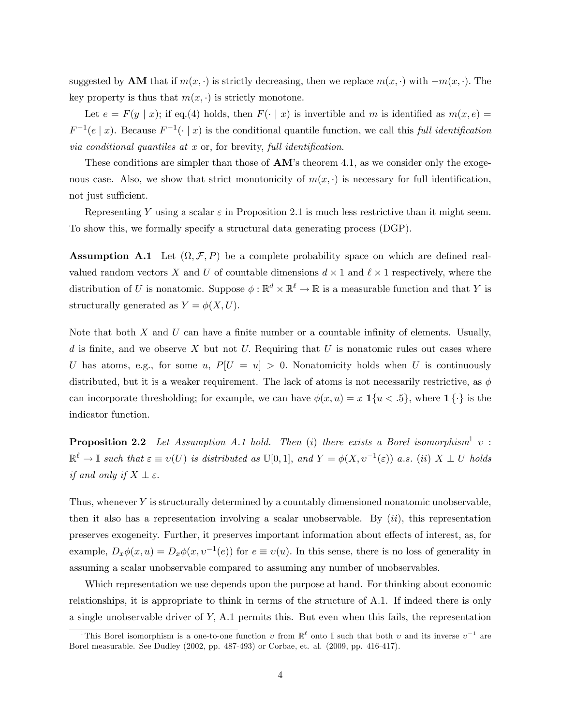suggested by **AM** that if  $m(x, \cdot)$  is strictly decreasing, then we replace  $m(x, \cdot)$  with  $-m(x, \cdot)$ . The key property is thus that  $m(x, \cdot)$  is strictly monotone.

Let  $e = F(y | x)$ ; if eq.(4) holds, then  $F(\cdot | x)$  is invertible and m is identified as  $m(x, e) =$  $F^{-1}(e \mid x)$ . Because  $F^{-1}(\cdot \mid x)$  is the conditional quantile function, we call this full identification via conditional quantiles at  $x$  or, for brevity, full identification.

These conditions are simpler than those of  $AM$ 's theorem 4.1, as we consider only the exogenous case. Also, we show that strict monotonicity of  $m(x, \cdot)$  is necessary for full identification, not just sufficient.

Representing Y using a scalar  $\varepsilon$  in Proposition 2.1 is much less restrictive than it might seem. To show this, we formally specify a structural data generating process (DGP).

**Assumption A.1** Let  $(\Omega, \mathcal{F}, P)$  be a complete probability space on which are defined realvalued random vectors X and U of countable dimensions  $d \times 1$  and  $\ell \times 1$  respectively, where the distribution of U is nonatomic. Suppose  $\phi : \mathbb{R}^d \times \mathbb{R}^\ell \to \mathbb{R}$  is a measurable function and that Y is structurally generated as  $Y = \phi(X, U)$ .

Note that both  $X$  and  $U$  can have a finite number or a countable infinity of elements. Usually, d is finite, and we observe X but not U. Requiring that U is nonatomic rules out cases where U has atoms, e.g., for some u,  $P[U = u] > 0$ . Nonatomicity holds when U is continuously distributed, but it is a weaker requirement. The lack of atoms is not necessarily restrictive, as  $\phi$ can incorporate thresholding; for example, we can have  $\phi(x, u) = x \mathbf{1}\{u \leq 0.5\}$ , where  $\mathbf{1}\{\cdot\}$  is the indicator function.

**Proposition 2.2** Let Assumption A.1 hold. Then (i) there exists a Borel isomorphism<sup>1</sup>  $v$ :  $\mathbb{R}^{\ell} \to \mathbb{I}$  such that  $\varepsilon \equiv v(U)$  is distributed as  $\mathbb{U}[0,1]$ , and  $Y = \phi(X, v^{-1}(\varepsilon))$  a.s. (ii)  $X \perp U$  holds if and only if  $X \perp \varepsilon$ .

Thus, whenever Y is structurally determined by a countably dimensioned nonatomic unobservable, then it also has a representation involving a scalar unobservable. By  $(ii)$ , this representation preserves exogeneity. Further, it preserves important information about effects of interest, as, for example,  $D_x \phi(x, u) = D_x \phi(x, v^{-1}(e))$  for  $e \equiv v(u)$ . In this sense, there is no loss of generality in assuming a scalar unobservable compared to assuming any number of unobservables.

Which representation we use depends upon the purpose at hand. For thinking about economic relationships, it is appropriate to think in terms of the structure of A.1. If indeed there is only a single unobservable driver of Y; A.1 permits this. But even when this fails, the representation

<sup>&</sup>lt;sup>1</sup>This Borel isomorphism is a one-to-one function  $v$  from  $\mathbb{R}^{\ell}$  onto I such that both  $v$  and its inverse  $v^{-1}$  are Borel measurable. See Dudley (2002, pp. 487-493) or Corbae, et. al. (2009, pp. 416-417).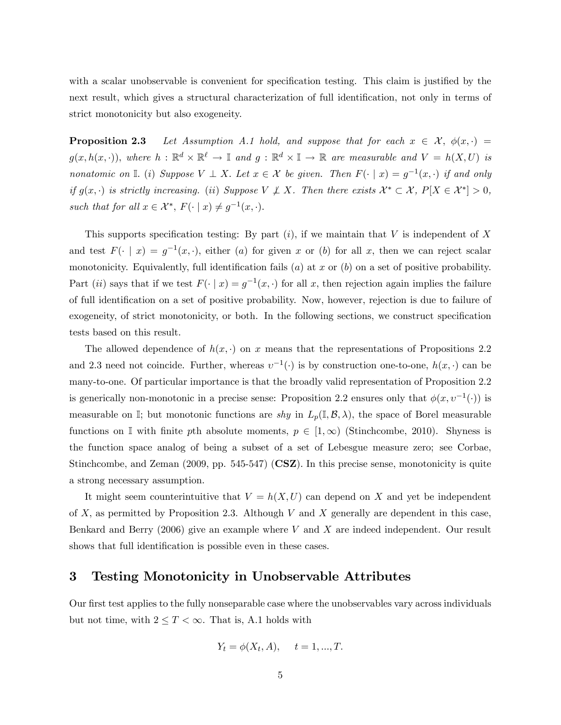with a scalar unobservable is convenient for specification testing. This claim is justified by the next result, which gives a structural characterization of full identification, not only in terms of strict monotonicity but also exogeneity.

**Proposition 2.3** Let Assumption A.1 hold, and suppose that for each  $x \in \mathcal{X}$ ,  $\phi(x, \cdot)$  =  $g(x, h(x, \cdot)),$  where  $h : \mathbb{R}^d \times \mathbb{R}^\ell \to \mathbb{I}$  and  $g : \mathbb{R}^d \times \mathbb{I} \to \mathbb{R}$  are measurable and  $V = h(X, U)$  is nonatomic on  $\mathbb{I}$ . (i) Suppose  $V \perp X$ . Let  $x \in \mathcal{X}$  be given. Then  $F(\cdot | x) = g^{-1}(x, \cdot)$  if and only if  $g(x, \cdot)$  is strictly increasing. (ii) Suppose  $V \not\perp X$ . Then there exists  $\mathcal{X}^* \subset \mathcal{X}$ ,  $P[X \in \mathcal{X}^*] > 0$ , such that for all  $x \in \mathcal{X}^*, F(\cdot \mid x) \neq g^{-1}(x, \cdot).$ 

This supports specification testing: By part  $(i)$ , if we maintain that V is independent of X and test  $F(\cdot | x) = g^{-1}(x, \cdot)$ , either (a) for given x or (b) for all x, then we can reject scalar monotonicity. Equivalently, full identification fails  $(a)$  at x or  $(b)$  on a set of positive probability. Part (*ii*) says that if we test  $F(\cdot | x) = g^{-1}(x, \cdot)$  for all x, then rejection again implies the failure of full identification on a set of positive probability. Now, however, rejection is due to failure of exogeneity, of strict monotonicity, or both. In the following sections, we construct specification tests based on this result.

The allowed dependence of  $h(x, \cdot)$  on x means that the representations of Propositions 2.2 and 2.3 need not coincide. Further, whereas  $v^{-1}(\cdot)$  is by construction one-to-one,  $h(x, \cdot)$  can be many-to-one. Of particular importance is that the broadly valid representation of Proposition 2.2 is generically non-monotonic in a precise sense: Proposition 2.2 ensures only that  $\phi(x, v^{-1}(\cdot))$  is measurable on I; but monotonic functions are shy in  $L_p(\mathbb{I}, \mathcal{B}, \lambda)$ , the space of Borel measurable functions on I with finite pth absolute moments,  $p \in [1,\infty)$  (Stinchcombe, 2010). Shyness is the function space analog of being a subset of a set of Lebesgue measure zero; see Corbae, Stinchcombe, and Zeman (2009, pp. 545-547) (CSZ). In this precise sense, monotonicity is quite a strong necessary assumption.

It might seem counterintuitive that  $V = h(X, U)$  can depend on X and yet be independent of  $X$ , as permitted by Proposition 2.3. Although  $V$  and  $X$  generally are dependent in this case, Benkard and Berry  $(2006)$  give an example where V and X are indeed independent. Our result shows that full identification is possible even in these cases.

## 3 Testing Monotonicity in Unobservable Attributes

Our first test applies to the fully nonseparable case where the unobservables vary across individuals but not time, with  $2 \leq T < \infty$ . That is, A.1 holds with

$$
Y_t = \phi(X_t, A), \quad t = 1, ..., T.
$$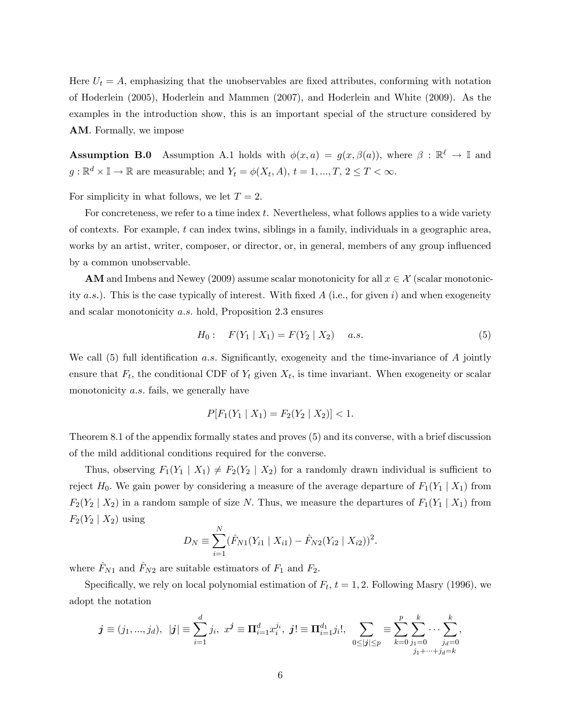Here  $U_t = A$ , emphasizing that the unobservables are fixed attributes, conforming with notation of Hoderlein (2005), Hoderlein and Mammen (2007), and Hoderlein and White (2009). As the examples in the introduction show, this is an important special of the structure considered by AM. Formally, we impose

**Assumption B.0** Assumption A.1 holds with  $\phi(x, a) = g(x, \beta(a))$ , where  $\beta : \mathbb{R}^{\ell} \to \mathbb{I}$  and  $g: \mathbb{R}^d \times \mathbb{I} \to \mathbb{R}$  are measurable; and  $Y_t = \phi(X_t, A), t = 1, ..., T, 2 \leq T < \infty$ .

For simplicity in what follows, we let  $T = 2$ .

For concreteness, we refer to a time index t. Nevertheless, what follows applies to a wide variety of contexts. For example, t can index twins, siblings in a family, individuals in a geographic area, works by an artist, writer, composer, or director, or, in general, members of any group influenced by a common unobservable.

AM and Imbens and Newey (2009) assume scalar monotonicity for all  $x \in \mathcal{X}$  (scalar monotonicity  $(a.s.)$ . This is the case typically of interest. With fixed  $A$  (i.e., for given i) and when exogeneity and scalar monotonicity a.s. hold, Proposition 2.3 ensures

$$
H_0: \quad F(Y_1 \mid X_1) = F(Y_2 \mid X_2) \quad a.s. \tag{5}
$$

We call  $(5)$  full identification a.s. Significantly, exogeneity and the time-invariance of A jointly ensure that  $F_t$ , the conditional CDF of  $Y_t$  given  $X_t$ , is time invariant. When exogeneity or scalar monotonicity  $a.s.$  fails, we generally have

$$
P[F_1(Y_1 | X_1) = F_2(Y_2 | X_2)] < 1.
$$

Theorem 8.1 of the appendix formally states and proves (5) and its converse, with a brief discussion of the mild additional conditions required for the converse.

Thus, observing  $F_1(Y_1 | X_1) \neq F_2(Y_2 | X_2)$  for a randomly drawn individual is sufficient to reject  $H_0$ . We gain power by considering a measure of the average departure of  $F_1(Y_1 | X_1)$  from  $F_2(Y_2 | X_2)$  in a random sample of size N. Thus, we measure the departures of  $F_1(Y_1 | X_1)$  from  $F_2(Y_2 | X_2)$  using

$$
D_N \equiv \sum_{i=1}^N (\hat{F}_{N1}(Y_{i1} \mid X_{i1}) - \hat{F}_{N2}(Y_{i2} \mid X_{i2}))^2.
$$

where  $F_{N1}$  and  $F_{N2}$  are suitable estimators of  $F_1$  and  $F_2$ .

Specifically, we rely on local polynomial estimation of  $F_t$ ,  $t = 1, 2$ . Following Masry (1996), we adopt the notation

$$
j \equiv (j_1, ..., j_d), \ |j| \equiv \sum_{i=1}^d j_i, \ x^j \equiv \Pi_{i=1}^d x_i^{j_i}, \ j! \equiv \Pi_{i=1}^{d_1} j_i!, \ \sum_{0 \leq |j| \leq p} \equiv \sum_{k=0}^p \sum_{\substack{j_1=0 \ j_1+\cdots+j_d=k}}^k \cdots \sum_{j_d=0}^k j_d
$$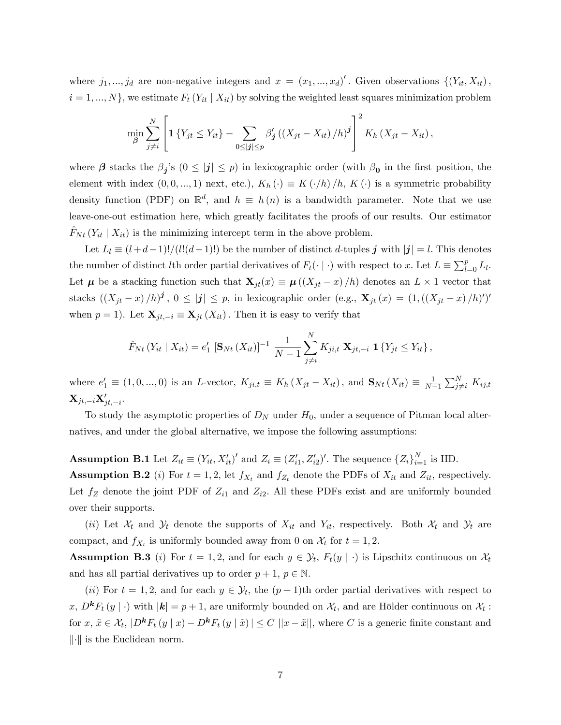where  $j_1, ..., j_d$  are non-negative integers and  $x = (x_1, ..., x_d)'$ . Given observations  $\{(Y_{it}, X_{it})\}$ ,  $i = 1, ..., N$ , we estimate  $F_t(Y_{it} | X_{it})$  by solving the weighted least squares minimization problem

$$
\min_{\beta} \sum_{j \neq i}^{N} \left[ \mathbf{1} \left\{ Y_{jt} \leq Y_{it} \right\} - \sum_{0 \leq |j| \leq p} \beta'_{j} \left( \left( X_{jt} - X_{it} \right) / h \right)^{j} \right]^{2} K_{h} \left( X_{jt} - X_{it} \right),
$$

where  $\beta$  stacks the  $\beta_j$ 's  $(0 \leq |j| \leq p)$  in lexicographic order (with  $\beta_0$  in the first position, the element with index  $(0, 0, ..., 1)$  next, etc.),  $K_h(\cdot) \equiv K(\cdot/h)/h$ ,  $K(\cdot)$  is a symmetric probability density function (PDF) on  $\mathbb{R}^d$ , and  $h \equiv h(n)$  is a bandwidth parameter. Note that we use leave-one-out estimation here, which greatly facilitates the proofs of our results. Our estimator  $F_{N t}$   $(Y_{it} | X_{it})$  is the minimizing intercept term in the above problem.

Let  $L_l \equiv (l+d-1)!/(l!(d-1)!)$  be the number of distinct d-tuples j with  $|j|=l$ . This denotes the number of distinct *l*th order partial derivatives of  $F_t(\cdot | \cdot)$  with respect to x. Let  $L \equiv \sum_{l=0}^{p} L_l$ . Let  $\mu$  be a stacking function such that  $\mathbf{X}_{jt}(x) \equiv \mu((X_{jt} - x)/h)$  denotes an  $L \times 1$  vector that stacks  $((X_{jt} - x)/h)^j$ ,  $0 \leq |j| \leq p$ , in lexicographic order (e.g.,  $\mathbf{X}_{jt}(x) = (1,((X_{jt} - x)/h)')'$ when  $p = 1$ ). Let  $\mathbf{X}_{jt,-i} \equiv \mathbf{X}_{jt} (X_{it})$ . Then it is easy to verify that

$$
\hat{F}_{Nt}(Y_{it} | X_{it}) = e'_1 [\mathbf{S}_{Nt}(X_{it})]^{-1} \frac{1}{N-1} \sum_{j \neq i}^N K_{ji,t} \mathbf{X}_{jt,-i} \mathbf{1}\{Y_{jt} \leq Y_{it}\},
$$

where  $e'_1 \equiv (1, 0, ..., 0)$  is an L-vector,  $K_{ji,t} \equiv K_h (X_{jt} - X_{it})$ , and  $\mathbf{S}_{Nt} (X_{it}) \equiv \frac{1}{N-1}$  $\frac{1}{N-1}\sum_{j\neq i}^N K_{ij,t}$  $\mathbf{X}_{jt,-i}\mathbf{X}_{jt,-i}^{\prime}.$ 

To study the asymptotic properties of  $D<sub>N</sub>$  under  $H<sub>0</sub>$ , under a sequence of Pitman local alternatives, and under the global alternative, we impose the following assumptions:

**Assumption B.1** Let  $Z_{it} \equiv (Y_{it}, X_{it}')'$  and  $Z_i \equiv (Z_{i1}', Z_{i2}')'$ . The sequence  $\{Z_i\}_{i=1}^N$  is IID.

**Assumption B.2** (i) For  $t = 1, 2$ , let  $f_{X_t}$  and  $f_{Z_t}$  denote the PDFs of  $X_{it}$  and  $Z_{it}$ , respectively. Let  $f_Z$  denote the joint PDF of  $Z_{i1}$  and  $Z_{i2}$ . All these PDFs exist and are uniformly bounded over their supports.

(ii) Let  $\mathcal{X}_t$  and  $\mathcal{Y}_t$  denote the supports of  $X_{it}$  and  $Y_{it}$ , respectively. Both  $\mathcal{X}_t$  and  $\mathcal{Y}_t$  are compact, and  $f_{X_t}$  is uniformly bounded away from 0 on  $\mathcal{X}_t$  for  $t = 1, 2$ .

**Assumption B.3** (*i*) For  $t = 1, 2$ , and for each  $y \in \mathcal{Y}_t$ ,  $F_t(y | \cdot)$  is Lipschitz continuous on  $\mathcal{X}_t$ and has all partial derivatives up to order  $p + 1$ ,  $p \in \mathbb{N}$ .

(*ii*) For  $t = 1, 2$ , and for each  $y \in \mathcal{Y}_t$ , the  $(p+1)$ th order partial derivatives with respect to x,  $D^k F_t(y | \cdot)$  with  $|k| = p + 1$ , are uniformly bounded on  $\mathcal{X}_t$ , and are Hölder continuous on  $\mathcal{X}_t$ : for  $x, \tilde{x} \in \mathcal{X}_t$ ,  $|D^k F_t (y | x) - D^k F_t (y | \tilde{x})| \leq C ||x - \tilde{x}||$ , where C is a generic finite constant and  $\|\cdot\|$  is the Euclidean norm.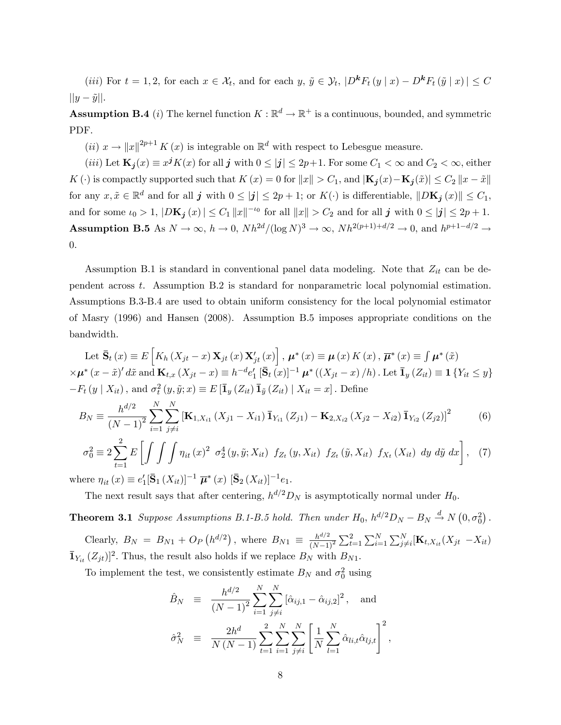(*iii*) For  $t = 1, 2$ , for each  $x \in \mathcal{X}_t$ , and for each  $y, \tilde{y} \in \mathcal{Y}_t$ ,  $|D^k F_t (y | x) - D^k F_t (\tilde{y} | x)| \leq C$  $||y-\tilde{y}||.$ 

**Assumption B.4** (*i*) The kernel function  $K : \mathbb{R}^d \to \mathbb{R}^+$  is a continuous, bounded, and symmetric PDF.

(*ii*)  $x \to ||x||^{2p+1} K(x)$  is integrable on  $\mathbb{R}^d$  with respect to Lebesgue measure.

(*iii*) Let  $\mathbf{K}_{j}(x) \equiv x^{j}K(x)$  for all j with  $0 \leq |j| \leq 2p+1$ . For some  $C_{1} < \infty$  and  $C_{2} < \infty$ , either K (c) is compactly supported such that  $K(x) = 0$  for  $||x|| > C_1$ , and  $|\mathbf{K}_j(x) - \mathbf{K}_j(\tilde{x})| \leq C_2 ||x - \tilde{x}||$ for any  $x, \tilde{x} \in \mathbb{R}^d$  and for all  $j$  with  $0 \leq |j| \leq 2p + 1$ ; or  $K(\cdot)$  is differentiable,  $||D\mathbf{K}_j(x)|| \leq C_1$ , and for some  $\iota_0 > 1$ ,  $|D\mathbf{K}_j(x)| \leq C_1 ||x||^{-\iota_0}$  for all  $||x|| > C_2$  and for all j with  $0 \leq |j| \leq 2p + 1$ . **Assumption B.5** As  $N \to \infty$ ,  $h \to 0$ ,  $Nh^{2d}/(\log N)^3 \to \infty$ ,  $Nh^{2(p+1)+d/2} \to 0$ , and  $h^{p+1-d/2} \to$ 0:

Assumption B.1 is standard in conventional panel data modeling. Note that  $Z_{it}$  can be dependent across t. Assumption B.2 is standard for nonparametric local polynomial estimation. Assumptions B.3-B.4 are used to obtain uniform consistency for the local polynomial estimator of Masry (1996) and Hansen (2008). Assumption B.5 imposes appropriate conditions on the bandwidth.

Let  $\bar{\mathbf{S}}_t(x) \equiv E\left[K_h(X_{jt} - x) \mathbf{X}_{jt}(x) \mathbf{X}_{jt}'(x)\right], \mu^*(x) \equiv \mu(x) K(x), \overline{\mu}^*(x) \equiv \int \mu^*(\tilde{x})$  $\times \mu^* (x - \tilde{x})' d\tilde{x}$  and  $\mathbf{K}_{t,x} (X_{jt} - x) \equiv h^{-d} e'_1 [\bar{\mathbf{S}}_t (\bar{x})]^{-1} \mu^* ((X_{jt} - x)/h)$ . Let  $\bar{\mathbf{I}}_y (Z_{it}) \equiv \mathbf{1} \{ Y_{it} \le y \}$  $-F_t(y | X_{it})$ , and  $\sigma_t^2(y, \tilde{y}; x) \equiv E[\bar{\mathbf{I}}_y(Z_{it}) \bar{\mathbf{I}}_{\tilde{y}}(Z_{it}) | X_{it} = x]$ . Define

$$
B_N \equiv \frac{h^{d/2}}{(N-1)^2} \sum_{i=1}^N \sum_{j \neq i}^N \left[ \mathbf{K}_{1,X_{i1}} \left( X_{j1} - X_{i1} \right) \bar{\mathbf{1}}_{Y_{i1}} \left( Z_{j1} \right) - \mathbf{K}_{2,X_{i2}} \left( X_{j2} - X_{i2} \right) \bar{\mathbf{1}}_{Y_{i2}} \left( Z_{j2} \right) \right]^2 \tag{6}
$$

$$
\sigma_0^2 \equiv 2 \sum_{t=1}^2 E\left[\int \int \int \eta_{it}(x)^2 \ \sigma_2^4(y, \tilde{y}; X_{it}) \ f_{Z_t}(y, X_{it}) \ f_{Z_t}(\tilde{y}, X_{it}) \ f_{X_t}(X_{it}) \ dy \ d\tilde{y} \ dx\right], \tag{7}
$$

where  $\eta_{it}(x) \equiv e'_1 [\bar{S}_1(X_{it})]^{-1} \bar{\mu}^*(x) [\bar{S}_2(X_{it})]^{-1} e_1$ .

The next result says that after centering,  $h^{d/2}D_N$  is asymptotically normal under  $H_0$ .

**Theorem 3.1** Suppose Assumptions B.1-B.5 hold. Then under  $H_0$ ,  $h^{d/2}D_N - B_N \stackrel{d}{\rightarrow} N(0, \sigma_0^2)$ .

Clearly,  $B_N = B_{N1} + O_P(h^{d/2})$ , where  $B_{N1} \equiv \frac{h^{d/2}}{(N-1)!}$  $\overline{(N-1)^2}$  $\sum_{t=1}^{2} \sum_{i=1}^{N} \sum_{j \neq i}^{N} [\mathbf{K}_{t, X_{it}}(X_{jt} - X_{it})]$  $\bar{\mathbf{1}}_{Y_{it}}(Z_{jt})]^2$ . Thus, the result also holds if we replace  $B_N$  with  $B_{N1}$ .

To implement the test, we consistently estimate  $B_N$  and  $\sigma_0^2$  using

$$
\hat{B}_N \equiv \frac{h^{d/2}}{(N-1)^2} \sum_{i=1}^N \sum_{j \neq i}^N [\hat{\alpha}_{ij,1} - \hat{\alpha}_{ij,2}]^2, \text{ and}
$$
  

$$
\hat{\sigma}_N^2 \equiv \frac{2h^d}{N(N-1)} \sum_{t=1}^2 \sum_{i=1}^N \sum_{j \neq i}^N \left[ \frac{1}{N} \sum_{l=1}^N \hat{\alpha}_{li,t} \hat{\alpha}_{lj,t} \right]^2,
$$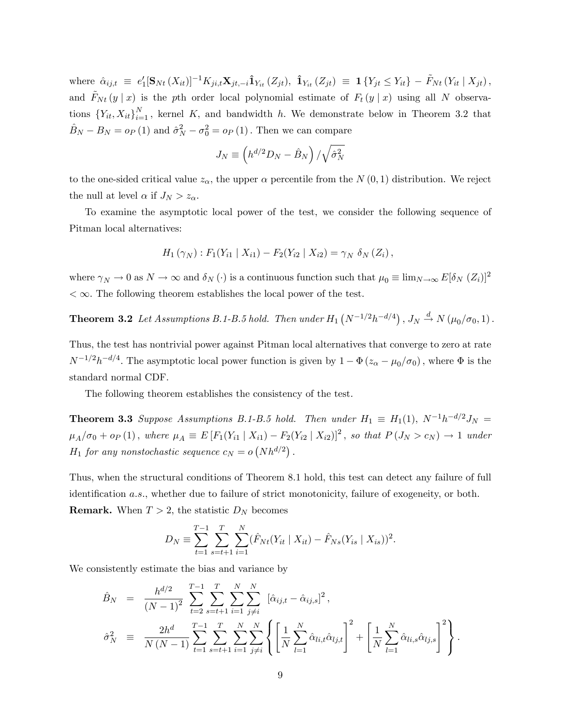where  $\hat{\alpha}_{ij,t} \equiv e'_1 [\mathbf{S}_{Nt} (X_{it})]^{-1} K_{ji,t} \mathbf{X}_{jt,-i} \hat{\mathbf{1}}_{Y_{it}} (Z_{jt}), \ \hat{\mathbf{1}}_{Y_{it}} (Z_{jt}) \equiv \mathbf{1} \{ Y_{jt} \leq Y_{it} \} - \tilde{F}_{Nt} (Y_{it} | X_{jt}),$ and  $\tilde{F}_{N t} (y | x)$  is the pth order local polynomial estimate of  $F_t (y | x)$  using all N observations  ${Y_{it}, X_{it}}_{i=1}^N$ , kernel K, and bandwidth h. We demonstrate below in Theorem 3.2 that  $\hat{B}_N - B_N = o_P (1)$  and  $\hat{\sigma}_N^2 - \sigma_0^2 = o_P (1)$ . Then we can compare

$$
J_N \equiv \left(h^{d/2}D_N - \hat{B}_N\right)/\sqrt{\hat{\sigma}_N^2}
$$

to the one-sided critical value  $z_{\alpha}$ , the upper  $\alpha$  percentile from the  $N(0, 1)$  distribution. We reject the null at level  $\alpha$  if  $J_N > z_{\alpha}$ .

To examine the asymptotic local power of the test, we consider the following sequence of Pitman local alternatives:

$$
H_1(\gamma_N) : F_1(Y_{i1} | X_{i1}) - F_2(Y_{i2} | X_{i2}) = \gamma_N \delta_N(Z_i),
$$

where  $\gamma_N \to 0$  as  $N \to \infty$  and  $\delta_N(\cdot)$  is a continuous function such that  $\mu_0 \equiv \lim_{N \to \infty} E[\delta_N(Z_i)]^2$  $\langle \infty$ . The following theorem establishes the local power of the test.

**Theorem 3.2** Let Assumptions B.1-B.5 hold. Then under  $H_1(N^{-1/2}h^{-d/4})$ ,  $J_N \xrightarrow{d} N(\mu_0/\sigma_0, 1)$ .

Thus, the test has nontrivial power against Pitman local alternatives that converge to zero at rate  $N^{-1/2}h^{-d/4}$ . The asymptotic local power function is given by  $1 - \Phi(z_{\alpha} - \mu_0/\sigma_0)$ , where  $\Phi$  is the standard normal CDF.

The following theorem establishes the consistency of the test.

**Theorem 3.3** Suppose Assumptions B.1-B.5 hold. Then under  $H_1 \equiv H_1(1)$ ,  $N^{-1}h^{-d/2}J_N =$  $\mu_A/\sigma_0 + o_P (1)$ , where  $\mu_A \equiv E[F_1(Y_{i1} | X_{i1}) - F_2(Y_{i2} | X_{i2})]^2$ , so that  $P(J_N > c_N) \to 1$  under  $H_1$  for any nonstochastic sequence  $c_N = o(Nh^{d/2})$ .

Thus, when the structural conditions of Theorem 8.1 hold, this test can detect any failure of full identification a.s., whether due to failure of strict monotonicity, failure of exogeneity, or both. **Remark.** When  $T > 2$ , the statistic  $D<sub>N</sub>$  becomes

$$
D_N \equiv \sum_{t=1}^{T-1} \sum_{s=t+1}^{T} \sum_{i=1}^{N} (\hat{F}_{Nt}(Y_{it} \mid X_{it}) - \hat{F}_{Ns}(Y_{is} \mid X_{is}))^2.
$$

We consistently estimate the bias and variance by

$$
\hat{B}_N = \frac{h^{d/2}}{(N-1)^2} \sum_{t=2}^{T-1} \sum_{s=t+1}^T \sum_{i=1}^N \sum_{j \neq i}^N \left[ \hat{\alpha}_{ij,t} - \hat{\alpha}_{ij,s} \right]^2,
$$
\n
$$
\hat{\sigma}_N^2 = \frac{2h^d}{N(N-1)} \sum_{t=1}^{T-1} \sum_{s=t+1}^T \sum_{i=1}^N \sum_{j \neq i}^N \left\{ \left[ \frac{1}{N} \sum_{l=1}^N \hat{\alpha}_{li,t} \hat{\alpha}_{lj,t} \right]^2 + \left[ \frac{1}{N} \sum_{l=1}^N \hat{\alpha}_{li,s} \hat{\alpha}_{lj,s} \right]^2 \right\}.
$$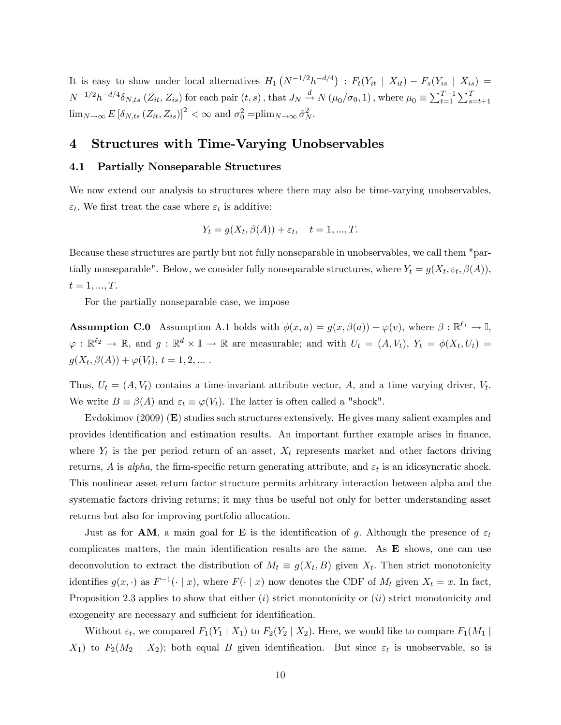It is easy to show under local alternatives  $H_1(N^{-1/2}h^{-d/4})$ :  $F_t(Y_{it} | X_{it}) - F_s(Y_{is} | X_{is}) =$  $N^{-1/2}h^{-d/4}\delta_{N,ts}$   $(Z_{it}, Z_{is})$  for each pair  $(t, s)$ , that  $J_N \stackrel{d}{\rightarrow} N(\mu_0/\sigma_0, 1)$ , where  $\mu_0 \equiv \sum_{t=1}^{T-1} \sum_{s=t+1}^{T}$  $\lim_{N\to\infty} E\left[\delta_{N,ts}\left(Z_{it}, Z_{is}\right)\right]^2 < \infty$  and  $\sigma_0^2 = \text{plim}_{N\to\infty} \hat{\sigma}_N^2$ .

## 4 Structures with Time-Varying Unobservables

### 4.1 Partially Nonseparable Structures

We now extend our analysis to structures where there may also be time-varying unobservables,  $\varepsilon_t$ . We first treat the case where  $\varepsilon_t$  is additive:

$$
Y_t = g(X_t, \beta(A)) + \varepsilon_t, \quad t = 1, ..., T.
$$

Because these structures are partly but not fully nonseparable in unobservables, we call them "partially nonseparable". Below, we consider fully nonseparable structures, where  $Y_t = g(X_t, \varepsilon_t, \beta(A)),$  $t = 1, ..., T.$ 

For the partially nonseparable case, we impose

**Assumption C.0** Assumption A.1 holds with  $\phi(x, u) = g(x, \beta(a)) + \varphi(v)$ , where  $\beta : \mathbb{R}^{\ell_1} \to \mathbb{I}$ ,  $\varphi : \mathbb{R}^{\ell_2} \to \mathbb{R}$ , and  $g : \mathbb{R}^d \times \mathbb{I} \to \mathbb{R}$  are measurable; and with  $U_t = (A, V_t)$ ,  $Y_t = \phi(X_t, U_t) =$  $g(X_t, \beta(A)) + \varphi(V_t), t = 1, 2, ...$ 

Thus,  $U_t = (A, V_t)$  contains a time-invariant attribute vector, A, and a time varying driver,  $V_t$ . We write  $B \equiv \beta(A)$  and  $\varepsilon_t \equiv \varphi(V_t)$ . The latter is often called a "shock".

Evdokimov (2009) (E) studies such structures extensively. He gives many salient examples and provides identification and estimation results. An important further example arises in finance, where  $Y_t$  is the per period return of an asset,  $X_t$  represents market and other factors driving returns, A is alpha, the firm-specific return generating attribute, and  $\varepsilon_t$  is an idiosyncratic shock. This nonlinear asset return factor structure permits arbitrary interaction between alpha and the systematic factors driving returns; it may thus be useful not only for better understanding asset returns but also for improving portfolio allocation.

Just as for **AM**, a main goal for **E** is the identification of g. Although the presence of  $\varepsilon_t$ complicates matters, the main identification results are the same. As  $\bf{E}$  shows, one can use deconvolution to extract the distribution of  $M_t \equiv g(X_t, B)$  given  $X_t$ . Then strict monotonicity identifies  $g(x, \cdot)$  as  $F^{-1}(\cdot | x)$ , where  $F(\cdot | x)$  now denotes the CDF of  $M_t$  given  $X_t = x$ . In fact, Proposition 2.3 applies to show that either  $(i)$  strict monotonicity or  $(ii)$  strict monotonicity and exogeneity are necessary and sufficient for identification.

Without  $\varepsilon_t$ , we compared  $F_1(Y_1 | X_1)$  to  $F_2(Y_2 | X_2)$ . Here, we would like to compare  $F_1(M_1 | X_2)$  $X_1$ ) to  $F_2(M_2 \mid X_2)$ ; both equal B given identification. But since  $\varepsilon_t$  is unobservable, so is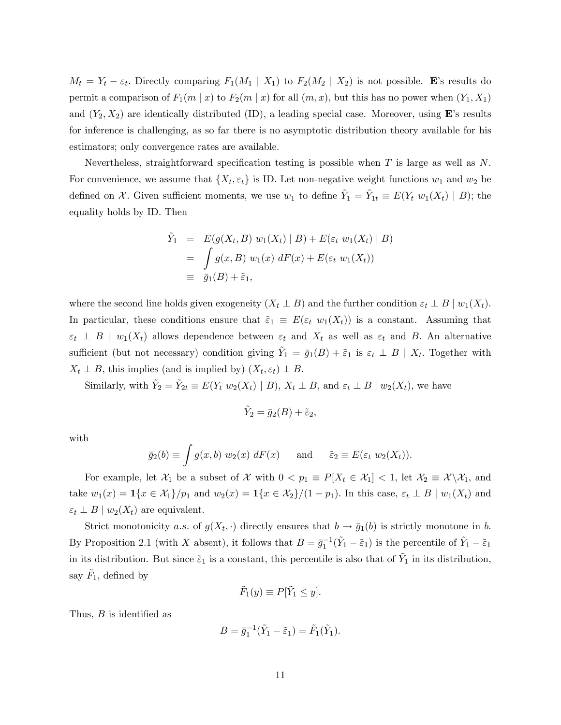$M_t = Y_t - \varepsilon_t$ . Directly comparing  $F_1(M_1 | X_1)$  to  $F_2(M_2 | X_2)$  is not possible. E's results do permit a comparison of  $F_1(m \mid x)$  to  $F_2(m \mid x)$  for all  $(m, x)$ , but this has no power when  $(Y_1, X_1)$ and  $(Y_2, X_2)$  are identically distributed (ID), a leading special case. Moreover, using **E**'s results for inference is challenging, as so far there is no asymptotic distribution theory available for his estimators; only convergence rates are available.

Nevertheless, straightforward specification testing is possible when  $T$  is large as well as  $N$ . For convenience, we assume that  $\{X_t, \varepsilon_t\}$  is ID. Let non-negative weight functions  $w_1$  and  $w_2$  be defined on X. Given sufficient moments, we use  $w_1$  to define  $\tilde{Y}_1 = \tilde{Y}_{1t} \equiv E(Y_t \ w_1(X_t) | B)$ ; the equality holds by ID. Then

$$
\tilde{Y}_1 = E(g(X_t, B) w_1(X_t) | B) + E(\varepsilon_t w_1(X_t) | B)
$$
\n
$$
= \int g(x, B) w_1(x) dF(x) + E(\varepsilon_t w_1(X_t))
$$
\n
$$
\equiv \bar{g}_1(B) + \tilde{\varepsilon}_1,
$$

where the second line holds given exogeneity  $(X_t \perp B)$  and the further condition  $\varepsilon_t \perp B \mid w_1(X_t)$ . In particular, these conditions ensure that  $\tilde{\varepsilon}_1 \equiv E(\varepsilon_t w_1(X_t))$  is a constant. Assuming that  $\varepsilon_t \perp B \mid w_1(X_t)$  allows dependence between  $\varepsilon_t$  and  $X_t$  as well as  $\varepsilon_t$  and B. An alternative sufficient (but not necessary) condition giving  $\tilde{Y}_1 = \bar{g}_1(B) + \tilde{\varepsilon}_1$  is  $\varepsilon_t \perp B \mid X_t$ . Together with  $X_t \perp B$ , this implies (and is implied by)  $(X_t, \varepsilon_t) \perp B$ .

Similarly, with  $\tilde{Y}_2 = \tilde{Y}_{2t} \equiv E(Y_t \ w_2(X_t) \mid B)$ ,  $X_t \perp B$ , and  $\varepsilon_t \perp B \mid w_2(X_t)$ , we have

$$
\tilde{Y}_2 = \bar{g}_2(B) + \tilde{\varepsilon}_2,
$$

with

$$
\bar{g}_2(b) \equiv \int g(x, b) w_2(x) dF(x)
$$
 and  $\tilde{\varepsilon}_2 \equiv E(\varepsilon_t w_2(X_t)).$ 

For example, let  $\mathcal{X}_1$  be a subset of  $\mathcal X$  with  $0 < p_1 \equiv P[X_t \in \mathcal{X}_1] < 1$ , let  $\mathcal{X}_2 \equiv \mathcal{X} \setminus \mathcal{X}_1$ , and take  $w_1(x) = \mathbf{1}\{x \in \mathcal{X}_1\}/p_1$  and  $w_2(x) = \mathbf{1}\{x \in \mathcal{X}_2\}/(1 - p_1)$ . In this case,  $\varepsilon_t \perp B \mid w_1(X_t)$  and  $\varepsilon_t \perp B \mid w_2(X_t)$  are equivalent.

Strict monotonicity a.s. of  $g(X_t, \cdot)$  directly ensures that  $b \to \bar{g}_1(b)$  is strictly monotone in b. By Proposition 2.1 (with X absent), it follows that  $B = \bar{g}_1^{-1}(\tilde{Y}_1 - \tilde{\varepsilon}_1)$  is the percentile of  $\tilde{Y}_1 - \tilde{\varepsilon}_1$ in its distribution. But since  $\tilde{\varepsilon}_1$  is a constant, this percentile is also that of  $\tilde{Y}_1$  in its distribution, say  $\tilde{F}_1$ , defined by

$$
\tilde{F}_1(y) \equiv P[\tilde{Y}_1 \le y].
$$

Thus,  $B$  is identified as

$$
B = \bar{g}_1^{-1}(\tilde{Y}_1 - \tilde{\varepsilon}_1) = \tilde{F}_1(\tilde{Y}_1).
$$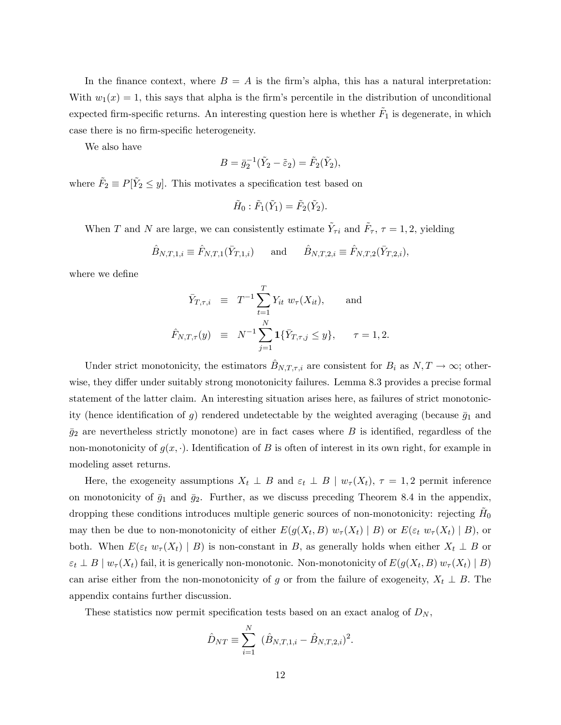In the finance context, where  $B = A$  is the firm's alpha, this has a natural interpretation: With  $w_1(x) = 1$ , this says that alpha is the firm's percentile in the distribution of unconditional expected firm-specific returns. An interesting question here is whether  $\tilde{F}_1$  is degenerate, in which case there is no firm-specific heterogeneity.

We also have

$$
B = \bar{g}_2^{-1}(\tilde{Y}_2 - \tilde{\varepsilon}_2) = \tilde{F}_2(\tilde{Y}_2),
$$

where  $\tilde{F}_2 \equiv P[\tilde{Y}_2 \le y]$ . This motivates a specification test based on

$$
\tilde{H}_0: \tilde{F}_1(\tilde{Y}_1)=\tilde{F}_2(\tilde{Y}_2).
$$

When T and N are large, we can consistently estimate  $\tilde{Y}_{\tau i}$  and  $\tilde{F}_{\tau}$ ,  $\tau = 1, 2$ , yielding

$$
\hat{B}_{N,T,1,i} \equiv \hat{F}_{N,T,1}(\bar{Y}_{T,1,i})
$$
 and  $\hat{B}_{N,T,2,i} \equiv \hat{F}_{N,T,2}(\bar{Y}_{T,2,i}),$ 

where we define

$$
\begin{array}{rcl}\n\bar{Y}_{T,\tau,i} & \equiv & T^{-1} \sum_{t=1}^{T} Y_{it} \ w_{\tau}(X_{it}), \qquad \text{and} \\
\hat{F}_{N,T,\tau}(y) & \equiv & N^{-1} \sum_{j=1}^{N} \mathbf{1} \{ \bar{Y}_{T,\tau,j} \le y \}, \qquad \tau = 1,2.\n\end{array}
$$

Under strict monotonicity, the estimators  $\hat{B}_{N,T,\tau,i}$  are consistent for  $B_i$  as  $N, T \to \infty$ ; otherwise, they differ under suitably strong monotonicity failures. Lemma 8.3 provides a precise formal statement of the latter claim. An interesting situation arises here, as failures of strict monotonicity (hence identification of g) rendered undetectable by the weighted averaging (because  $\bar{g}_1$  and  $\bar{g}_2$  are nevertheless strictly monotone) are in fact cases where B is identified, regardless of the non-monotonicity of  $g(x, \cdot)$ . Identification of B is often of interest in its own right, for example in modeling asset returns.

Here, the exogeneity assumptions  $X_t \perp B$  and  $\varepsilon_t \perp B \mid w_\tau(X_t)$ ,  $\tau = 1, 2$  permit inference on monotonicity of  $\bar{g}_1$  and  $\bar{g}_2$ . Further, as we discuss preceding Theorem 8.4 in the appendix, dropping these conditions introduces multiple generic sources of non-monotonicity: rejecting  $H_0$ may then be due to non-monotonicity of either  $E(g(X_t, B) w_\tau(X_t) | B)$  or  $E(\varepsilon_t w_\tau(X_t) | B)$ , or both. When  $E(\varepsilon_t w_\tau(X_t) | B)$  is non-constant in B, as generally holds when either  $X_t \perp B$  or  $\varepsilon_t \perp B \mid w_\tau(X_t)$  fail, it is generically non-monotonic. Non-monotonicity of  $E(g(X_t, B) w_\tau(X_t) \mid B)$ can arise either from the non-monotonicity of g or from the failure of exogeneity,  $X_t \perp B$ . The appendix contains further discussion.

These statistics now permit specification tests based on an exact analog of  $D_N$ ,

$$
\hat{D}_{NT} \equiv \sum_{i=1}^{N} (\hat{B}_{N,T,1,i} - \hat{B}_{N,T,2,i})^2.
$$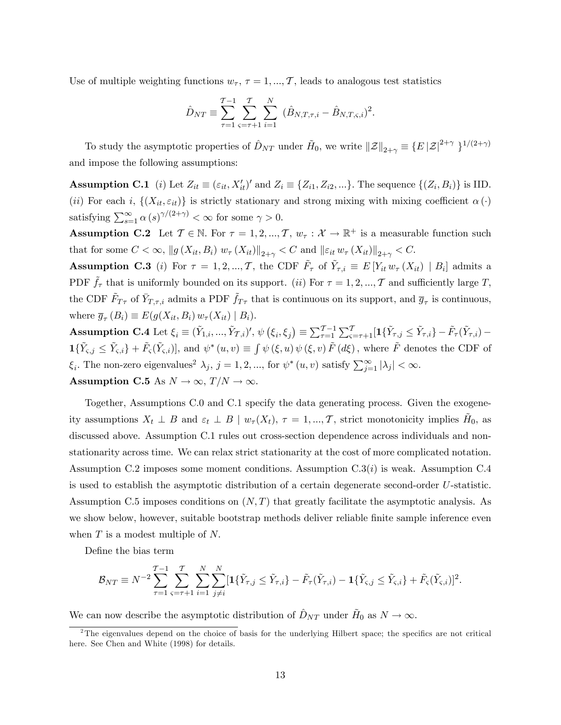Use of multiple weighting functions  $w_{\tau}$ ,  $\tau = 1, ..., T$ , leads to analogous test statistics

$$
\hat{D}_{NT} \equiv \sum_{\tau=1}^{T-1} \sum_{\varsigma=\tau+1}^{T} \sum_{i=1}^{N} (\hat{B}_{N,T,\tau,i} - \hat{B}_{N,T,\varsigma,i})^2.
$$

To study the asymptotic properties of  $\hat{D}_{NT}$  under  $\tilde{H}_0$ , we write  $||\mathcal{Z}||_{2+\gamma} \equiv \{E |Z|^{2+\gamma} \}^{1/(2+\gamma)}$ and impose the following assumptions:

**Assumption C.1** (*i*) Let  $Z_{it} \equiv (\varepsilon_{it}, X'_{it})'$  and  $Z_i \equiv \{Z_{i1}, Z_{i2}, ...\}$ . The sequence  $\{(Z_i, B_i)\}$  is IID. (ii) For each i,  $\{(X_{it}, \varepsilon_{it})\}$  is strictly stationary and strong mixing with mixing coefficient  $\alpha(\cdot)$ satisfying  $\sum_{s=1}^{\infty} \alpha(s)^{\gamma/(2+\gamma)} < \infty$  for some  $\gamma > 0$ .

**Assumption C.2** Let  $\mathcal{T} \in \mathbb{N}$ . For  $\tau = 1, 2, ..., \mathcal{T}$ ,  $w_{\tau} : \mathcal{X} \to \mathbb{R}^+$  is a measurable function such that for some  $C < \infty$ ,  $||g(X_{it}, B_i) w_\tau(X_{it})||_{2+\gamma} < C$  and  $||\varepsilon_{it} w_\tau(X_{it})||_{2+\gamma} < C$ .

**Assumption C.3** (*i*) For  $\tau = 1, 2, ..., T$ , the CDF  $\tilde{F}_{\tau}$  of  $\tilde{Y}_{\tau,i} \equiv E[Y_{it} w_{\tau}(X_{it}) | B_i]$  admits a PDF  $\tilde{f}_{\tau}$  that is uniformly bounded on its support. (ii) For  $\tau = 1, 2, ..., \mathcal{T}$  and sufficiently large T, the CDF  $\tilde{F}_{T,\tau}$  of  $\bar{Y}_{T,\tau,i}$  admits a PDF  $\tilde{f}_{T\tau}$  that is continuous on its support, and  $\bar{g}_{\tau}$  is continuous, where  $\overline{g}_{\tau}(B_i) \equiv E(g(X_{it}, B_i) w_{\tau}(X_{it}) | B_i)$ .

Assumption C.4 Let  $\xi_i \equiv (\tilde{Y}_{1,i},...,\tilde{Y}_{\mathcal{T},i})', \psi(\xi_i,\xi_j) \equiv \sum_{\tau=1}^{\mathcal{T}-1} \sum_{\varsigma=\tau+1}^{\mathcal{T}} [1\{\tilde{Y}_{\tau,j} \leq \tilde{Y}_{\tau,i}\} - \tilde{F}_{\tau}(\tilde{Y}_{\tau,i}) \mathbf{1}\{\tilde{Y}_{\varsigma,j} \leq \tilde{Y}_{\varsigma,i}\} + \tilde{F}_{\varsigma}(\tilde{Y}_{\varsigma,i})$ , and  $\psi^*(u,v) \equiv \int \psi(\xi,u) \psi(\xi,v) \tilde{F}(d\xi)$ , where  $\tilde{F}$  denotes the CDF of  $\xi_i$ . The non-zero eigenvalues<sup>2</sup>  $\lambda_j$ ,  $j = 1, 2, ...,$  for  $\psi^*(u, v)$  satisfy  $\sum_{j=1}^{\infty} |\lambda_j| < \infty$ . Assumption C.5 As  $N \to \infty$ ,  $T/N \to \infty$ .

Together, Assumptions C.0 and C.1 specify the data generating process. Given the exogeneity assumptions  $X_t \perp B$  and  $\varepsilon_t \perp B \mid w_\tau(X_t)$ ,  $\tau = 1, ..., T$ , strict monotonicity implies  $H_0$ , as discussed above. Assumption C.1 rules out cross-section dependence across individuals and nonstationarity across time. We can relax strict stationarity at the cost of more complicated notation. Assumption C.2 imposes some moment conditions. Assumption  $C.3(i)$  is weak. Assumption C.4 is used to establish the asymptotic distribution of a certain degenerate second-order U-statistic. Assumption C.5 imposes conditions on  $(N, T)$  that greatly facilitate the asymptotic analysis. As we show below, however, suitable bootstrap methods deliver reliable finite sample inference even when  $T$  is a modest multiple of  $N$ .

Define the bias term

$$
\mathcal{B}_{NT} \equiv N^{-2} \sum_{\tau=1}^{\tau-1} \sum_{\varsigma=\tau+1}^{\tau} \sum_{i=1}^N \sum_{j \neq i}^N [ \mathbf{1} \{ \tilde{Y}_{\tau,j} \leq \tilde{Y}_{\tau,i} \} - \tilde{F}_{\tau}(\tilde{Y}_{\tau,i}) - \mathbf{1} \{ \tilde{Y}_{\varsigma,j} \leq \tilde{Y}_{\varsigma,i} \} + \tilde{F}_{\varsigma}(\tilde{Y}_{\varsigma,i}) ]^2.
$$

We can now describe the asymptotic distribution of  $\hat{D}_{NT}$  under  $\tilde{H}_0$  as  $N \to \infty$ .

<sup>&</sup>lt;sup>2</sup>The eigenvalues depend on the choice of basis for the underlying Hilbert space; the specifics are not critical here. See Chen and White (1998) for details.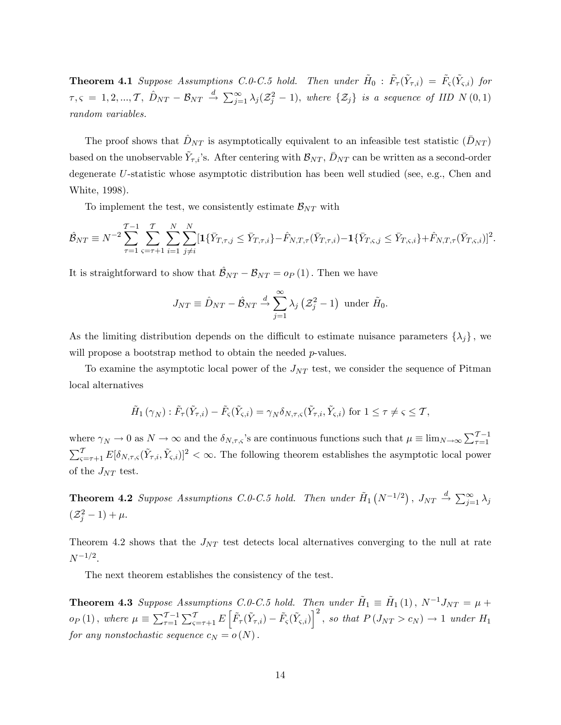**Theorem 4.1** Suppose Assumptions C.O-C.5 hold. Then under  $\tilde{H}_0$  :  $\tilde{F}_{\tau}(\tilde{Y}_{\tau,i}) = \tilde{F}_{\varsigma}(\tilde{Y}_{\varsigma,i})$  for  $\tau, \varsigma ~=~ 1, 2, ..., T, \; \hat{D}_{NT} - \mathcal{B}_{NT} \; \stackrel{d}{\to} \; \sum_{j=1}^{\infty} \lambda_j (\mathcal{Z}_j^2 - 1), \; where \; \{\mathcal{Z}_j\} \; \; is \; a \; \; sequence \; \; of \; \Pi\!D \; \; N \; (0,1)$ random variables.

The proof shows that  $\hat{D}_{NT}$  is asymptotically equivalent to an infeasible test statistic  $(\bar{D}_{NT})$ based on the unobservable  $\tilde{Y}_{\tau,i}$ 's. After centering with  $\mathcal{B}_{NT}$ ,  $\bar{D}_{NT}$  can be written as a second-order degenerate U-statistic whose asymptotic distribution has been well studied (see, e.g., Chen and White, 1998).

To implement the test, we consistently estimate  $\mathcal{B}_{NT}$  with

$$
\hat{\mathcal{B}}_{NT} \equiv N^{-2} \sum_{\tau=1}^{T-1} \sum_{\varsigma=\tau+1}^{T} \sum_{i=1}^{N} \sum_{j \neq i}^{N} [\mathbf{1} \{ \bar{Y}_{T,\tau,j} \leq \bar{Y}_{T,\tau,i} \} - \hat{F}_{N,T,\tau}(\bar{Y}_{T,\tau,i}) - \mathbf{1} \{ \bar{Y}_{T,\varsigma,j} \leq \bar{Y}_{T,\varsigma,i} \} + \hat{F}_{N,T,\tau}(\bar{Y}_{T,\varsigma,i})]^2.
$$

It is straightforward to show that  $\mathcal{B}_{NT} - \mathcal{B}_{NT} = o_P (1)$ . Then we have

$$
J_{NT} \equiv \hat{D}_{NT} - \hat{\mathcal{B}}_{NT} \stackrel{d}{\rightarrow} \sum_{j=1}^{\infty} \lambda_j \left( \mathcal{Z}_j^2 - 1 \right) \text{ under } \tilde{H}_0.
$$

As the limiting distribution depends on the difficult to estimate nuisance parameters  $\{\lambda_j\}$ , we will propose a bootstrap method to obtain the needed *p*-values.

To examine the asymptotic local power of the  $J_{NT}$  test, we consider the sequence of Pitman local alternatives

$$
\tilde{H}_1(\gamma_N): \tilde{F}_{\tau}(\tilde{Y}_{\tau,i}) - \tilde{F}_{\varsigma}(\tilde{Y}_{\varsigma,i}) = \gamma_N \delta_{N,\tau,\varsigma}(\tilde{Y}_{\tau,i}, \tilde{Y}_{\varsigma,i}) \text{ for } 1 \le \tau \ne \varsigma \le \mathcal{T},
$$

where  $\gamma_N \to 0$  as  $N \to \infty$  and the  $\delta_{N,\tau,s}$ 's are continuous functions such that  $\mu \equiv \lim_{N \to \infty} \sum_{\tau=1}^{T-1}$  $\sum_{\varsigma=\tau+1}^{\mathcal{T}} E[\delta_{N,\tau,\varsigma}(\tilde{Y}_{\tau,i},\tilde{Y}_{\varsigma,i})]^2 < \infty$ . The following theorem establishes the asymptotic local power of the  $J_{\cal NT}$  test.

**Theorem 4.2** Suppose Assumptions C.O-C.5 hold. Then under  $H_1(N^{-1/2})$ ,  $J_{NT} \stackrel{d}{\rightarrow} \sum_{j=1}^{\infty} \lambda_j$  $(\mathcal{Z}_{j}^{2} - 1) + \mu.$ 

Theorem 4.2 shows that the  $J_{NT}$  test detects local alternatives converging to the null at rate  $N^{-1/2}$ .

The next theorem establishes the consistency of the test.

**Theorem 4.3** Suppose Assumptions C.O-C.5 hold. Then under  $\tilde{H}_1 \equiv \tilde{H}_1(1)$ ,  $N^{-1}J_{NT} = \mu +$  $o_P(1)$ , where  $\mu \equiv \sum_{\tau=1}^{T-1} \sum_{\varsigma=\tau+1}^{T} E\left[\tilde{F}_{\tau}(\tilde{Y}_{\tau,i}) - \tilde{F}_{\varsigma}(\tilde{Y}_{\varsigma,i})\right]^2$ , so that  $P(J_{NT} > c_N) \to 1$  under  $H_1$ for any nonstochastic sequence  $c_N = o(N)$ .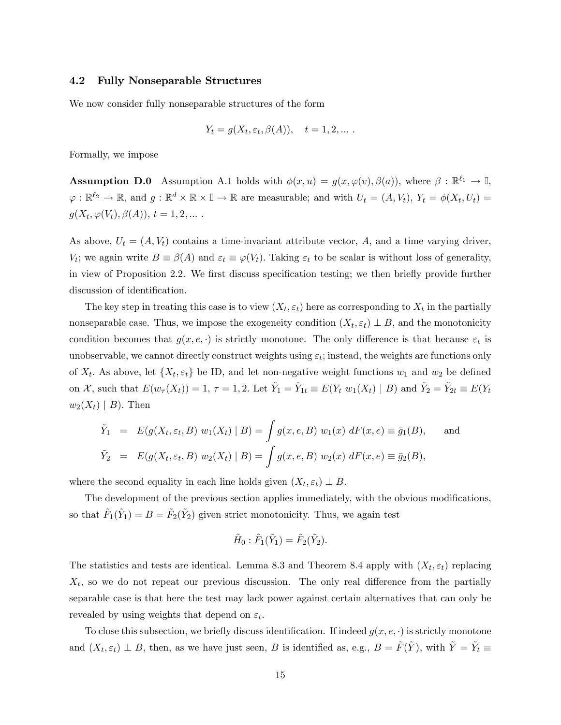### 4.2 Fully Nonseparable Structures

We now consider fully nonseparable structures of the form

$$
Y_t = g(X_t, \varepsilon_t, \beta(A)), \quad t = 1, 2, \dots.
$$

Formally, we impose

**Assumption D.0** Assumption A.1 holds with  $\phi(x, u) = g(x, \varphi(v), \beta(a))$ , where  $\beta : \mathbb{R}^{\ell_1} \to \mathbb{I}$ ,  $\varphi: \mathbb{R}^{\ell_2} \to \mathbb{R}$ , and  $g: \mathbb{R}^d \times \mathbb{R} \times \mathbb{I} \to \mathbb{R}$  are measurable; and with  $U_t = (A, V_t)$ ,  $Y_t = \phi(X_t, U_t) =$  $g(X_t, \varphi(V_t), \beta(A)), t = 1, 2, ...$ 

As above,  $U_t = (A, V_t)$  contains a time-invariant attribute vector, A, and a time varying driver,  $V_t$ ; we again write  $B \equiv \beta(A)$  and  $\varepsilon_t \equiv \varphi(V_t)$ . Taking  $\varepsilon_t$  to be scalar is without loss of generality, in view of Proposition 2.2. We first discuss specification testing; we then briefly provide further discussion of identification.

The key step in treating this case is to view  $(X_t, \varepsilon_t)$  here as corresponding to  $X_t$  in the partially nonseparable case. Thus, we impose the exogeneity condition  $(X_t, \varepsilon_t) \perp B$ , and the monotonicity condition becomes that  $g(x, e, \cdot)$  is strictly monotone. The only difference is that because  $\varepsilon_t$  is unobservable, we cannot directly construct weights using  $\varepsilon_t$ ; instead, the weights are functions only of  $X_t$ . As above, let  $\{X_t, \varepsilon_t\}$  be ID, and let non-negative weight functions  $w_1$  and  $w_2$  be defined on X, such that  $E(w_{\tau}(X_t)) = 1$ ,  $\tau = 1, 2$ . Let  $\tilde{Y}_1 = \tilde{Y}_{1t} \equiv E(Y_t \ w_1(X_t) | B)$  and  $\tilde{Y}_2 = \tilde{Y}_{2t} \equiv E(Y_t \ w_2(Y_t) | B)$  $w_2(X_t) \mid B$ . Then

$$
\tilde{Y}_1 = E(g(X_t, \varepsilon_t, B) w_1(X_t) | B) = \int g(x, e, B) w_1(x) dF(x, e) \equiv \bar{g}_1(B),
$$
 and  
\n $\tilde{Y}_2 = E(g(X_t, \varepsilon_t, B) w_2(X_t) | B) = \int g(x, e, B) w_2(x) dF(x, e) \equiv \bar{g}_2(B),$ 

where the second equality in each line holds given  $(X_t, \varepsilon_t) \perp B$ .

The development of the previous section applies immediately, with the obvious modifications, so that  $\tilde{F}_1(\tilde{Y}_1) = B = \tilde{F}_2(\tilde{Y}_2)$  given strict monotonicity. Thus, we again test

$$
\tilde{H}_0: \tilde{F}_1(\tilde{Y}_1)=\tilde{F}_2(\tilde{Y}_2).
$$

The statistics and tests are identical. Lemma 8.3 and Theorem 8.4 apply with  $(X_t, \varepsilon_t)$  replacing  $X_t$ , so we do not repeat our previous discussion. The only real difference from the partially separable case is that here the test may lack power against certain alternatives that can only be revealed by using weights that depend on  $\varepsilon_t$ .

To close this subsection, we briefly discuss identification. If indeed  $g(x, e, \cdot)$  is strictly monotone and  $(X_t, \varepsilon_t) \perp B$ , then, as we have just seen, B is identified as, e.g.,  $B = \tilde{F}(\tilde{Y})$ , with  $\tilde{Y} = \tilde{Y}_t \equiv$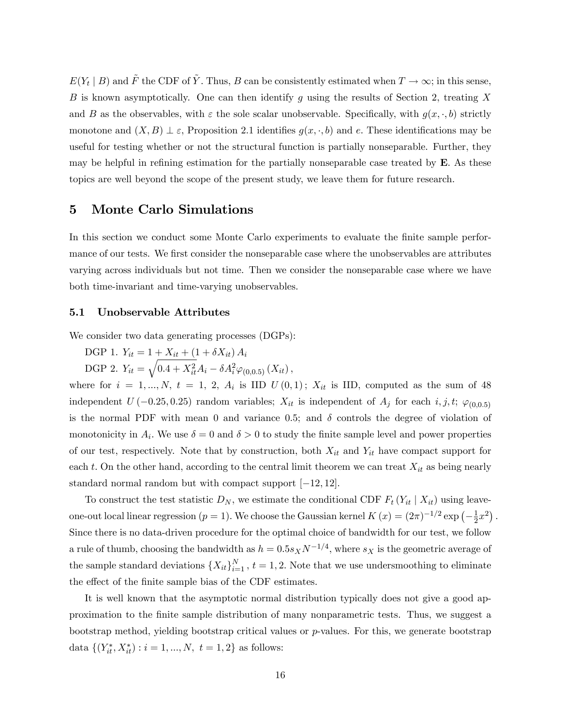$E(Y_t | B)$  and  $\tilde{F}$  the CDF of  $\tilde{Y}$ . Thus, B can be consistently estimated when  $T \to \infty$ ; in this sense, B is known asymptotically. One can then identify g using the results of Section 2, treating X and B as the observables, with  $\varepsilon$  the sole scalar unobservable. Specifically, with  $g(x, \cdot, b)$  strictly monotone and  $(X, B) \perp \varepsilon$ , Proposition 2.1 identifies  $g(x, \cdot, b)$  and e. These identifications may be useful for testing whether or not the structural function is partially nonseparable. Further, they may be helpful in refining estimation for the partially nonseparable case treated by  $\bf{E}$ . As these topics are well beyond the scope of the present study, we leave them for future research.

# 5 Monte Carlo Simulations

In this section we conduct some Monte Carlo experiments to evaluate the finite sample performance of our tests. We first consider the nonseparable case where the unobservables are attributes varying across individuals but not time. Then we consider the nonseparable case where we have both time-invariant and time-varying unobservables.

## 5.1 Unobservable Attributes

We consider two data generating processes (DGPs):

DGP 1.  $Y_{it} = 1 + X_{it} + (1 + \delta X_{it}) A_i$ 

DGP 2.  $Y_{it} = \sqrt{0.4 + X_{it}^2} A_i - \delta A_i^2 \varphi_{(0,0.5)}(X_{it}),$ 

where for  $i = 1, ..., N$ ,  $t = 1, 2, A_i$  is IID  $U(0,1)$ ;  $X_{it}$  is IID, computed as the sum of 48 independent  $U(-0.25, 0.25)$  random variables;  $X_{it}$  is independent of  $A_j$  for each  $i, j, t; \varphi_{(0,0.5)}$ is the normal PDF with mean 0 and variance 0.5; and  $\delta$  controls the degree of violation of monotonicity in  $A_i$ . We use  $\delta = 0$  and  $\delta > 0$  to study the finite sample level and power properties of our test, respectively. Note that by construction, both  $X_{it}$  and  $Y_{it}$  have compact support for each t. On the other hand, according to the central limit theorem we can treat  $X_{it}$  as being nearly standard normal random but with compact support  $[-12, 12]$ .

To construct the test statistic  $D_N$ , we estimate the conditional CDF  $F_t(Y_{it} | X_{it})$  using leaveone-out local linear regression ( $p = 1$ ). We choose the Gaussian kernel  $K(x) = (2\pi)^{-1/2} \exp(-\frac{1}{2})$  $(\frac{1}{2}x^2)$ . Since there is no data-driven procedure for the optimal choice of bandwidth for our test, we follow a rule of thumb, choosing the bandwidth as  $h = 0.5s_X N^{-1/4}$ , where  $s_X$  is the geometric average of the sample standard deviations  $\{X_{it}\}_{i=1}^N$ ,  $t=1,2$ . Note that we use undersmoothing to eliminate the effect of the finite sample bias of the CDF estimates.

It is well known that the asymptotic normal distribution typically does not give a good approximation to the Önite sample distribution of many nonparametric tests. Thus, we suggest a bootstrap method, yielding bootstrap critical values or  $p$ -values. For this, we generate bootstrap data  $\{(Y_{it}^*, X_{it}^*) : i = 1, ..., N, t = 1, 2\}$  as follows: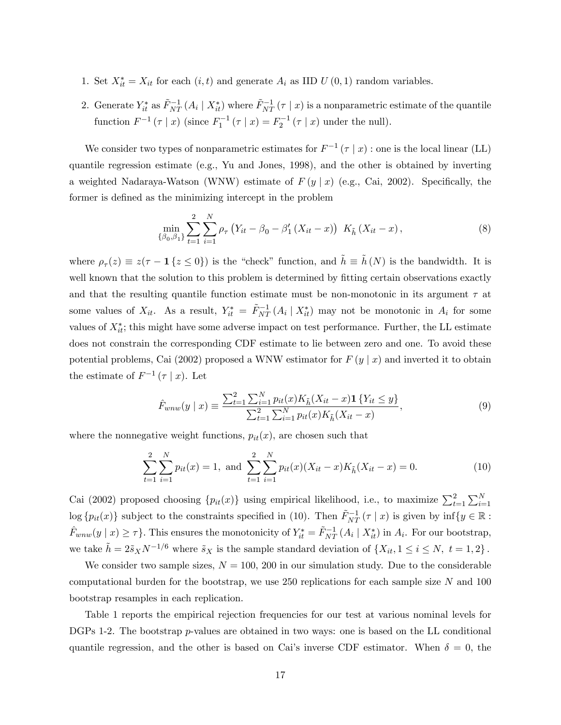- 1. Set  $X_{it}^* = X_{it}$  for each  $(i, t)$  and generate  $A_i$  as IID  $U(0, 1)$  random variables.
- 2. Generate  $Y_{it}^*$  as  $\tilde{F}_{NT}^{-1}(A_i | X_{it}^*)$  where  $\tilde{F}_{NT}^{-1}(\tau | x)$  is a nonparametric estimate of the quantile function  $F^{-1}(\tau | x)$  (since  $F_1^{-1}(\tau | x) = F_2^{-1}(\tau | x)$  under the null).

We consider two types of nonparametric estimates for  $F^{-1}(\tau | x)$  : one is the local linear (LL) quantile regression estimate (e.g., Yu and Jones, 1998), and the other is obtained by inverting a weighted Nadaraya-Watson (WNW) estimate of  $F(y|x)$  (e.g., Cai, 2002). Specifically, the former is defined as the minimizing intercept in the problem

$$
\min_{\{\beta_0, \beta_1\}} \sum_{t=1}^2 \sum_{i=1}^N \rho_\tau \left( Y_{it} - \beta_0 - \beta_1' \left( X_{it} - x \right) \right) \ K_{\tilde{h}} \left( X_{it} - x \right), \tag{8}
$$

where  $\rho_{\tau}(z) \equiv z(\tau - 1\{z \le 0\})$  is the "check" function, and  $\tilde{h} \equiv \tilde{h}(N)$  is the bandwidth. It is well known that the solution to this problem is determined by fitting certain observations exactly and that the resulting quantile function estimate must be non-monotonic in its argument  $\tau$  at some values of  $X_{it}$ . As a result,  $Y_{it}^* = \tilde{F}_{NT}^{-1}(A_i | X_{it}^*)$  may not be monotonic in  $A_i$  for some values of  $X_{it}^*$ ; this might have some adverse impact on test performance. Further, the LL estimate does not constrain the corresponding CDF estimate to lie between zero and one. To avoid these potential problems, Cai (2002) proposed a WNW estimator for  $F(y | x)$  and inverted it to obtain the estimate of  $F^{-1}(\tau | x)$ . Let

$$
\hat{F}_{wnw}(y \mid x) \equiv \frac{\sum_{t=1}^{2} \sum_{i=1}^{N} p_{it}(x) K_{\tilde{h}}(X_{it} - x) \mathbf{1}\{Y_{it} \le y\}}{\sum_{t=1}^{2} \sum_{i=1}^{N} p_{it}(x) K_{\tilde{h}}(X_{it} - x)},\tag{9}
$$

where the nonnegative weight functions,  $p_{it}(x)$ , are chosen such that

$$
\sum_{t=1}^{2} \sum_{i=1}^{N} p_{it}(x) = 1, \text{ and } \sum_{t=1}^{2} \sum_{i=1}^{N} p_{it}(x) (X_{it} - x) K_{\tilde{h}}(X_{it} - x) = 0.
$$
 (10)

Cai (2002) proposed choosing  $\{p_{it}(x)\}\$  using empirical likelihood, i.e., to maximize  $\sum_{t=1}^{2} \sum_{i=1}^{N}$  $\log\{p_{it}(x)\}\$  subject to the constraints specified in (10). Then  $\tilde{F}_{NT}^{-1}(\tau | x)$  is given by  $\inf\{y \in \mathbb{R} :$  $\hat{F}_{wnw}(y \mid x) \geq \tau$ . This ensures the monotonicity of  $Y_{it}^* = \tilde{F}_{NT}^{-1}(A_i \mid X_{it}^*)$  in  $A_i$ . For our bootstrap, we take  $\tilde{h} = 2\tilde{s}_X N^{-1/6}$  where  $\tilde{s}_X$  is the sample standard deviation of  $\{X_{it}, 1 \le i \le N, t = 1, 2\}$ .

We consider two sample sizes,  $N = 100, 200$  in our simulation study. Due to the considerable computational burden for the bootstrap, we use 250 replications for each sample size N and 100 bootstrap resamples in each replication.

Table 1 reports the empirical rejection frequencies for our test at various nominal levels for DGPs 1-2. The bootstrap *p*-values are obtained in two ways: one is based on the LL conditional quantile regression, and the other is based on Cai's inverse CDF estimator. When  $\delta = 0$ , the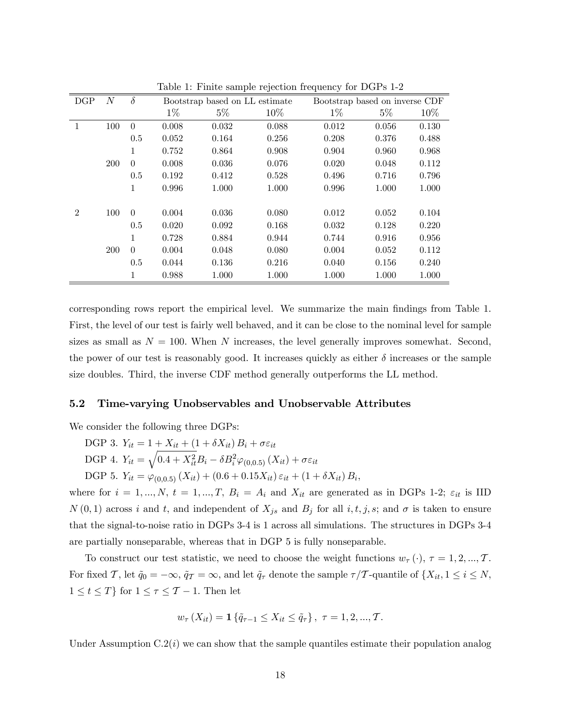|                |            |          | -r-- - -,, - - ---- -- - - - - -- - - ., |                                |        |                                |       |        |  |  |  |  |
|----------------|------------|----------|------------------------------------------|--------------------------------|--------|--------------------------------|-------|--------|--|--|--|--|
| DGP            | $\cal N$   | $\delta$ |                                          | Bootstrap based on LL estimate |        | Bootstrap based on inverse CDF |       |        |  |  |  |  |
|                |            |          | $1\%$                                    | $5\%$                          | $10\%$ | $1\%$                          | $5\%$ | $10\%$ |  |  |  |  |
|                | 100        | $\Omega$ | 0.008                                    | 0.032                          | 0.088  | 0.012                          | 0.056 | 0.130  |  |  |  |  |
|                |            | 0.5      | 0.052                                    | 0.164                          | 0.256  | 0.208                          | 0.376 | 0.488  |  |  |  |  |
|                |            | 1        | 0.752                                    | 0.864                          | 0.908  | 0.904                          | 0.960 | 0.968  |  |  |  |  |
|                | <b>200</b> | $\theta$ | 0.008                                    | 0.036                          | 0.076  | 0.020                          | 0.048 | 0.112  |  |  |  |  |
|                |            | 0.5      | 0.192                                    | 0.412                          | 0.528  | 0.496                          | 0.716 | 0.796  |  |  |  |  |
|                |            | 1        | 0.996                                    | 1.000                          | 1.000  | 0.996                          | 1.000 | 1.000  |  |  |  |  |
| $\overline{2}$ | 100        | $\Omega$ | 0.004                                    | 0.036                          | 0.080  | 0.012                          | 0.052 | 0.104  |  |  |  |  |
|                |            | 0.5      | 0.020                                    | 0.092                          | 0.168  | 0.032                          | 0.128 | 0.220  |  |  |  |  |
|                |            | 1        | 0.728                                    | 0.884                          | 0.944  | 0.744                          | 0.916 | 0.956  |  |  |  |  |
|                | <b>200</b> | $\Omega$ | 0.004                                    | 0.048                          | 0.080  | 0.004                          | 0.052 | 0.112  |  |  |  |  |
|                |            | 0.5      | 0.044                                    | 0.136                          | 0.216  | 0.040                          | 0.156 | 0.240  |  |  |  |  |
|                |            | 1        | 0.988                                    | 1.000                          | 1.000  | 1.000                          | 1.000 | 1.000  |  |  |  |  |

Table 1: Finite sample rejection frequency for DGPs 1-2

corresponding rows report the empirical level. We summarize the main Öndings from Table 1. First, the level of our test is fairly well behaved, and it can be close to the nominal level for sample sizes as small as  $N = 100$ . When N increases, the level generally improves somewhat. Second, the power of our test is reasonably good. It increases quickly as either  $\delta$  increases or the sample size doubles. Third, the inverse CDF method generally outperforms the LL method.

### 5.2 Time-varying Unobservables and Unobservable Attributes

We consider the following three DGPs:

DGP 3.  $Y_{it} = 1 + X_{it} + (1 + \delta X_{it}) B_i + \sigma \varepsilon_{it}$ DGP 4.  $Y_{it} = \sqrt{0.4 + X_{it}^2} B_i - \delta B_i^2 \varphi_{(0,0.5)}(X_{it}) + \sigma \varepsilon_{it}$ DGP 5.  $Y_{it} = \varphi_{(0,0.5)}(X_{it}) + (0.6 + 0.15X_{it})\varepsilon_{it} + (1 + \delta X_{it})B_i,$ 

where for  $i = 1, ..., N$ ,  $t = 1, ..., T$ ,  $B_i = A_i$  and  $X_{it}$  are generated as in DGPs 1-2;  $\varepsilon_{it}$  is IID  $N(0,1)$  across i and t, and independent of  $X_{js}$  and  $B_j$  for all i, t, j, s; and  $\sigma$  is taken to ensure that the signal-to-noise ratio in DGPs 3-4 is 1 across all simulations. The structures in DGPs 3-4 are partially nonseparable, whereas that in DGP 5 is fully nonseparable.

To construct our test statistic, we need to choose the weight functions  $w_{\tau}(\cdot), \tau = 1, 2, ..., \mathcal{T}$ . For fixed T, let  $\tilde{q}_0 = -\infty$ ,  $\tilde{q}_{\mathcal{T}} = \infty$ , and let  $\tilde{q}_{\tau}$  denote the sample  $\tau/T$ -quantile of  $\{X_{it}, 1 \le i \le N,$  $1 \leq t \leq T$  for  $1 \leq \tau \leq T-1$ . Then let

$$
w_{\tau}(X_{it}) = \mathbf{1}\{\tilde{q}_{\tau-1} \leq X_{it} \leq \tilde{q}_{\tau}\}, \tau = 1, 2, ..., T.
$$

Under Assumption  $C.2(i)$  we can show that the sample quantiles estimate their population analog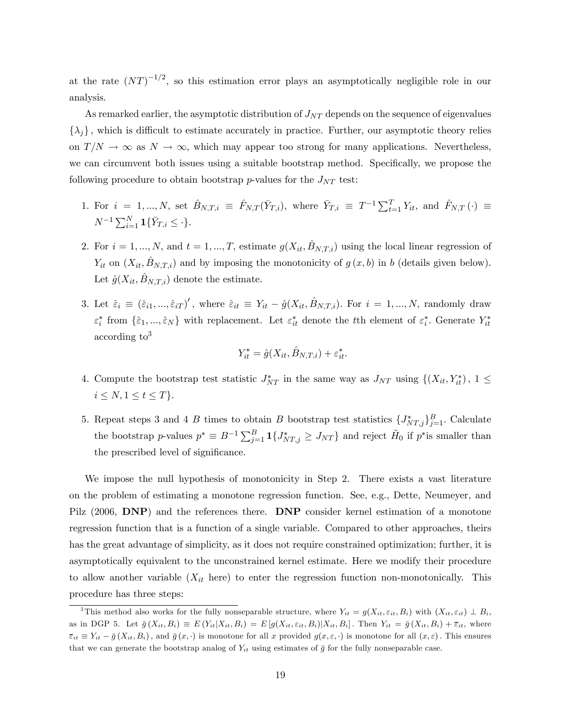at the rate  $(NT)^{-1/2}$ , so this estimation error plays an asymptotically negligible role in our analysis.

As remarked earlier, the asymptotic distribution of  $J_{NT}$  depends on the sequence of eigenvalues  $\{\lambda_j\}$ , which is difficult to estimate accurately in practice. Further, our asymptotic theory relies on  $T/N \to \infty$  as  $N \to \infty$ , which may appear too strong for many applications. Nevertheless, we can circumvent both issues using a suitable bootstrap method. Specifically, we propose the following procedure to obtain bootstrap p-values for the  $J_{NT}$  test:

- 1. For  $i = 1, ..., N$ , set  $\hat{B}_{N,T,i} \equiv \hat{F}_{N,T}(\bar{Y}_{T,i})$ , where  $\bar{Y}_{T,i} \equiv T^{-1} \sum_{t=1}^{T} Y_{it}$ , and  $\hat{F}_{N,T} (\cdot) \equiv$  $N^{-1} \sum_{i=1}^{N} \mathbf{1} \{ \bar{Y}_{T,i} \leq \cdot \}.$
- 2. For  $i = 1, ..., N$ , and  $t = 1, ..., T$ , estimate  $g(X_{it}, \hat{B}_{N,T,i})$  using the local linear regression of  $Y_{it}$  on  $(X_{it}, B_{N,T,i})$  and by imposing the monotonicity of  $g (x, b)$  in b (details given below). Let  $\hat{g}(X_{it}, B_{N,T,i})$  denote the estimate.
- 3. Let  $\hat{\varepsilon}_i \equiv (\hat{\varepsilon}_{i1},...,\hat{\varepsilon}_{iT})'$ , where  $\hat{\varepsilon}_{it} \equiv Y_{it} \hat{g}(X_{it}, \hat{B}_{N,T,i})$ . For  $i = 1,..., N$ , randomly draw  $\varepsilon_i^*$  from  $\{\hat{\varepsilon}_1, ..., \hat{\varepsilon}_N\}$  with replacement. Let  $\varepsilon_{it}^*$  denote the tth element of  $\varepsilon_i^*$ . Generate  $Y_{it}^*$  $\rm{according~to}^3$

$$
Y_{it}^* = \hat{g}(X_{it}, \hat{B}_{N,T,i}) + \varepsilon_{it}^*.
$$

- 4. Compute the bootstrap test statistic  $J_{NT}^*$  in the same way as  $J_{NT}$  using  $\{(X_{it}, Y_{it}^*)$ ,  $1 \leq$  $i \le N, 1 \le t \le T$ .
- 5. Repeat steps 3 and 4 B times to obtain B bootstrap test statistics  $\{J_{NT,j}^*\}_{j=1}^B$ . Calculate the bootstrap p-values  $p^* \equiv B^{-1} \sum_{j=1}^B \mathbf{1}\{J^*_{NT,j} \geq J_{NT}\}\$ and reject  $H_0$  if  $p^*$ is smaller than the prescribed level of significance.

We impose the null hypothesis of monotonicity in Step 2. There exists a vast literature on the problem of estimating a monotone regression function. See, e.g., Dette, Neumeyer, and Pilz (2006, DNP) and the references there. DNP consider kernel estimation of a monotone regression function that is a function of a single variable. Compared to other approaches, theirs has the great advantage of simplicity, as it does not require constrained optimization; further, it is asymptotically equivalent to the unconstrained kernel estimate. Here we modify their procedure to allow another variable  $(X_{it}$  here) to enter the regression function non-monotonically. This procedure has three steps:

<sup>&</sup>lt;sup>3</sup>This method also works for the fully nonseparable structure, where  $Y_{it} = g(X_{it}, \varepsilon_{it}, B_i)$  with  $(X_{it}, \varepsilon_{it}) \perp B_i$ ; as in DGP 5. Let  $\bar{g}(X_{it}, B_i) \equiv E(Y_{it}|X_{it}, B_i) = E[g(X_{it}, \varepsilon_{it}, B_i)|X_{it}, B_i]$ . Then  $Y_{it} = \bar{g}(X_{it}, B_i) + \bar{\varepsilon}_{it}$ , where  $\overline{\varepsilon}_{it} \equiv Y_{it} - \overline{g}(X_{it}, B_i)$ , and  $\overline{g}(x, \cdot)$  is monotone for all x provided  $g(x, \varepsilon, \cdot)$  is monotone for all  $(x, \varepsilon)$ . This ensures that we can generate the bootstrap analog of  $Y_{it}$  using estimates of  $\bar{g}$  for the fully nonseparable case.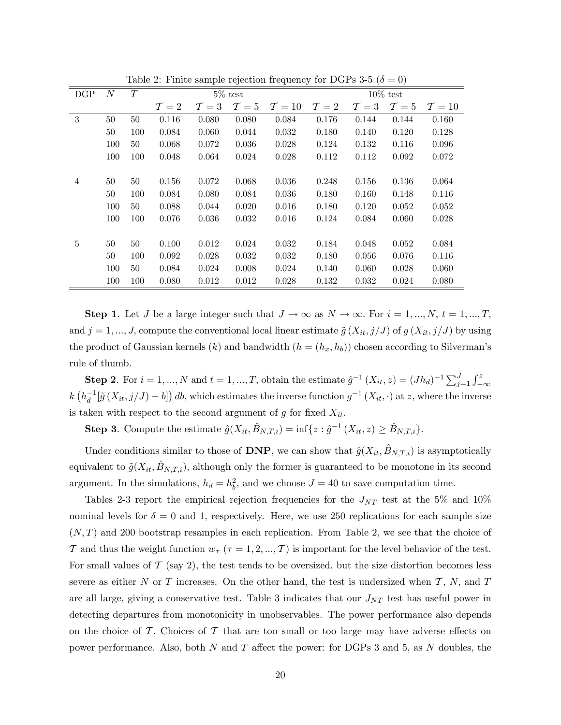| $\rm DGP$      | $\overline{N}$ | T   |                 |                 | $5\%$ test      |                  | $10\%$ test     |                 |                 |        |
|----------------|----------------|-----|-----------------|-----------------|-----------------|------------------|-----------------|-----------------|-----------------|--------|
|                |                |     | $\mathcal{T}=2$ | $\mathcal{T}=3$ | $\mathcal{T}=5$ | $\mathcal{T}=10$ | $\mathcal{T}=2$ | $\mathcal{T}=3$ | $\mathcal{T}=5$ | $T=10$ |
| 3              | 50             | 50  | 0.116           | 0.080           | 0.080           | 0.084            | 0.176           | 0.144           | 0.144           | 0.160  |
|                | 50             | 100 | 0.084           | 0.060           | 0.044           | 0.032            | 0.180           | 0.140           | 0.120           | 0.128  |
|                | 100            | 50  | 0.068           | 0.072           | 0.036           | 0.028            | 0.124           | 0.132           | 0.116           | 0.096  |
|                | 100            | 100 | 0.048           | 0.064           | 0.024           | 0.028            | 0.112           | 0.112           | 0.092           | 0.072  |
|                |                |     |                 |                 |                 |                  |                 |                 |                 |        |
| $\overline{4}$ | 50             | 50  | 0.156           | 0.072           | 0.068           | 0.036            | 0.248           | 0.156           | 0.136           | 0.064  |
|                | 50             | 100 | 0.084           | 0.080           | 0.084           | 0.036            | 0.180           | 0.160           | 0.148           | 0.116  |
|                | 100            | 50  | 0.088           | 0.044           | 0.020           | 0.016            | 0.180           | 0.120           | 0.052           | 0.052  |
|                | 100            | 100 | 0.076           | 0.036           | 0.032           | 0.016            | 0.124           | 0.084           | 0.060           | 0.028  |
|                |                |     |                 |                 |                 |                  |                 |                 |                 |        |
| 5              | 50             | 50  | 0.100           | 0.012           | 0.024           | 0.032            | 0.184           | 0.048           | 0.052           | 0.084  |
|                | 50             | 100 | 0.092           | 0.028           | 0.032           | 0.032            | 0.180           | 0.056           | 0.076           | 0.116  |
|                | 100            | 50  | 0.084           | 0.024           | 0.008           | 0.024            | 0.140           | 0.060           | 0.028           | 0.060  |
|                | 100            | 100 | 0.080           | 0.012           | 0.012           | 0.028            | 0.132           | 0.032           | 0.024           | 0.080  |

Table 2: Finite sample rejection frequency for DGPs 3-5 ( $\delta = 0$ )

**Step 1**. Let J be a large integer such that  $J \to \infty$  as  $N \to \infty$ . For  $i = 1, ..., N$ ,  $t = 1, ..., T$ , and  $j = 1, ..., J$ , compute the conventional local linear estimate  $\tilde{g}(X_{it}, j/J)$  of  $g(X_{it}, j/J)$  by using the product of Gaussian kernels (k) and bandwidth  $(h = (h_x, h_b))$  chosen according to Silverman's rule of thumb.

**Step 2.** For  $i = 1, ..., N$  and  $t = 1, ..., T$ , obtain the estimate  $\hat{g}^{-1}(X_{it}, z) = (Jh_d)^{-1} \sum_{j=1}^{J} \int_{-\infty}^{z}$  $k\left(h_d^{-1}[\tilde{g}(X_{it},j/J)-b]\right)db$ , which estimates the inverse function  $g^{-1}(X_{it},\cdot)$  at z, where the inverse is taken with respect to the second argument of g for fixed  $X_{it}$ .

**Step 3**. Compute the estimate  $\hat{g}(X_{it}, \hat{B}_{N,T,i}) = \inf\{z : \hat{g}^{-1}(X_{it}, z) \geq \hat{B}_{N,T,i}\}.$ 

Under conditions similar to those of DNP, we can show that  $\hat{g}(X_{it}, B_{N,T,i})$  is asymptotically equivalent to  $\tilde{g}(X_{it}, \tilde{B}_{N,T,i})$ , although only the former is guaranteed to be monotone in its second argument. In the simulations,  $h_d = h_b^2$ , and we choose  $J = 40$  to save computation time.

Tables 2-3 report the empirical rejection frequencies for the  $J_{NT}$  test at the 5% and 10% nominal levels for  $\delta = 0$  and 1, respectively. Here, we use 250 replications for each sample size  $(N, T)$  and 200 bootstrap resamples in each replication. From Table 2, we see that the choice of T and thus the weight function  $w_{\tau}$  ( $\tau = 1, 2, ..., T$ ) is important for the level behavior of the test. For small values of  $\mathcal T$  (say 2), the test tends to be oversized, but the size distortion becomes less severe as either N or T increases. On the other hand, the test is undersized when  $\mathcal{T}, N$ , and  $T$ are all large, giving a conservative test. Table 3 indicates that our  $J_{NT}$  test has useful power in detecting departures from monotonicity in unobservables. The power performance also depends on the choice of  $\mathcal T$ . Choices of  $\mathcal T$  that are too small or too large may have adverse effects on power performance. Also, both N and T affect the power: for DGPs 3 and 5, as N doubles, the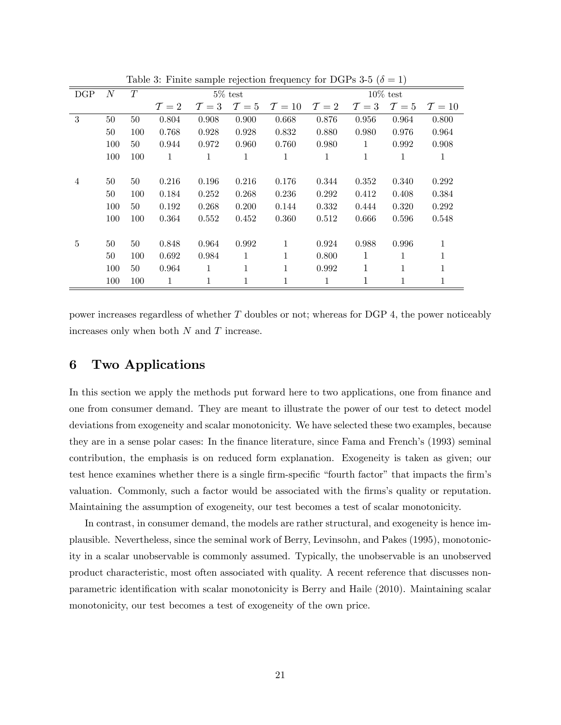| DGP            | $\cal N$ | T   |                 | $5\%$ test      |                 | $10\%$ test      |                 |                 |                 |                  |
|----------------|----------|-----|-----------------|-----------------|-----------------|------------------|-----------------|-----------------|-----------------|------------------|
|                |          |     | $\mathcal{T}=2$ | $\mathcal{T}=3$ | $\mathcal{T}=5$ | $\mathcal{T}=10$ | $\mathcal{T}=2$ | $\mathcal{T}=3$ | $\mathcal{T}=5$ | $\mathcal{T}=10$ |
| 3              | 50       | 50  | 0.804           | 0.908           | 0.900           | 0.668            | 0.876           | 0.956           | 0.964           | 0.800            |
|                | 50       | 100 | 0.768           | 0.928           | 0.928           | 0.832            | 0.880           | 0.980           | 0.976           | 0.964            |
|                | 100      | 50  | 0.944           | 0.972           | 0.960           | 0.760            | 0.980           | 1               | 0.992           | 0.908            |
|                | 100      | 100 | $\mathbf{1}$    | $\mathbf{1}$    | $\mathbf{1}$    | $\mathbf{1}$     | $\mathbf{1}$    | 1               | 1               | $\mathbf{1}$     |
|                |          |     |                 |                 |                 |                  |                 |                 |                 |                  |
| $\overline{4}$ | 50       | 50  | 0.216           | 0.196           | 0.216           | 0.176            | 0.344           | 0.352           | 0.340           | 0.292            |
|                | 50       | 100 | 0.184           | 0.252           | 0.268           | 0.236            | 0.292           | 0.412           | 0.408           | 0.384            |
|                | 100      | 50  | 0.192           | 0.268           | 0.200           | 0.144            | 0.332           | 0.444           | 0.320           | 0.292            |
|                | 100      | 100 | 0.364           | 0.552           | 0.452           | 0.360            | 0.512           | 0.666           | 0.596           | 0.548            |
|                |          |     |                 |                 |                 |                  |                 |                 |                 |                  |
| 5              | 50       | 50  | 0.848           | 0.964           | 0.992           | 1                | 0.924           | 0.988           | 0.996           | 1                |
|                | 50       | 100 | 0.692           | 0.984           | 1               | 1                | 0.800           | 1               | 1               | 1                |
|                | 100      | 50  | 0.964           | $\mathbf{1}$    | 1               | 1                | 0.992           | 1               | 1               |                  |
|                | 100      | 100 | $\mathbf{1}$    | 1               | 1               | 1                | 1               | 1               | 1               | 1                |

Table 3: Finite sample rejection frequency for DGPs 3-5 ( $\delta = 1$ )

power increases regardless of whether T doubles or not; whereas for DGP 4, the power noticeably increases only when both  $N$  and  $T$  increase.

## 6 Two Applications

In this section we apply the methods put forward here to two applications, one from finance and one from consumer demand. They are meant to illustrate the power of our test to detect model deviations from exogeneity and scalar monotonicity. We have selected these two examples, because they are in a sense polar cases: In the finance literature, since Fama and French's (1993) seminal contribution, the emphasis is on reduced form explanation. Exogeneity is taken as given; our test hence examines whether there is a single firm-specific "fourth factor" that impacts the firm's valuation. Commonly, such a factor would be associated with the firms's quality or reputation. Maintaining the assumption of exogeneity, our test becomes a test of scalar monotonicity.

In contrast, in consumer demand, the models are rather structural, and exogeneity is hence implausible. Nevertheless, since the seminal work of Berry, Levinsohn, and Pakes (1995), monotonicity in a scalar unobservable is commonly assumed. Typically, the unobservable is an unobserved product characteristic, most often associated with quality. A recent reference that discusses nonparametric identification with scalar monotonicity is Berry and Haile (2010). Maintaining scalar monotonicity, our test becomes a test of exogeneity of the own price.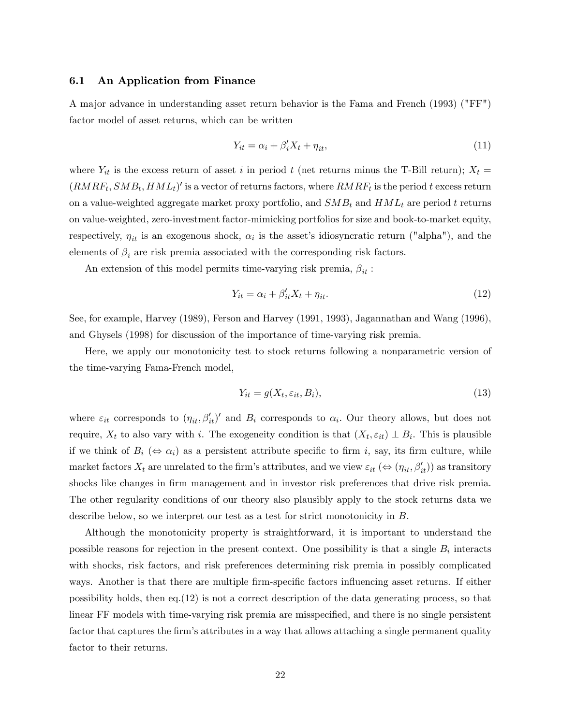#### 6.1 An Application from Finance

A major advance in understanding asset return behavior is the Fama and French (1993) ("FF") factor model of asset returns, which can be written

$$
Y_{it} = \alpha_i + \beta_i' X_t + \eta_{it},\tag{11}
$$

where  $Y_{it}$  is the excess return of asset i in period t (net returns minus the T-Bill return);  $X_t =$  $(RMRF_t, SMB_t, HML_t)'$  is a vector of returns factors, where  $RMRF_t$  is the period t excess return on a value-weighted aggregate market proxy portfolio, and  $SMB_t$  and  $HML_t$  are period t returns on value-weighted, zero-investment factor-mimicking portfolios for size and book-to-market equity, respectively,  $\eta_{it}$  is an exogenous shock,  $\alpha_i$  is the asset's idiosyncratic return ("alpha"), and the elements of  $\beta_i$  are risk premia associated with the corresponding risk factors.

An extension of this model permits time-varying risk premia,  $\beta_{it}$ :

$$
Y_{it} = \alpha_i + \beta'_{it} X_t + \eta_{it}.
$$
\n
$$
(12)
$$

See, for example, Harvey (1989), Ferson and Harvey (1991, 1993), Jagannathan and Wang (1996), and Ghysels (1998) for discussion of the importance of time-varying risk premia.

Here, we apply our monotonicity test to stock returns following a nonparametric version of the time-varying Fama-French model,

$$
Y_{it} = g(X_t, \varepsilon_{it}, B_i), \tag{13}
$$

where  $\varepsilon_{it}$  corresponds to  $(\eta_{it}, \beta'_{it})'$  and  $B_i$  corresponds to  $\alpha_i$ . Our theory allows, but does not require,  $X_t$  to also vary with i. The exogeneity condition is that  $(X_t, \varepsilon_{it}) \perp B_i$ . This is plausible if we think of  $B_i \; (\Leftrightarrow \; \alpha_i)$  as a persistent attribute specific to firm i, say, its firm culture, while market factors  $X_t$  are unrelated to the firm's attributes, and we view  $\varepsilon_{it}$  ( $\Leftrightarrow$   $(\eta_{it}, \beta'_{it})$ ) as transitory shocks like changes in firm management and in investor risk preferences that drive risk premia. The other regularity conditions of our theory also plausibly apply to the stock returns data we describe below, so we interpret our test as a test for strict monotonicity in B:

Although the monotonicity property is straightforward, it is important to understand the possible reasons for rejection in the present context. One possibility is that a single  $B_i$  interacts with shocks, risk factors, and risk preferences determining risk premia in possibly complicated ways. Another is that there are multiple firm-specific factors influencing asset returns. If either possibility holds, then eq.(12) is not a correct description of the data generating process, so that linear FF models with time-varying risk premia are misspecified, and there is no single persistent factor that captures the firm's attributes in a way that allows attaching a single permanent quality factor to their returns.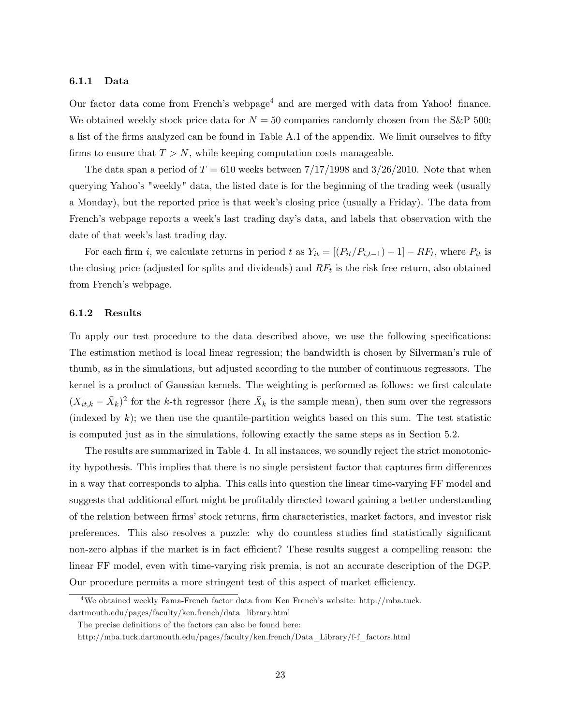#### 6.1.1 Data

Our factor data come from French's webpage<sup>4</sup> and are merged with data from Yahoo! finance. We obtained weekly stock price data for  $N = 50$  companies randomly chosen from the S&P 500; a list of the firms analyzed can be found in Table A.1 of the appendix. We limit ourselves to fifty firms to ensure that  $T > N$ , while keeping computation costs manageable.

The data span a period of  $T = 610$  weeks between  $7/17/1998$  and  $3/26/2010$ . Note that when querying Yahooís "weekly" data, the listed date is for the beginning of the trading week (usually a Monday), but the reported price is that week's closing price (usually a Friday). The data from French's webpage reports a week's last trading day's data, and labels that observation with the date of that week's last trading day.

For each firm *i*, we calculate returns in period t as  $Y_{it} = [(P_{it}/P_{i,t-1}) - 1] - RF_t$ , where  $P_{it}$  is the closing price (adjusted for splits and dividends) and  $RF_t$  is the risk free return, also obtained from French's webpage.

#### 6.1.2 Results

To apply our test procedure to the data described above, we use the following specifications: The estimation method is local linear regression; the bandwidth is chosen by Silverman's rule of thumb, as in the simulations, but adjusted according to the number of continuous regressors. The kernel is a product of Gaussian kernels. The weighting is performed as follows: we first calculate  $(X_{it,k} - \bar{X}_k)^2$  for the k-th regressor (here  $\bar{X}_k$  is the sample mean), then sum over the regressors (indexed by  $k$ ); we then use the quantile-partition weights based on this sum. The test statistic is computed just as in the simulations, following exactly the same steps as in Section 5.2.

The results are summarized in Table 4. In all instances, we soundly reject the strict monotonicity hypothesis. This implies that there is no single persistent factor that captures firm differences in a way that corresponds to alpha. This calls into question the linear time-varying FF model and suggests that additional effort might be profitably directed toward gaining a better understanding of the relation between firms' stock returns, firm characteristics, market factors, and investor risk preferences. This also resolves a puzzle: why do countless studies find statistically significant non-zero alphas if the market is in fact efficient? These results suggest a compelling reason: the linear FF model, even with time-varying risk premia, is not an accurate description of the DGP. Our procedure permits a more stringent test of this aspect of market efficiency.

 $4$ We obtained weekly Fama-French factor data from Ken French's website: http://mba.tuck. dartmouth.edu/pages/faculty/ken.french/data\_library.html

The precise definitions of the factors can also be found here:

http://mba.tuck.dartmouth.edu/pages/faculty/ken.french/Data\_Library/f-f\_factors.html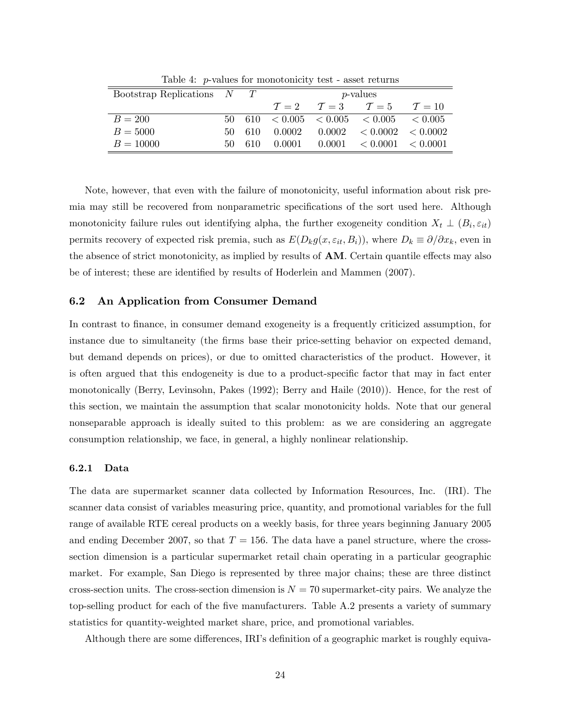|     |      |                                      |  | $\mathcal{T}=10$                                                                                                                                                                                          |
|-----|------|--------------------------------------|--|-----------------------------------------------------------------------------------------------------------------------------------------------------------------------------------------------------------|
|     |      |                                      |  |                                                                                                                                                                                                           |
|     | -610 | 0.0002                               |  |                                                                                                                                                                                                           |
| 50. | 610  | 0.0001                               |  |                                                                                                                                                                                                           |
|     |      | Bootstrap Replications $N$ T<br>50 - |  | <i>p</i> -values<br>$\mathcal{T}=2$ $\mathcal{T}=3$ $\mathcal{T}=5$<br>$50\quad 610\quad 61010005\quad 61005\quad 61005\quad 61005$<br>$0.0002 \leq 0.0002 \leq 0.0002$<br>$0.0001 \le 0.0001 \le 0.0001$ |

Table 4: p-values for monotonicity test - asset returns

Note, however, that even with the failure of monotonicity, useful information about risk premia may still be recovered from nonparametric specifications of the sort used here. Although monotonicity failure rules out identifying alpha, the further exogeneity condition  $X_t \perp (B_i, \varepsilon_{it})$ permits recovery of expected risk premia, such as  $E(D_k g(x, \varepsilon_{it}, B_i))$ , where  $D_k \equiv \partial/\partial x_k$ , even in the absence of strict monotonicity, as implied by results of  $AM$ . Certain quantile effects may also be of interest; these are identified by results of Hoderlein and Mammen (2007).

## 6.2 An Application from Consumer Demand

In contrast to finance, in consumer demand exogeneity is a frequently criticized assumption, for instance due to simultaneity (the firms base their price-setting behavior on expected demand, but demand depends on prices), or due to omitted characteristics of the product. However, it is often argued that this endogeneity is due to a product-specific factor that may in fact enter monotonically (Berry, Levinsohn, Pakes (1992); Berry and Haile (2010)). Hence, for the rest of this section, we maintain the assumption that scalar monotonicity holds. Note that our general nonseparable approach is ideally suited to this problem: as we are considering an aggregate consumption relationship, we face, in general, a highly nonlinear relationship.

### 6.2.1 Data

The data are supermarket scanner data collected by Information Resources, Inc. (IRI). The scanner data consist of variables measuring price, quantity, and promotional variables for the full range of available RTE cereal products on a weekly basis, for three years beginning January 2005 and ending December 2007, so that  $T = 156$ . The data have a panel structure, where the crosssection dimension is a particular supermarket retail chain operating in a particular geographic market. For example, San Diego is represented by three major chains; these are three distinct cross-section units. The cross-section dimension is  $N = 70$  supermarket-city pairs. We analyze the top-selling product for each of the five manufacturers. Table A.2 presents a variety of summary statistics for quantity-weighted market share, price, and promotional variables.

Although there are some differences, IRI's definition of a geographic market is roughly equiva-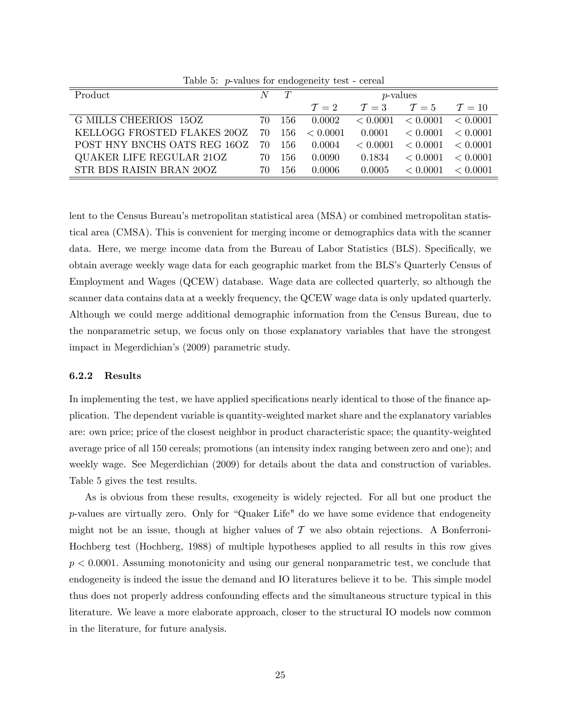| $10000$ $\mu$ ranged to $10000$ |    |     |                 |          |                                 |                  |
|---------------------------------|----|-----|-----------------|----------|---------------------------------|------------------|
| $\overline{\text{Product}}$     |    | T   | $p$ -values     |          |                                 |                  |
|                                 |    |     | $\mathcal{T}=2$ |          | $\mathcal{T}=3$ $\mathcal{T}=5$ | $\mathcal{T}=10$ |
| G MILLS CHEERIOS 15OZ           | 70 | 156 | 0.0002          | < 0.0001 | < 0.0001 < 0.0001               |                  |
| KELLOGG FROSTED FLAKES 20OZ     | 70 | 156 | < 0.0001        | 0.0001   | < 0.0001                        | < 0.0001         |
| POST HNY BNCHS OATS REG 16OZ    | 70 | 156 | 0.0004          | < 0.0001 | < 0.0001                        | < 0.0001         |
| QUAKER LIFE REGULAR 21OZ        | 70 | 156 | 0.0090          | 0.1834   | < 0.0001                        | $\leq 0.0001$    |
| STR BDS RAISIN BRAN 20OZ        | 70 | 156 | 0.0006          | 0.0005   | < 0.0001                        | < 0.0001         |

Table 5: p-values for endogeneity test - cereal

lent to the Census Bureau's metropolitan statistical area (MSA) or combined metropolitan statistical area (CMSA). This is convenient for merging income or demographics data with the scanner data. Here, we merge income data from the Bureau of Labor Statistics (BLS). Specifically, we obtain average weekly wage data for each geographic market from the BLSís Quarterly Census of Employment and Wages (QCEW) database. Wage data are collected quarterly, so although the scanner data contains data at a weekly frequency, the QCEW wage data is only updated quarterly. Although we could merge additional demographic information from the Census Bureau, due to the nonparametric setup, we focus only on those explanatory variables that have the strongest impact in Megerdichian's (2009) parametric study.

### 6.2.2 Results

In implementing the test, we have applied specifications nearly identical to those of the finance application. The dependent variable is quantity-weighted market share and the explanatory variables are: own price; price of the closest neighbor in product characteristic space; the quantity-weighted average price of all 150 cereals; promotions (an intensity index ranging between zero and one); and weekly wage. See Megerdichian (2009) for details about the data and construction of variables. Table 5 gives the test results.

As is obvious from these results, exogeneity is widely rejected. For all but one product the  $p$ -values are virtually zero. Only for "Quaker Life" do we have some evidence that endogeneity might not be an issue, though at higher values of  $\mathcal T$  we also obtain rejections. A Bonferroni-Hochberg test (Hochberg, 1988) of multiple hypotheses applied to all results in this row gives  $p < 0.0001$ . Assuming monotonicity and using our general nonparametric test, we conclude that endogeneity is indeed the issue the demand and IO literatures believe it to be. This simple model thus does not properly address confounding effects and the simultaneous structure typical in this literature. We leave a more elaborate approach, closer to the structural IO models now common in the literature, for future analysis.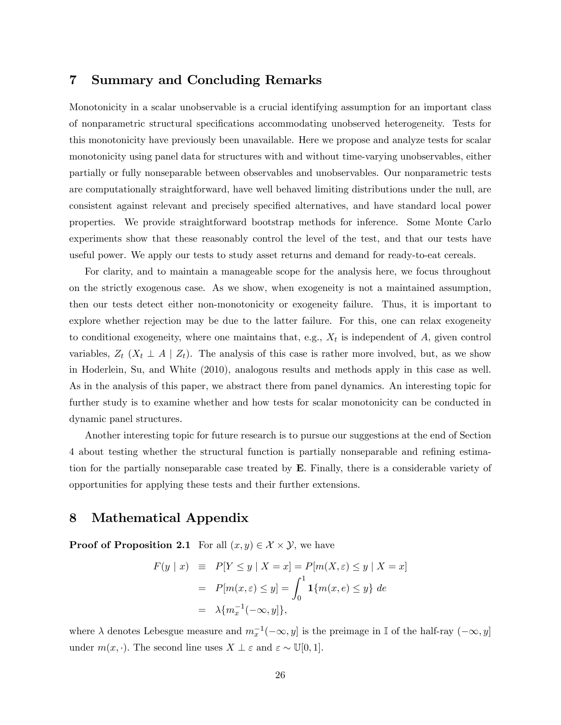## 7 Summary and Concluding Remarks

Monotonicity in a scalar unobservable is a crucial identifying assumption for an important class of nonparametric structural speciÖcations accommodating unobserved heterogeneity. Tests for this monotonicity have previously been unavailable. Here we propose and analyze tests for scalar monotonicity using panel data for structures with and without time-varying unobservables, either partially or fully nonseparable between observables and unobservables. Our nonparametric tests are computationally straightforward, have well behaved limiting distributions under the null, are consistent against relevant and precisely specified alternatives, and have standard local power properties. We provide straightforward bootstrap methods for inference. Some Monte Carlo experiments show that these reasonably control the level of the test, and that our tests have useful power. We apply our tests to study asset returns and demand for ready-to-eat cereals.

For clarity, and to maintain a manageable scope for the analysis here, we focus throughout on the strictly exogenous case. As we show, when exogeneity is not a maintained assumption, then our tests detect either non-monotonicity or exogeneity failure. Thus, it is important to explore whether rejection may be due to the latter failure. For this, one can relax exogeneity to conditional exogeneity, where one maintains that, e.g.,  $X_t$  is independent of A, given control variables,  $Z_t$  ( $X_t \perp A \mid Z_t$ ). The analysis of this case is rather more involved, but, as we show in Hoderlein, Su, and White (2010), analogous results and methods apply in this case as well. As in the analysis of this paper, we abstract there from panel dynamics. An interesting topic for further study is to examine whether and how tests for scalar monotonicity can be conducted in dynamic panel structures.

Another interesting topic for future research is to pursue our suggestions at the end of Section 4 about testing whether the structural function is partially nonseparable and refining estimation for the partially nonseparable case treated by E. Finally, there is a considerable variety of opportunities for applying these tests and their further extensions.

# 8 Mathematical Appendix

**Proof of Proposition 2.1** For all  $(x, y) \in \mathcal{X} \times \mathcal{Y}$ , we have

$$
F(y \mid x) \equiv P[Y \le y \mid X = x] = P[m(X, \varepsilon) \le y \mid X = x]
$$

$$
= P[m(x, \varepsilon) \le y] = \int_0^1 \mathbf{1} \{m(x, e) \le y\} de
$$

$$
= \lambda \{m_x^{-1}(-\infty, y]\},
$$

where  $\lambda$  denotes Lebesgue measure and  $m_x^{-1}(-\infty, y]$  is the preimage in I of the half-ray  $(-\infty, y]$ under  $m(x, \cdot)$ . The second line uses  $X \perp \varepsilon$  and  $\varepsilon \sim \mathbb{U}[0, 1]$ .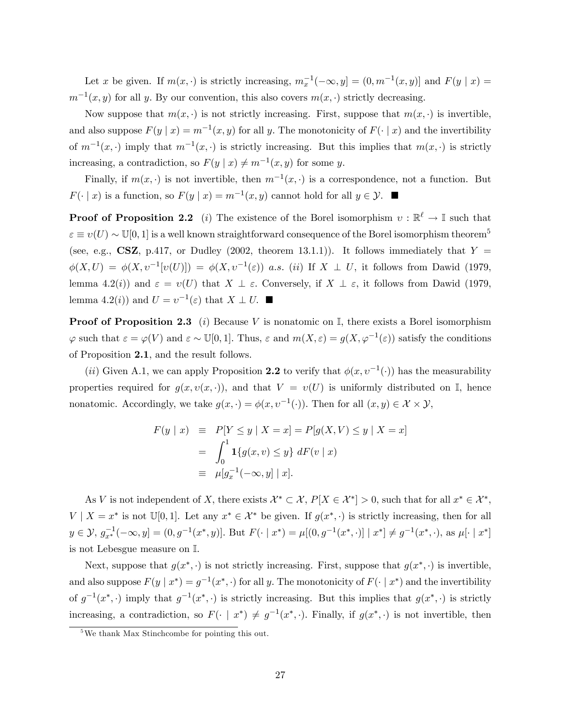Let x be given. If  $m(x, \cdot)$  is strictly increasing,  $m_x^{-1}(-\infty, y] = (0, m^{-1}(x, y))$  and  $F(y | x) =$  $m^{-1}(x, y)$  for all y. By our convention, this also covers  $m(x, \cdot)$  strictly decreasing.

Now suppose that  $m(x, \cdot)$  is not strictly increasing. First, suppose that  $m(x, \cdot)$  is invertible, and also suppose  $F(y | x) = m^{-1}(x, y)$  for all y. The monotonicity of  $F(\cdot | x)$  and the invertibility of  $m^{-1}(x, \cdot)$  imply that  $m^{-1}(x, \cdot)$  is strictly increasing. But this implies that  $m(x, \cdot)$  is strictly increasing, a contradiction, so  $F(y | x) \neq m^{-1}(x, y)$  for some y.

Finally, if  $m(x, \cdot)$  is not invertible, then  $m^{-1}(x, \cdot)$  is a correspondence, not a function. But  $F(\cdot | x)$  is a function, so  $F(y | x) = m^{-1}(x, y)$  cannot hold for all  $y \in \mathcal{Y}$ .

**Proof of Proposition 2.2** (*i*) The existence of the Borel isomorphism  $v : \mathbb{R}^{\ell} \to \mathbb{I}$  such that  $\epsilon \equiv v(U) \sim \mathbb{U}[0, 1]$  is a well known straightforward consequence of the Borel isomorphism theorem<sup>5</sup> (see, e.g., CSZ, p.417, or Dudley (2002, theorem 13.1.1)). It follows immediately that  $Y =$  $\phi(X,U) = \phi(X,v^{-1}[v(U)]) = \phi(X,v^{-1}(\varepsilon))$  a.s. (ii) If  $X \perp U$ , it follows from Dawid (1979, lemma 4.2(i)) and  $\varepsilon = v(U)$  that  $X \perp \varepsilon$ . Conversely, if  $X \perp \varepsilon$ , it follows from Dawid (1979, lemma 4.2(*i*)) and  $U = v^{-1}(\varepsilon)$  that  $X \perp U$ .

**Proof of Proposition 2.3** (i) Because V is nonatomic on  $\mathbb{I}$ , there exists a Borel isomorphism  $\varphi$  such that  $\varepsilon = \varphi(V)$  and  $\varepsilon \sim \mathbb{U}[0,1]$ . Thus,  $\varepsilon$  and  $m(X,\varepsilon) = g(X,\varphi^{-1}(\varepsilon))$  satisfy the conditions of Proposition 2.1, and the result follows.

(*ii*) Given A.1, we can apply Proposition 2.2 to verify that  $\phi(x, v^{-1}(\cdot))$  has the measurability properties required for  $g(x, v(x, \cdot))$ , and that  $V = v(U)$  is uniformly distributed on I, hence nonatomic. Accordingly, we take  $g(x, \cdot) = \phi(x, \nu^{-1}(\cdot))$ . Then for all  $(x, y) \in \mathcal{X} \times \mathcal{Y}$ ,

$$
F(y \mid x) \equiv P[Y \le y \mid X = x] = P[g(X, V) \le y \mid X = x]
$$
  
= 
$$
\int_0^1 \mathbf{1}\{g(x, v) \le y\} \, dF(v \mid x)
$$
  

$$
\equiv \mu[g_x^{-1}(-\infty, y] \mid x].
$$

As V is not independent of X, there exists  $\mathcal{X}^* \subset \mathcal{X}, P[X \in \mathcal{X}^*] > 0$ , such that for all  $x^* \in \mathcal{X}^*$ ,  $V \mid X = x^*$  is not  $\mathbb{U}[0,1]$ . Let any  $x^* \in \mathcal{X}^*$  be given. If  $g(x^*, \cdot)$  is strictly increasing, then for all  $y \in \mathcal{Y}, g_{x^*}^{-1}(-\infty, y] = (0, g^{-1}(x^*, y))$ . But  $F(\cdot | x^*) = \mu[(0, g^{-1}(x^*, \cdot)] | x^*] \neq g^{-1}(x^*, \cdot)$ , as  $\mu[\cdot | x^*]$ is not Lebesgue measure on I.

Next, suppose that  $g(x^*, \cdot)$  is not strictly increasing. First, suppose that  $g(x^*, \cdot)$  is invertible, and also suppose  $F(y \mid x^*) = g^{-1}(x^*, \cdot)$  for all y. The monotonicity of  $F(\cdot \mid x^*)$  and the invertibility of  $g^{-1}(x^*,\cdot)$  imply that  $g^{-1}(x^*,\cdot)$  is strictly increasing. But this implies that  $g(x^*,\cdot)$  is strictly increasing, a contradiction, so  $F(\cdot \mid x^*) \neq g^{-1}(x^*, \cdot)$ . Finally, if  $g(x^*, \cdot)$  is not invertible, then

<sup>5</sup>We thank Max Stinchcombe for pointing this out.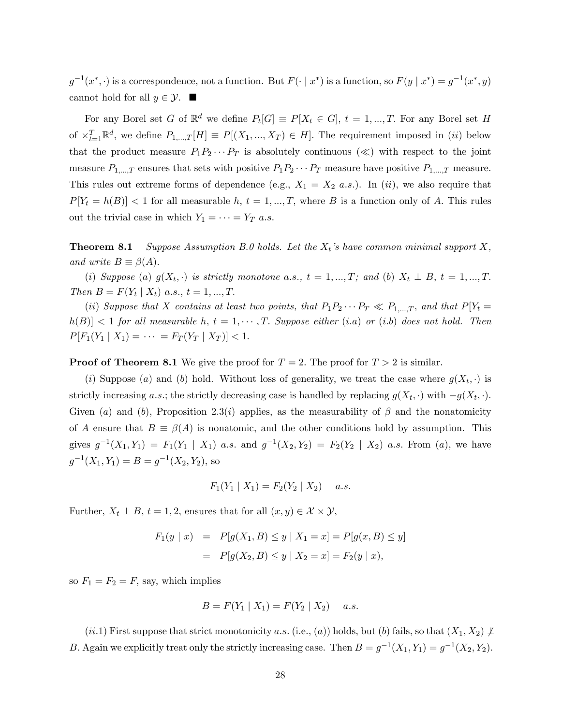$g^{-1}(x^*,\cdot)$  is a correspondence, not a function. But  $F(\cdot | x^*)$  is a function, so  $F(y | x^*) = g^{-1}(x^*,y)$ cannot hold for all  $y \in \mathcal{Y}$ .

For any Borel set G of  $\mathbb{R}^d$  we define  $P_t[G] \equiv P[X_t \in G]$ ,  $t = 1, ..., T$ . For any Borel set H of  $\times_{t=1}^T \mathbb{R}^d$ , we define  $P_{1,\dots,T}[H] \equiv P[(X_1,\dots,X_T) \in H]$ . The requirement imposed in (ii) below that the product measure  $P_1P_2 \cdots P_T$  is absolutely continuous  $(\ll)$  with respect to the joint measure  $P_{1,\dots,T}$  ensures that sets with positive  $P_1P_2\cdots P_T$  measure have positive  $P_{1,\dots,T}$  measure. This rules out extreme forms of dependence (e.g.,  $X_1 = X_2$  a.s.). In (ii), we also require that  $P[Y_t = h(B)] < 1$  for all measurable h,  $t = 1, ..., T$ , where B is a function only of A. This rules out the trivial case in which  $Y_1 = \cdots = Y_T \, a.s.$ 

**Theorem 8.1** Suppose Assumption B.0 holds. Let the  $X_t$ 's have common minimal support X, and write  $B \equiv \beta(A)$ .

(i) Suppose (a)  $g(X_t, \cdot)$  is strictly monotone a.s.,  $t = 1, ..., T$ ; and (b)  $X_t \perp B$ ,  $t = 1, ..., T$ . Then  $B = F(Y_t | X_t)$  a.s.,  $t = 1, ..., T$ .

(ii) Suppose that X contains at least two points, that  $P_1P_2 \cdots P_T \ll P_{1,\dots,T}$ , and that  $P[Y_t =$  $h(B) < 1$  for all measurable h,  $t = 1, \dots, T$ . Suppose either (i.a) or (i.b) does not hold. Then  $P[F_1(Y_1 | X_1) = \cdots = F_T(Y_T | X_T)] < 1.$ 

**Proof of Theorem 8.1** We give the proof for  $T = 2$ . The proof for  $T > 2$  is similar.

(*i*) Suppose (*a*) and (*b*) hold. Without loss of generality, we treat the case where  $g(X_t, \cdot)$  is strictly increasing a.s.; the strictly decreasing case is handled by replacing  $g(X_t, \cdot)$  with  $-g(X_t, \cdot)$ . Given (a) and (b), Proposition 2.3(i) applies, as the measurability of  $\beta$  and the nonatomicity of A ensure that  $B \equiv \beta(A)$  is nonatomic, and the other conditions hold by assumption. This gives  $g^{-1}(X_1,Y_1) = F_1(Y_1 | X_1)$  a.s. and  $g^{-1}(X_2,Y_2) = F_2(Y_2 | X_2)$  a.s. From (a), we have  $g^{-1}(X_1,Y_1) = B = g^{-1}(X_2,Y_2)$ , so

$$
F_1(Y_1 | X_1) = F_2(Y_2 | X_2) \quad a.s.
$$

Further,  $X_t \perp B$ ,  $t = 1, 2$ , ensures that for all  $(x, y) \in \mathcal{X} \times \mathcal{Y}$ ,

$$
F_1(y \mid x) = P[g(X_1, B) \le y \mid X_1 = x] = P[g(x, B) \le y]
$$
  
= 
$$
P[g(X_2, B) \le y \mid X_2 = x] = F_2(y \mid x),
$$

so  $F_1 = F_2 = F$ , say, which implies

$$
B = F(Y_1 | X_1) = F(Y_2 | X_2) \quad a.s.
$$

(ii.1) First suppose that strict monotonicity a.s. (i.e., (a)) holds, but (b) fails, so that  $(X_1, X_2) \not\perp$ B. Again we explicitly treat only the strictly increasing case. Then  $B = g^{-1}(X_1, Y_1) = g^{-1}(X_2, Y_2)$ .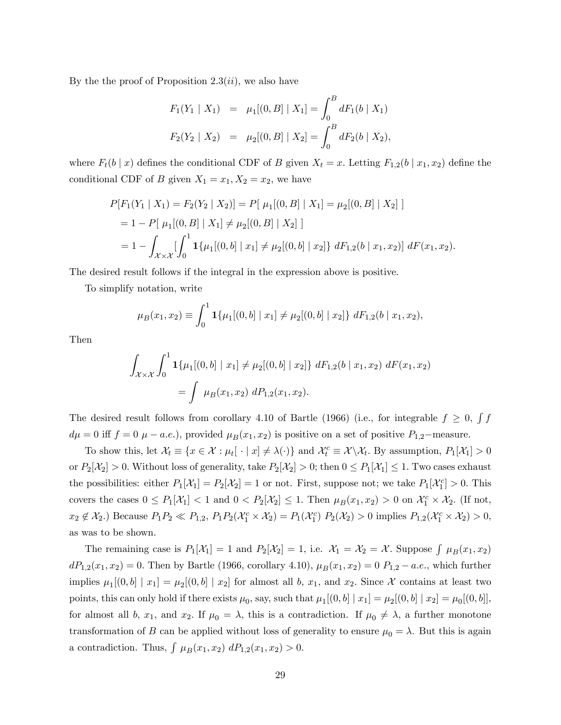By the the proof of Proposition  $2.3(ii)$ , we also have

$$
F_1(Y_1 | X_1) = \mu_1[(0, B] | X_1] = \int_0^B dF_1(b | X_1)
$$
  

$$
F_2(Y_2 | X_2) = \mu_2[(0, B] | X_2] = \int_0^B dF_2(b | X_2),
$$

where  $F_t(b \mid x)$  defines the conditional CDF of B given  $X_t = x$ . Letting  $F_{1,2}(b \mid x_1, x_2)$  define the conditional CDF of B given  $X_1 = x_1, X_2 = x_2$ , we have

$$
P[F_1(Y_1 | X_1) = F_2(Y_2 | X_2)] = P[ \mu_1[(0, B] | X_1] = \mu_2[(0, B] | X_2]
$$
  
= 1 - P[ \mu\_1[(0, B] | X\_1] \neq \mu\_2[(0, B] | X\_2] ]  
= 1 -  $\int_{\mathcal{X} \times \mathcal{X}} [\int_0^1 \mathbf{1}_{\{\mu_1[(0, b] | x_1] \neq \mu_2[(0, b] | x_2]\}} dF_{1,2}(b | x_1, x_2)] dF(x_1, x_2).$ 

The desired result follows if the integral in the expression above is positive.

To simplify notation, write

$$
\mu_B(x_1, x_2) \equiv \int_0^1 \mathbf{1}\{\mu_1[(0, b] \mid x_1] \neq \mu_2[(0, b] \mid x_2]\} \, dF_{1,2}(b \mid x_1, x_2),
$$

Then

$$
\int_{\mathcal{X}\times\mathcal{X}} \int_0^1 \mathbf{1}\{\mu_1[(0,b] \mid x_1] \neq \mu_2[(0,b] \mid x_2]\} \, dF_{1,2}(b \mid x_1, x_2) \, dF(x_1, x_2)
$$
\n
$$
= \int \mu_B(x_1, x_2) \, dP_{1,2}(x_1, x_2).
$$

The desired result follows from corollary 4.10 of Bartle (1966) (i.e., for integrable  $f \geq 0$ ,  $\int f$  $d\mu = 0$  iff  $f = 0$   $\mu - a.e.$ ), provided  $\mu_B(x_1, x_2)$  is positive on a set of positive  $P_{1,2}$ -measure.

To show this, let  $\mathcal{X}_t \equiv \{x \in \mathcal{X} : \mu_t[\cdot | x] \neq \lambda(\cdot)\}\$  and  $\mathcal{X}_t^c \equiv \mathcal{X} \setminus \mathcal{X}_t$ . By assumption,  $P_1[\mathcal{X}_1] > 0$ or  $P_2[\mathcal{X}_2] > 0$ . Without loss of generality, take  $P_2[\mathcal{X}_2] > 0$ ; then  $0 \le P_1[\mathcal{X}_1] \le 1$ . Two cases exhaust the possibilities: either  $P_1[\mathcal{X}_1] = P_2[\mathcal{X}_2] = 1$  or not. First, suppose not; we take  $P_1[\mathcal{X}_1^c] > 0$ . This covers the cases  $0 \le P_1[\mathcal{X}_1] < 1$  and  $0 < P_2[\mathcal{X}_2] \le 1$ . Then  $\mu_B(x_1, x_2) > 0$  on  $\mathcal{X}_1^c \times \mathcal{X}_2$ . (If not,  $x_2 \notin \mathcal{X}_2$ .) Because  $P_1P_2 \ll P_{1,2}$ ,  $P_1P_2(\mathcal{X}_1^c \times \mathcal{X}_2) = P_1(\mathcal{X}_1^c) P_2(\mathcal{X}_2) > 0$  implies  $P_{1,2}(\mathcal{X}_1^c \times \mathcal{X}_2) > 0$ , as was to be shown.

The remaining case is  $P_1[\mathcal{X}_1] = 1$  and  $P_2[\mathcal{X}_2] = 1$ , i.e.  $\mathcal{X}_1 = \mathcal{X}_2 = \mathcal{X}$ . Suppose  $\int \mu_B(x_1, x_2)$  $dP_{1,2}(x_1, x_2) = 0.$  Then by Bartle (1966, corollary 4.10),  $\mu_B(x_1, x_2) = 0$   $P_{1,2} - a.e.,$  which further implies  $\mu_1[(0,b] \mid x_1] = \mu_2[(0,b] \mid x_2]$  for almost all b,  $x_1$ , and  $x_2$ . Since X contains at least two points, this can only hold if there exists  $\mu_0$ , say, such that  $\mu_1[(0,b] \mid x_1] = \mu_2[(0,b] \mid x_2] = \mu_0[(0,b)],$ for almost all b,  $x_1$ , and  $x_2$ . If  $\mu_0 = \lambda$ , this is a contradiction. If  $\mu_0 \neq \lambda$ , a further monotone transformation of B can be applied without loss of generality to ensure  $\mu_0 = \lambda$ . But this is again a contradiction. Thus,  $\int \mu_B(x_1, x_2) dP_{1,2}(x_1, x_2) > 0.$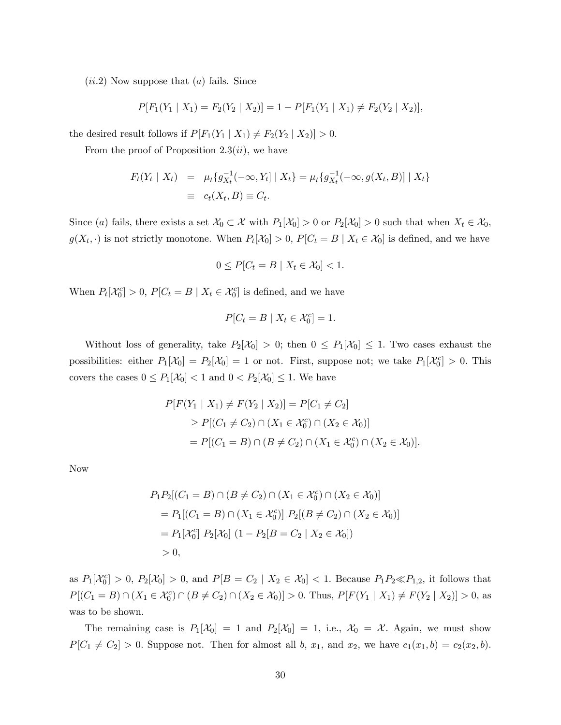$(ii.2)$  Now suppose that  $(a)$  fails. Since

$$
P[F_1(Y_1 | X_1) = F_2(Y_2 | X_2)] = 1 - P[F_1(Y_1 | X_1) \neq F_2(Y_2 | X_2)],
$$

the desired result follows if  $P[F_1(Y_1 | X_1) \neq F_2(Y_2 | X_2)] > 0$ .

From the proof of Proposition 2.3 $(ii)$ , we have

$$
F_t(Y_t | X_t) = \mu_t \{ g_{X_t}^{-1}(-\infty, Y_t] | X_t \} = \mu_t \{ g_{X_t}^{-1}(-\infty, g(X_t, B)] | X_t \}
$$
  

$$
\equiv c_t(X_t, B) \equiv C_t.
$$

Since (a) fails, there exists a set  $\mathcal{X}_0 \subset \mathcal{X}$  with  $P_1[\mathcal{X}_0] > 0$  or  $P_2[\mathcal{X}_0] > 0$  such that when  $X_t \in \mathcal{X}_0$ ,  $g(X_t, \cdot)$  is not strictly monotone. When  $P_t[X_0] > 0$ ,  $P[C_t = B \mid X_t \in X_0]$  is defined, and we have

$$
0 \le P[C_t = B \mid X_t \in \mathcal{X}_0] < 1.
$$

When  $P_t[\mathcal{X}_0^c] > 0$ ,  $P[C_t = B \mid X_t \in \mathcal{X}_0^c]$  is defined, and we have

$$
P[C_t = B \mid X_t \in \mathcal{X}_0^c] = 1.
$$

Without loss of generality, take  $P_2[\mathcal{X}_0] > 0$ ; then  $0 \leq P_1[\mathcal{X}_0] \leq 1$ . Two cases exhaust the possibilities: either  $P_1[\mathcal{X}_0] = P_2[\mathcal{X}_0] = 1$  or not. First, suppose not; we take  $P_1[\mathcal{X}_0^c] > 0$ . This covers the cases  $0 \leq P_1[\mathcal{X}_0] < 1$  and  $0 < P_2[\mathcal{X}_0] \leq 1.$  We have

$$
P[F(Y_1 | X_1) \neq F(Y_2 | X_2)] = P[C_1 \neq C_2]
$$
  
\n
$$
\geq P[(C_1 \neq C_2) \cap (X_1 \in \mathcal{X}_0^c) \cap (X_2 \in \mathcal{X}_0)]
$$
  
\n
$$
= P[(C_1 = B) \cap (B \neq C_2) \cap (X_1 \in \mathcal{X}_0^c) \cap (X_2 \in \mathcal{X}_0)].
$$

Now

$$
P_1 P_2 [(C_1 = B) \cap (B \neq C_2) \cap (X_1 \in \mathcal{X}_0^c) \cap (X_2 \in \mathcal{X}_0)]
$$
  
= 
$$
P_1 [(C_1 = B) \cap (X_1 \in \mathcal{X}_0^c)] P_2 [(B \neq C_2) \cap (X_2 \in \mathcal{X}_0)]
$$
  
= 
$$
P_1 [\mathcal{X}_0^c] P_2 [\mathcal{X}_0] (1 - P_2[B = C_2 \mid X_2 \in \mathcal{X}_0])
$$
  
> 0,

as  $P_1[\mathcal{X}_0^c] > 0$ ,  $P_2[\mathcal{X}_0] > 0$ , and  $P[B = C_2 | X_2 \in \mathcal{X}_0] < 1$ . Because  $P_1P_2 \ll P_{1,2}$ , it follows that  $P[(C_1 = B) \cap (X_1 \in \mathcal{X}_0^c) \cap (B \neq C_2) \cap (X_2 \in \mathcal{X}_0)] > 0$ . Thus,  $P[F(Y_1 | X_1) \neq F(Y_2 | X_2)] > 0$ , as was to be shown.

The remaining case is  $P_1[\mathcal{X}_0] = 1$  and  $P_2[\mathcal{X}_0] = 1$ , i.e.,  $\mathcal{X}_0 = \mathcal{X}$ . Again, we must show  $P[C_1 \neq C_2] > 0$ . Suppose not. Then for almost all b,  $x_1$ , and  $x_2$ , we have  $c_1(x_1, b) = c_2(x_2, b)$ .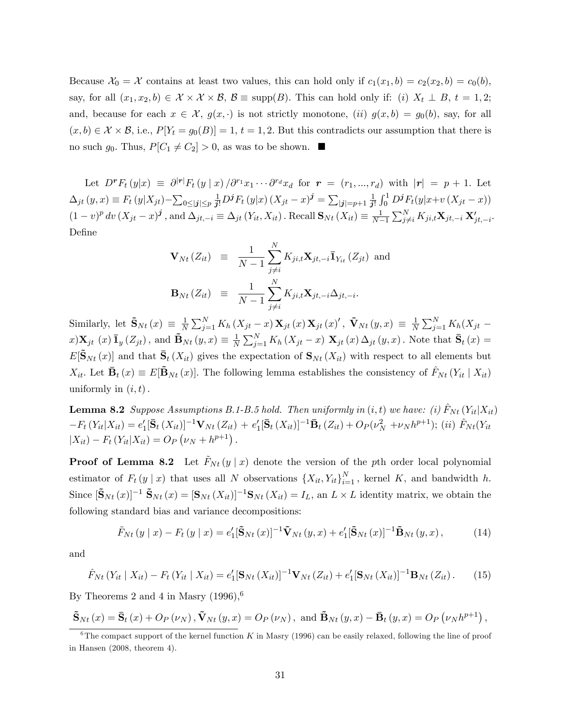Because  $\mathcal{X}_0 = \mathcal{X}$  contains at least two values, this can hold only if  $c_1(x_1, b) = c_2(x_2, b) = c_0(b)$ , say, for all  $(x_1, x_2, b) \in \mathcal{X} \times \mathcal{X} \times \mathcal{B}$ ,  $\mathcal{B} \equiv \text{supp}(B)$ . This can hold only if: (i)  $X_t \perp B$ ,  $t = 1, 2$ ; and, because for each  $x \in \mathcal{X}$ ,  $g(x, \cdot)$  is not strictly monotone, (ii)  $g(x, b) = g_0(b)$ , say, for all  $(x, b) \in \mathcal{X} \times \mathcal{B}$ , i.e.,  $P[Y_t = g_0(B)] = 1$ ,  $t = 1, 2$ . But this contradicts our assumption that there is no such  $g_0$ . Thus,  $P[C_1 \neq C_2] > 0$ , as was to be shown.

Let  $D^r F_t(y|x) \equiv \partial^{|\mathbf{r}|} F_t(y|x) / \partial^{r_1} x_1 \cdots \partial^{r_d} x_d$  for  $\mathbf{r} = (r_1, ..., r_d)$  with  $|\mathbf{r}| = p + 1$ . Let  $\Delta_{jt} (y, x) \equiv F_t (y|X_{jt}) - \sum_{0 \leq |j| \leq p} \frac{1}{j!} D^j F_t (y|x) (X_{jt} - x)^j = \sum_{|j|=p+1} \frac{1}{j!}$  $\frac{1}{j!} \int_0^1 D^j F_t(y|x+v(X_{jt}-x))$  $(1-v)^p dv (X_{jt} - x)^j$ , and  $\Delta_{jt,-i} \equiv \Delta_{jt} (Y_{it}, X_{it})$ . Recall  $\mathbf{S}_{Nt} (X_{it}) \equiv \frac{1}{N-1}$  $\frac{1}{N-1}\sum_{j\neq i}^N K_{ji,t} \mathbf{X}_{jt,-i}\,\mathbf{X}'_{jt,-i}.$ Define

$$
\mathbf{V}_{Nt} (Z_{it}) \equiv \frac{1}{N-1} \sum_{j \neq i}^{N} K_{ji,t} \mathbf{X}_{jt,-i} \mathbf{I}_{Y_{it}} (Z_{jt}) \text{ and}
$$
  

$$
\mathbf{B}_{Nt} (Z_{it}) \equiv \frac{1}{N-1} \sum_{j \neq i}^{N} K_{ji,t} \mathbf{X}_{jt,-i} \Delta_{jt,-i}.
$$

Similarly, let  $\tilde{\mathbf{S}}_{Nt}(x) \equiv \frac{1}{N}$  $\frac{1}{N}\sum_{j=1}^{N}K_{h}\left(X_{jt}-x\right)\mathbf{X}_{jt}\left(x\right)\mathbf{X}_{jt}\left(x\right)^{\prime},\ \tilde{\mathbf{V}}_{Nt}\left(y,x\right)\,\equiv\,\frac{1}{N}$  $\frac{1}{N}\sum_{j=1}^N K_h(X_{jt}$  $x)$ **X**<sub>jt</sub> (x)**I**<sub>y</sub> (Z<sub>jt</sub>), and **B**<sub>Nt</sub> (y, x)  $\equiv \frac{1}{N}$  $\frac{1}{N}\sum_{j=1}^{N}K_h(X_{jt}-x)$   $\mathbf{X}_{jt}(x) \Delta_{jt}(y,x)$ . Note that  $\bar{\mathbf{S}}_t(x)$  =  $E[\tilde{\mathbf{S}}_{Nt}(x)]$  and that  $\bar{\mathbf{S}}_t(X_{it})$  gives the expectation of  $\mathbf{S}_{Nt}(X_{it})$  with respect to all elements but  $X_{it}$ . Let  $\bar{\mathbf{B}}_t(x) \equiv E[\tilde{\mathbf{B}}_{Nt}(x)]$ . The following lemma establishes the consistency of  $\hat{F}_{Nt} (Y_{it} | X_{it})$ uniformly in  $(i, t)$ .

**Lemma 8.2** Suppose Assumptions B.1-B.5 hold. Then uniformly in  $(i, t)$  we have: (i)  $\hat{F}_{Nt}$   $(Y_{it}|X_{it})$  $-F_t(Y_{it}|X_{it}) = e'_1[\bar{\mathbf{S}}_t(X_{it})]^{-1}\mathbf{V}_{Nt}(Z_{it}) + e'_1[\bar{\mathbf{S}}_t(X_{it})]^{-1}\bar{\mathbf{B}}_t(Z_{it}) + O_P(\nu_N^2 + \nu_N h^{p+1});$  (ii)  $\hat{F}_{Nt}(Y_{it})$  $|X_{it}) - F_t (Y_{it}|X_{it}) = O_P (\nu_N + h^{p+1}).$ 

**Proof of Lemma 8.2** Let  $F_{Nt}(y|x)$  denote the version of the pth order local polynomial estimator of  $F_t(y \mid x)$  that uses all N observations  $\{X_{it}, Y_{it}\}_{i=1}^N$ , kernel K, and bandwidth h. Since  $[\tilde{\mathbf{S}}_{Nt}(x)]^{-1} \tilde{\mathbf{S}}_{Nt}(x) = [\mathbf{S}_{Nt}(X_{it})]^{-1} \mathbf{S}_{Nt}(X_{it}) = I_L$ , an  $L \times L$  identity matrix, we obtain the following standard bias and variance decompositions:

$$
\tilde{F}_{Nt}\left(y\mid x\right) - F_t\left(y\mid x\right) = e_1'\left[\tilde{\mathbf{S}}_{Nt}\left(x\right)\right]^{-1}\tilde{\mathbf{V}}_{Nt}\left(y,x\right) + e_1'\left[\tilde{\mathbf{S}}_{Nt}\left(x\right)\right]^{-1}\tilde{\mathbf{B}}_{Nt}\left(y,x\right),\tag{14}
$$

and

$$
\hat{F}_{Nt}(Y_{it} | X_{it}) - F_t(Y_{it} | X_{it}) = e'_1[\mathbf{S}_{Nt}(X_{it})]^{-1}\mathbf{V}_{Nt}(Z_{it}) + e'_1[\mathbf{S}_{Nt}(X_{it})]^{-1}\mathbf{B}_{Nt}(Z_{it}). \tag{15}
$$

By Theorems 2 and 4 in Masry  $(1996)$ ,<sup>6</sup>

$$
\tilde{\mathbf{S}}_{Nt}(x) = \bar{\mathbf{S}}_t(x) + O_P(\nu_N), \tilde{\mathbf{V}}_{Nt}(y, x) = O_P(\nu_N), \text{ and } \tilde{\mathbf{B}}_{Nt}(y, x) - \bar{\mathbf{B}}_t(y, x) = O_P(\nu_N h^{p+1}),
$$

<sup>&</sup>lt;sup>6</sup>The compact support of the kernel function K in Masry (1996) can be easily relaxed, following the line of proof in Hansen (2008, theorem 4).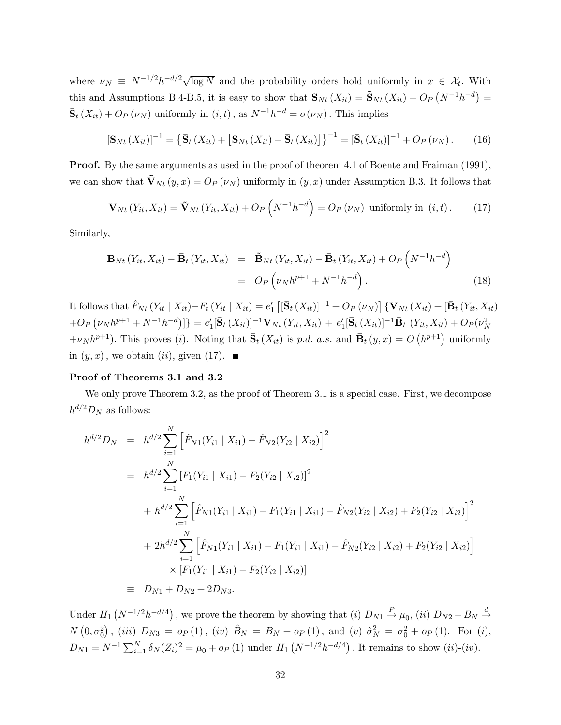where  $\nu_N \equiv N^{-1/2}h^{-d/2}\sqrt{\log N}$  and the probability orders hold uniformly in  $x \in \mathcal{X}_t$ . With this and Assumptions B.4-B.5, it is easy to show that  $\mathbf{S}_{Nt}(X_{it}) = \tilde{\mathbf{S}}_{Nt}(X_{it}) + O_P(N^{-1}h^{-d}) =$  $\bar{S}_t(X_{it}) + O_P(\nu_N)$  uniformly in  $(i, t)$ , as  $N^{-1}h^{-d} = o(\nu_N)$ . This implies

$$
\left[\mathbf{S}_{Nt}\left(X_{it}\right)\right]^{-1}=\left\{\bar{\mathbf{S}}_{t}\left(X_{it}\right)+\left[\mathbf{S}_{Nt}\left(X_{it}\right)-\bar{\mathbf{S}}_{t}\left(X_{it}\right)\right]\right\}^{-1}=\left[\bar{\mathbf{S}}_{t}\left(X_{it}\right)\right]^{-1}+O_{P}\left(\nu_{N}\right). \tag{16}
$$

**Proof.** By the same arguments as used in the proof of theorem 4.1 of Boente and Fraiman (1991), we can show that  $\tilde{\mathbf{V}}_{Nt} (y, x) = O_P (\nu_N)$  uniformly in  $(y, x)$  under Assumption B.3. It follows that

$$
\mathbf{V}_{Nt}\left(Y_{it}, X_{it}\right) = \tilde{\mathbf{V}}_{Nt}\left(Y_{it}, X_{it}\right) + O_P\left(N^{-1}h^{-d}\right) = O_P\left(\nu_N\right) \text{ uniformly in } (i, t). \tag{17}
$$

Similarly,

$$
\mathbf{B}_{Nt} \left( Y_{it}, X_{it} \right) - \bar{\mathbf{B}}_t \left( Y_{it}, X_{it} \right) = \tilde{\mathbf{B}}_{Nt} \left( Y_{it}, X_{it} \right) - \bar{\mathbf{B}}_t \left( Y_{it}, X_{it} \right) + O_P \left( N^{-1} h^{-d} \right)
$$

$$
= O_P \left( \nu_N h^{p+1} + N^{-1} h^{-d} \right). \tag{18}
$$

It follows that  $\hat{F}_{Nt} (Y_{it} | X_{it})-F_t (Y_{it} | X_{it}) = e'_1 [[\bar{S}_t (X_{it})]^{-1} + O_P (\nu_N)] \{V_{Nt} (X_{it}) + [\bar{B}_t (Y_{it}, X_{it})]$  $+O_P \left(\nu_N h^{p+1} + N^{-1} h^{-d}\right)\right] = e'_1 [\bar{\mathbf{S}}_t(X_{it})]^{-1} \mathbf{V}_{Nt}(Y_{it}, X_{it}) + e'_1 [\bar{\mathbf{S}}_t(X_{it})]^{-1} \bar{\mathbf{B}}_t(Y_{it}, X_{it}) + O_P(\nu_N^2) ]$  $+\nu_N h^{p+1}$ ). This proves (*i*). Noting that  $\bar{S}_t(X_{it})$  is p.d. a.s. and  $\bar{B}_t(y,x) = O(h^{p+1})$  uniformly in  $(y, x)$ , we obtain  $(ii)$ , given (17).

## Proof of Theorems 3.1 and 3.2

We only prove Theorem 3.2, as the proof of Theorem 3.1 is a special case. First, we decompose  $h^{d/2}D_N$  as follows:

$$
h^{d/2}D_N = h^{d/2} \sum_{i=1}^N \left[ \hat{F}_{N1}(Y_{i1} | X_{i1}) - \hat{F}_{N2}(Y_{i2} | X_{i2}) \right]^2
$$
  
\n
$$
= h^{d/2} \sum_{i=1}^N \left[ F_1(Y_{i1} | X_{i1}) - F_2(Y_{i2} | X_{i2}) \right]^2
$$
  
\n
$$
+ h^{d/2} \sum_{i=1}^N \left[ \hat{F}_{N1}(Y_{i1} | X_{i1}) - F_1(Y_{i1} | X_{i1}) - \hat{F}_{N2}(Y_{i2} | X_{i2}) + F_2(Y_{i2} | X_{i2}) \right]^2
$$
  
\n
$$
+ 2h^{d/2} \sum_{i=1}^N \left[ \hat{F}_{N1}(Y_{i1} | X_{i1}) - F_1(Y_{i1} | X_{i1}) - \hat{F}_{N2}(Y_{i2} | X_{i2}) + F_2(Y_{i2} | X_{i2}) \right]
$$
  
\n
$$
\times \left[ F_1(Y_{i1} | X_{i1}) - F_2(Y_{i2} | X_{i2}) \right]
$$
  
\n
$$
= D_{N1} + D_{N2} + 2D_{N3}.
$$

Under  $H_1(N^{-1/2}h^{-d/4})$ , we prove the theorem by showing that (i)  $D_{N1} \stackrel{P}{\rightarrow} \mu_0$ , (ii)  $D_{N2} - B_N \stackrel{d}{\rightarrow}$  $N(0, \sigma_0^2)$ , (iii)  $D_{N3} = o_P(1)$ , (iv)  $\hat{B}_N = B_N + o_P(1)$ , and (v)  $\hat{\sigma}_N^2 = \sigma_0^2 + o_P(1)$ . For (i),  $D_{N1} = N^{-1} \sum_{i=1}^{N} \delta_N(Z_i)^2 = \mu_0 + o_P(1)$  under  $H_1(N^{-1/2}h^{-d/4})$ . It remains to show  $(ii)-(iv)$ .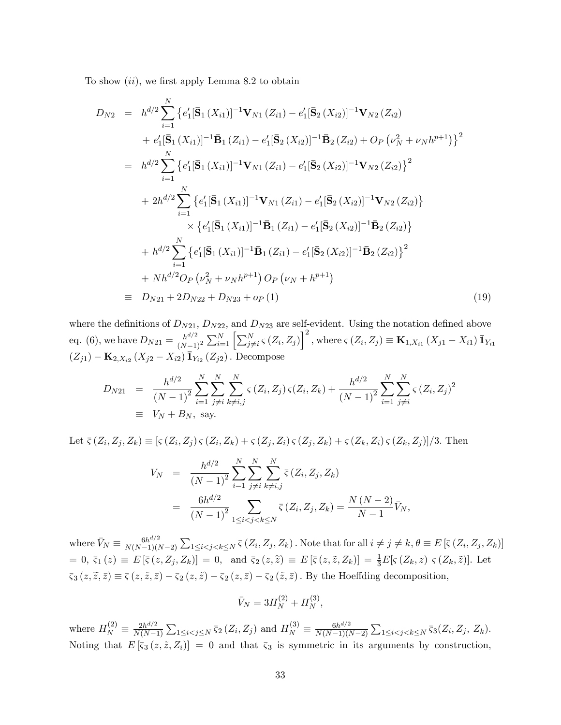To show  $(ii)$ , we first apply Lemma 8.2 to obtain

$$
D_{N2} = h^{d/2} \sum_{i=1}^{N} \{e'_1 [\bar{\mathbf{S}}_1(X_{i1})]^{-1} \mathbf{V}_{N1}(Z_{i1}) - e'_1 [\bar{\mathbf{S}}_2(X_{i2})]^{-1} \mathbf{V}_{N2}(Z_{i2})
$$
  
+  $e'_1 [\bar{\mathbf{S}}_1(X_{i1})]^{-1} \bar{\mathbf{B}}_1(Z_{i1}) - e'_1 [\bar{\mathbf{S}}_2(X_{i2})]^{-1} \bar{\mathbf{B}}_2(Z_{i2}) + O_P(\nu_N^2 + \nu_N h^{p+1}) \}^2$   
=  $h^{d/2} \sum_{i=1}^{N} \{e'_1 [\bar{\mathbf{S}}_1(X_{i1})]^{-1} \mathbf{V}_{N1}(Z_{i1}) - e'_1 [\bar{\mathbf{S}}_2(X_{i2})]^{-1} \mathbf{V}_{N2}(Z_{i2}) \}^2$   
+  $2h^{d/2} \sum_{i=1}^{N} \{e'_1 [\bar{\mathbf{S}}_1(X_{i1})]^{-1} \mathbf{V}_{N1}(Z_{i1}) - e'_1 [\bar{\mathbf{S}}_2(X_{i2})]^{-1} \mathbf{V}_{N2}(Z_{i2}) \} \times \{e'_1 [\bar{\mathbf{S}}_1(X_{i1})]^{-1} \bar{\mathbf{B}}_1(Z_{i1}) - e'_1 [\bar{\mathbf{S}}_2(X_{i2})]^{-1} \bar{\mathbf{B}}_2(Z_{i2}) \} + h^{d/2} \sum_{i=1}^{N} \{e'_1 [\bar{\mathbf{S}}_1(X_{i1})]^{-1} \bar{\mathbf{B}}_1(Z_{i1}) - e'_1 [\bar{\mathbf{S}}_2(X_{i2})]^{-1} \bar{\mathbf{B}}_2(Z_{i2}) \}^2$   
+  $Nh^{d/2} O_P(\nu_N^2 + \nu_N h^{p+1}) O_P(\nu_N + h^{p+1})$   
=  $D_{N21} + 2D_{N22} + D_{N23} + o_P(1)$  (19)

where the definitions of  $D_{N21}$ ,  $D_{N22}$ , and  $D_{N23}$  are self-evident. Using the notation defined above eq. (6), we have  $D_{N21} = \frac{h^{d/2}}{(N-1)}$  $\sqrt{(N-1)^2}$  $\sum_{i=1}^{N} \left[ \sum_{j \neq i}^{N} \zeta (Z_i, Z_j) \right]^2$ , where  $\zeta (Z_i, Z_j) \equiv \mathbf{K}_{1,X_{i1}} (X_{j1} - X_{i1}) \bar{\mathbf{1}}_{Y_{i1}}$  $(Z_{j1}) - \mathbf{K}_{2,X_{i2}} (X_{j2} - X_{i2}) \bar{\mathbf{1}}_{Y_{i2}} (Z_{j2})$ . Decompose

$$
D_{N21} = \frac{h^{d/2}}{(N-1)^2} \sum_{i=1}^{N} \sum_{j \neq i}^{N} \sum_{k \neq i,j}^{N} \varsigma(Z_i, Z_j) \varsigma(Z_i, Z_k) + \frac{h^{d/2}}{(N-1)^2} \sum_{i=1}^{N} \sum_{j \neq i}^{N} \varsigma(Z_i, Z_j)^2
$$
  
\n
$$
\equiv V_N + B_N, \text{ say.}
$$

Let  $\bar{\zeta}(Z_i, Z_j, Z_k) \equiv [\zeta(Z_i, Z_j) \, \zeta(Z_i, Z_k) + \zeta(Z_j, Z_i) \, \zeta(Z_j, Z_k) + \zeta(Z_k, Z_i) \, \zeta(Z_k, Z_j)]/3.$  Then

$$
V_N = \frac{h^{d/2}}{(N-1)^2} \sum_{i=1}^N \sum_{j \neq i}^N \sum_{k \neq i,j}^N \overline{\varsigma} (Z_i, Z_j, Z_k)
$$
  
= 
$$
\frac{6h^{d/2}}{(N-1)^2} \sum_{1 \leq i < j < k \leq N} \overline{\varsigma} (Z_i, Z_j, Z_k) = \frac{N (N-2)}{N-1} \overline{V}_N,
$$

where  $\bar{V}_N \equiv \frac{6h^{d/2}}{N(N-1)(l)}$  $N(N-1)(N-2)$  $\sum_{1 \leq i < j < k \leq N} \bar{\varsigma} (Z_i, Z_j, Z_k)$ . Note that for all  $i \neq j \neq k, \theta \equiv E [\bar{\varsigma} (Z_i, Z_j, Z_k)]$  $= 0, \, \bar{\zeta}_1(z) \equiv E[\bar{\zeta}(z, Z_j, Z_k)] = 0, \text{ and } \bar{\zeta}_2(z, \tilde{z}) \equiv E[\bar{\zeta}(z, \tilde{z}, Z_k)] = \frac{1}{3}E[\zeta(Z_k, z) \, \zeta(Z_k, \tilde{z})].$  Let  $\overline{\varsigma}_{3}(z,\widetilde{z},\overline{z}) \equiv \overline{\varsigma}(z,\widetilde{z},\overline{z}) - \overline{\varsigma}_{2}(z,\widetilde{z}) - \overline{\varsigma}_{2}(z,\overline{z}) - \overline{\varsigma}_{2}(\widetilde{z},\overline{z})$ . By the Hoeffding decomposition,

$$
\bar{V}_N = 3H_N^{(2)} + H_N^{(3)},
$$

where  $H_N^{(2)} \equiv \frac{2h^{d/2}}{N(N-1)}$  $N(N-1)$  $\sum_{1 \leq i < j \leq N} \bar{\varsigma}_2(Z_i, Z_j)$  and  $H_N^{(3)} \equiv \frac{6h^{d/2}}{N(N-1)(N-1)}$  $N(N-1)(N-2)$  $\sum_{1 \leq i < j < k \leq N} \overline{\varsigma}_3(Z_i, Z_j, Z_k).$ Noting that  $E[\bar{\varsigma}_3(z,\tilde{z},Z_i)] = 0$  and that  $\bar{\varsigma}_3$  is symmetric in its arguments by construction,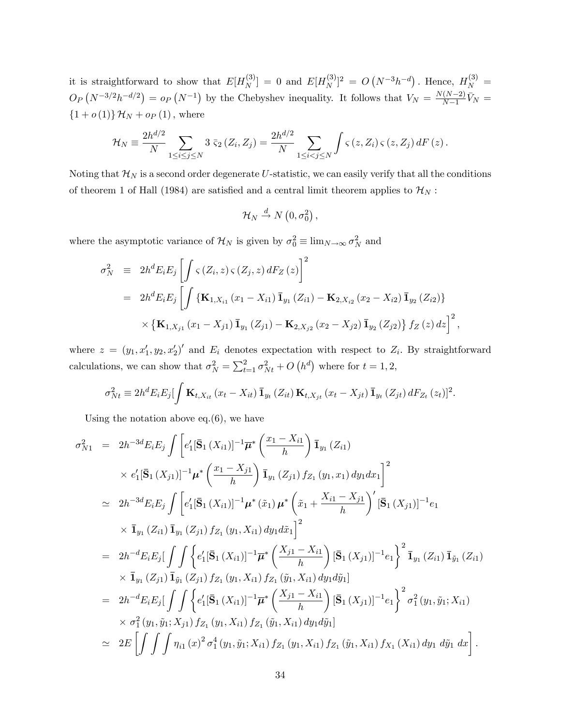it is straightforward to show that  $E[H_N^{(3)}]$  $\binom{[3]}{N} = 0$  and  $E[H_N^{(3)}]$  $[N^{(3)}]^2 = O(N^{-3}h^{-d})$ . Hence,  $H_N^{(3)} =$  $O_P(N^{-3/2}h^{-d/2}) = o_P(N^{-1})$  by the Chebyshev inequality. It follows that  $V_N = \frac{N(N-2)}{N-1}$  $\frac{(N-2)}{N-1}\bar{V}_N =$  ${1 + o(1)}$   $\mathcal{H}_N + o_P(1)$ , where

$$
\mathcal{H}_N \equiv \frac{2h^{d/2}}{N} \sum_{1 \leq i \leq j \leq N} 3 \overline{\varsigma}_2(Z_i, Z_j) = \frac{2h^{d/2}}{N} \sum_{1 \leq i < j \leq N} \int \varsigma(z, Z_i) \, \varsigma(z, Z_j) \, dF(z).
$$

Noting that  $\mathcal{H}_N$  is a second order degenerate U-statistic, we can easily verify that all the conditions of theorem 1 of Hall (1984) are satisfied and a central limit theorem applies to  $\mathcal{H}_N$ :

$$
\mathcal{H}_N \stackrel{d}{\rightarrow} N(0, \sigma_0^2),
$$

where the asymptotic variance of  $\mathcal{H}_N$  is given by  $\sigma_0^2 \equiv \lim_{N \to \infty} \sigma_N^2$  and

$$
\sigma_N^2 = 2h^d E_i E_j \left[ \int \varsigma(Z_i, z) \, \varsigma(Z_j, z) \, dF_Z(z) \right]^2
$$
  
= 
$$
2h^d E_i E_j \left[ \int \{ \mathbf{K}_{1, X_{i1}} (x_1 - X_{i1}) \, \mathbf{I}_{y_1} (Z_{i1}) - \mathbf{K}_{2, X_{i2}} (x_2 - X_{i2}) \, \mathbf{I}_{y_2} (Z_{i2}) \right\}
$$
  

$$
\times \left\{ \mathbf{K}_{1, X_{j1}} (x_1 - X_{j1}) \, \mathbf{I}_{y_1} (Z_{j1}) - \mathbf{K}_{2, X_{j2}} (x_2 - X_{j2}) \, \mathbf{I}_{y_2} (Z_{j2}) \right\} f_Z(z) \, dz \right]^2,
$$

where  $z = (y_1, x_1', y_2, x_2')'$  and  $E_i$  denotes expectation with respect to  $Z_i$ . By straightforward calculations, we can show that  $\sigma_N^2 = \sum_{t=1}^2 \sigma_{Nt}^2 + O(n^d)$  where for  $t = 1, 2$ ,

$$
\sigma_{Nt}^2 \equiv 2h^d E_i E_j \left[ \int \mathbf{K}_{t,X_{it}} \left( x_t - X_{it} \right) \bar{\mathbf{I}}_{y_t} \left( Z_{it} \right) \mathbf{K}_{t,X_{jt}} \left( x_t - X_{jt} \right) \bar{\mathbf{I}}_{y_t} \left( Z_{jt} \right) dF_{Z_t} \left( z_t \right) \right]^2.
$$

Using the notation above  $eq.(6)$ , we have

$$
\sigma_{N1}^{2} = 2h^{-3d}E_{i}E_{j}\int \left[e_{1}'[\bar{\mathbf{S}}_{1}(X_{i1})]^{-1}\overline{\mu}^{*}\left(\frac{x_{1}-X_{i1}}{h}\right)\bar{\mathbf{I}}_{y_{1}}(Z_{i1})\right] \times e_{1}'[\bar{\mathbf{S}}_{1}(X_{j1})]^{-1}\mu^{*}\left(\frac{x_{1}-X_{j1}}{h}\right)\bar{\mathbf{I}}_{y_{1}}(Z_{j1})f_{Z_{1}}(y_{1},x_{1})dy_{1}dx_{1}\right]^{2}
$$
\n
$$
\simeq 2h^{-3d}E_{i}E_{j}\int \left[e_{1}'[\bar{\mathbf{S}}_{1}(X_{i1})]^{-1}\mu^{*}(\tilde{x}_{1})\mu^{*}\left(\tilde{x}_{1}+\frac{X_{i1}-X_{j1}}{h}\right)'\left[\bar{\mathbf{S}}_{1}(X_{j1})\right]^{-1}e_{1}\right] \times \bar{\mathbf{I}}_{y_{1}}(Z_{i1})\bar{\mathbf{I}}_{y_{1}}(Z_{j1})f_{Z_{1}}(y_{1},X_{i1})dy_{1}d\tilde{x}_{1}\right]^{2}
$$
\n
$$
= 2h^{-d}E_{i}E_{j}[\int \int \left\{e_{1}'[\bar{\mathbf{S}}_{1}(X_{i1})]^{-1}\overline{\mu}^{*}\left(\frac{X_{j1}-X_{i1}}{h}\right)[\bar{\mathbf{S}}_{1}(X_{j1})]^{-1}e_{1}\right\}^{2}\bar{\mathbf{I}}_{y_{1}}(Z_{i1})\bar{\mathbf{I}}_{\tilde{y}_{1}}(Z_{i1})\right\} \times \bar{\mathbf{I}}_{y_{1}}(Z_{j1})\bar{\mathbf{I}}_{\tilde{y}_{1}}(Z_{j1})f_{Z_{1}}(y_{1},X_{i1})f_{Z_{1}}(\tilde{y}_{1},X_{i1})dy_{1}d\tilde{y}_{1}]
$$
\n
$$
= 2h^{-d}E_{i}E_{j}[\int \int \left\{e_{1}'[\bar{\mathbf{S}}_{1}(X_{i1})]^{-1}\overline{\mu}^{*}\left(\frac{X_{j1}-X_{i1}}{h}\right)[\bar{\mathbf{S}}_{1}(X_{j1})]^{-1}e_{1}\right\}^{2}\sigma_{1}^{2
$$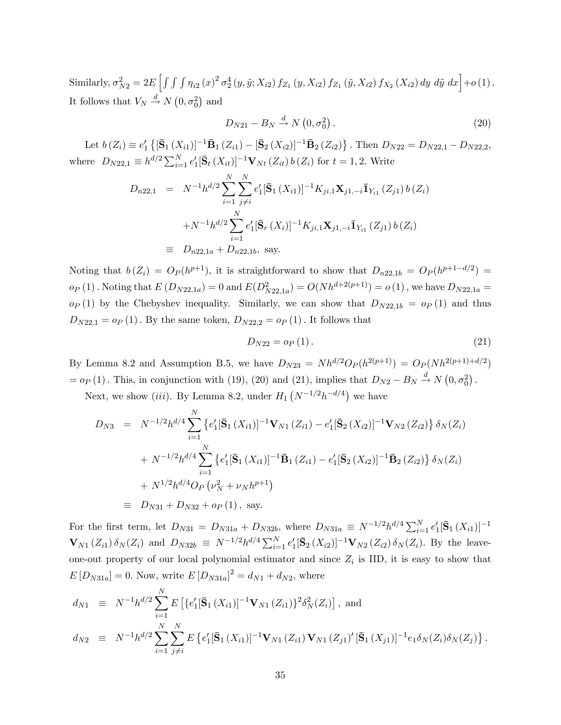Similarly,  $\sigma_{N2}^2 = 2E \left[ \int \int \int \eta_{i2}(x)^2 \sigma_2^4(y, \tilde{y}; X_{i2}) f_{Z_1}(y, X_{i2}) f_{Z_1}(\tilde{y}, X_{i2}) f_{X_2}(X_{i2}) dy dy \right] + o(1)$ . It follows that  $V_N \stackrel{d}{\rightarrow} N(0, \sigma_0^2)$  and

$$
D_{N21} - B_N \xrightarrow{d} N\left(0, \sigma_0^2\right). \tag{20}
$$

Let  $b(Z_i) \equiv e'_1 \left\{ [\bar{\mathbf{S}}_1(X_{i1})]^{-1} \bar{\mathbf{B}}_1(Z_{i1}) - [\bar{\mathbf{S}}_2(X_{i2})]^{-1} \bar{\mathbf{B}}_2(Z_{i2}) \right\}$ . Then  $D_{N22} = D_{N22,1} - D_{N22,2}$ , where  $D_{N22,1} \equiv h^{d/2} \sum_{i=1}^{N} e'_1 [\bar{\mathbf{S}}_t(X_{it})]^{-1} \mathbf{V}_{Nt}(Z_{it}) b(Z_i)$  for  $t = 1, 2$ . Write

$$
D_{n22,1} = N^{-1}h^{d/2} \sum_{i=1}^{N} \sum_{j \neq i}^{N} e'_1 [\bar{\mathbf{S}}_1(X_{i1})]^{-1} K_{ji,1} \mathbf{X}_{j1,-i} \bar{\mathbf{1}}_{Y_{i1}}(Z_{j1}) b(Z_i)
$$
  
+N<sup>-1</sup>h<sup>d/2</sup>  $\sum_{i=1}^{N} e'_1 [\bar{\mathbf{S}}_r(X_i)]^{-1} K_{ji,1} \mathbf{X}_{j1,-i} \bar{\mathbf{1}}_{Y_{i1}}(Z_{j1}) b(Z_i)$   
=  $D_{n22,1a} + D_{n22,1b}$ , say.

Noting that  $b(Z_i) = O_P(h^{p+1})$ , it is straightforward to show that  $D_{n22,1b} = O_P(h^{p+1-d/2})$  $o_P(1)$ . Noting that  $E(D_{N22,1a}) = 0$  and  $E(D_{N22,1a}^2) = O(Nh^{d+2(p+1)}) = o(1)$ , we have  $D_{N22,1a} =$  $o_P(1)$  by the Chebyshev inequality. Similarly, we can show that  $D_{N22,1b} = o_P(1)$  and thus  $D_{N22,1} = o_P(1)$ . By the same token,  $D_{N22,2} = o_P(1)$ . It follows that

$$
D_{N22} = o_P(1). \tag{21}
$$

By Lemma 8.2 and Assumption B.5, we have  $D_{N23} = Nh^{d/2}O_P(h^{2(p+1)}) = O_P(Nh^{2(p+1)+d/2})$  $= o_P(1)$ . This, in conjunction with (19), (20) and (21), implies that  $D_{N2} - B_N \stackrel{d}{\rightarrow} N(0, \sigma_0^2)$ .

Next, we show *(iii)*. By Lemma 8.2, under  $H_1(N^{-1/2}h^{-d/4})$  we have

$$
D_{N3} = N^{-1/2}h^{d/4} \sum_{i=1}^{N} \left\{ e_1' [\bar{\mathbf{S}}_1(X_{i1})]^{-1} \mathbf{V}_{N1}(Z_{i1}) - e_1' [\bar{\mathbf{S}}_2(X_{i2})]^{-1} \mathbf{V}_{N2}(Z_{i2}) \right\} \delta_N(Z_i)
$$
  
+  $N^{-1/2}h^{d/4} \sum_{i=1}^{N} \left\{ e_1' [\bar{\mathbf{S}}_1(X_{i1})]^{-1} \bar{\mathbf{B}}_1(Z_{i1}) - e_1' [\bar{\mathbf{S}}_2(X_{i2})]^{-1} \bar{\mathbf{B}}_2(Z_{i2}) \right\} \delta_N(Z_i)$   
+  $N^{1/2}h^{d/4} O_P(\nu_N^2 + \nu_N h^{p+1})$   
=  $D_{N31} + D_{N32} + o_P(1)$ , say.

For the first term, let  $D_{N31} = D_{N31a} + D_{N32b}$ , where  $D_{N31a} \equiv N^{-1/2}h^{d/4} \sum_{i=1}^{N} e'_1 [\bar{S}_1(X_{i1})]^{-1}$  ${\bf V}_{N1}(Z_{i1}) \, \delta_N(Z_i)$  and  $D_{N32b} \equiv N^{-1/2} h^{d/4} \sum_{i=1}^N e'_1 [\bar{\bf S}_2(X_{i2})]^{-1} {\bf V}_{N2}(Z_{i2}) \, \delta_N(Z_i)$ . By the leaveone-out property of our local polynomial estimator and since  $Z_i$  is IID, it is easy to show that  $E[D_{N31a}] = 0.$  Now, write  $E[D_{N31a}]^2 = d_{N1} + d_{N2}$ , where

$$
d_{N1} \equiv N^{-1}h^{d/2} \sum_{i=1}^{N} E\left[\{e'_1[\bar{\mathbf{S}}_1(X_{i1})]^{-1}\mathbf{V}_{N1}(Z_{i1})\}^2 \delta_N^2(Z_i)\right], \text{ and}
$$
  
\n
$$
d_{N2} \equiv N^{-1}h^{d/2} \sum_{i=1}^{N} \sum_{j \neq i}^{N} E\left\{e'_1[\bar{\mathbf{S}}_1(X_{i1})]^{-1}\mathbf{V}_{N1}(Z_{i1})\mathbf{V}_{N1}(Z_{j1})'\left[\bar{\mathbf{S}}_1(X_{j1})\right]^{-1}e_1\delta_N(Z_i)\delta_N(Z_j)\right\}.
$$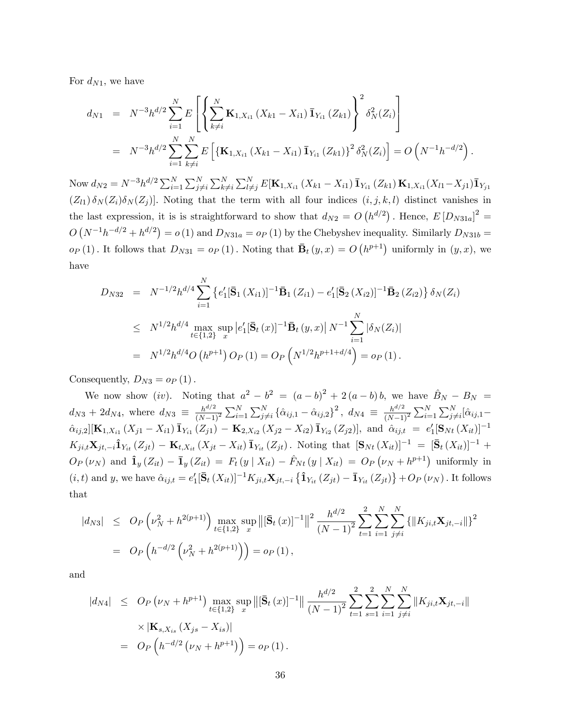For  $d_{N1}$ , we have

$$
d_{N1} = N^{-3}h^{d/2} \sum_{i=1}^{N} E\left[\left\{\sum_{k\neq i}^{N} \mathbf{K}_{1,X_{i1}}\left(X_{k1}-X_{i1}\right) \bar{\mathbf{1}}_{Y_{i1}}\left(Z_{k1}\right)\right\}^{2} \delta_{N}^{2}(Z_{i})\right]
$$
  
=  $N^{-3}h^{d/2} \sum_{i=1}^{N} \sum_{k\neq i}^{N} E\left[\left\{\mathbf{K}_{1,X_{i1}}\left(X_{k1}-X_{i1}\right) \bar{\mathbf{1}}_{Y_{i1}}\left(Z_{k1}\right)\right\}^{2} \delta_{N}^{2}(Z_{i})\right] = O\left(N^{-1}h^{-d/2}\right).$ 

Now  $d_{N2} = N^{-3}h^{d/2}\sum_{i=1}^{N}\sum_{j\neq i}^{N}\sum_{k\neq i}^{N}\sum_{l\neq j}^{N}E[\mathbf{K}_{1,X_{i1}}(X_{k1}-X_{i1})\bar{\mathbf{1}}_{Y_{i1}}(Z_{k1})\mathbf{K}_{1,X_{i1}}(X_{l1}-X_{j1})\bar{\mathbf{1}}_{Y_{j1}}$  $(Z_{l1}) \delta_N(Z_i) \delta_N(Z_j)$ . Noting that the term with all four indices  $(i, j, k, l)$  distinct vanishes in the last expression, it is is straightforward to show that  $d_{N2} = O(h^{d/2})$ . Hence,  $E[D_{N31a}]^2 =$  $O(N^{-1}h^{-d/2} + h^{d/2}) = o(1)$  and  $D_{N31a} = o_P(1)$  by the Chebyshev inequality. Similarly  $D_{N31b} =$  $o_P(1)$ . It follows that  $D_{N31} = o_P(1)$ . Noting that  $\bar{\mathbf{B}}_t(y, x) = O(h^{p+1})$  uniformly in  $(y, x)$ , we have

$$
D_{N32} = N^{-1/2} h^{d/4} \sum_{i=1}^{N} \left\{ e'_1 [\bar{\mathbf{S}}_1(X_{i1})]^{-1} \bar{\mathbf{B}}_1(Z_{i1}) - e'_1 [\bar{\mathbf{S}}_2(X_{i2})]^{-1} \bar{\mathbf{B}}_2(Z_{i2}) \right\} \delta_N(Z_i)
$$
  
\n
$$
\leq N^{1/2} h^{d/4} \max_{t \in \{1,2\}} \sup_x |e'_1 [\bar{\mathbf{S}}_t(x)]^{-1} \bar{\mathbf{B}}_t(y,x) | N^{-1} \sum_{i=1}^{N} |\delta_N(Z_i)|
$$
  
\n
$$
= N^{1/2} h^{d/4} O(h^{p+1}) O_P(1) = O_P\left(N^{1/2} h^{p+1+d/4}\right) = o_P(1).
$$

Consequently,  $D_{N3} = o_P(1)$ .

We now show (iv). Noting that  $a^2 - b^2 = (a - b)^2 + 2(a - b)b$ , we have  $\hat{B}_N - B_N =$  $d_{N3} + 2d_{N4}$ , where  $d_{N3} \equiv \frac{h^{d/2}}{(N-1)}$  $(N-1)^2$  $\sum_{i=1}^{N} \sum_{j \neq i}^{N} \left\{ \hat{\alpha}_{ij,1} - \hat{\alpha}_{ij,2} \right\}^2$ ,  $d_{N4} \equiv \frac{h^{d/2}}{(N-1)}$  $\overline{(N-1)^2}$  $\sum_{i=1}^{N} \sum_{j\neq i}^{N} [\hat{\alpha}_{ij,1} \hat{\alpha}_{ij,2}$ [K<sub>1,X<sub>i1</sub></sub> (X<sub>j1</sub> - X<sub>i1</sub>)  $\bar{\mathbf{I}}_{Y_{i1}}(Z_{j1})$  - K<sub>2,X<sub>i2</sub></sub> (X<sub>j2</sub> - X<sub>i2</sub>)  $\bar{\mathbf{I}}_{Y_{i2}}(Z_{j2})$ ], and  $\hat{\alpha}_{ij,t} = e'_1[\mathbf{S}_{Nt}(X_{it})]^{-1}$  $K_{ji,t} \mathbf{X}_{jt,-i} \hat{\mathbf{1}}_{Y_{it}} (Z_{jt}) - \mathbf{K}_{t,X_{it}} (X_{jt} - X_{it}) \overline{\mathbf{1}}_{Y_{it}} (Z_{jt})$ . Noting that  $[\mathbf{S}_{Nt} (X_{it})]^{-1} = [\overline{\mathbf{S}}_{t} (X_{it})]^{-1} +$  $O_P(\nu_N)$  and  $\hat{\mathbf{1}}_y (Z_{it}) - \bar{\mathbf{1}}_y (Z_{it}) = F_t (y | X_{it}) - \hat{F}_{Nt} (y | X_{it}) = O_P (\nu_N + h^{p+1})$  uniformly in  $(i, t)$  and y, we have  $\hat{\alpha}_{ij,t} = e'_1 [\bar{S}_t(X_{it})]^{-1} K_{ji,t} \mathbf{X}_{jt,-i} \{\hat{\mathbf{1}}_{Y_{it}}(Z_{jt}) - \bar{\mathbf{1}}_{Y_{it}}(Z_{jt})\} + O_P(\nu_N)$ . It follows that

$$
|d_{N3}| \leq O_P\left(\nu_N^2 + h^{2(p+1)}\right) \max_{t \in \{1,2\}} \sup_x \left\| [\bar{\mathbf{S}}_t(x)]^{-1} \right\|^2 \frac{h^{d/2}}{(N-1)^2} \sum_{t=1}^2 \sum_{i=1}^N \sum_{j \neq i}^N \left\{ \|K_{ji,t} \mathbf{X}_{jt,-i} \|\right\}^2
$$
  
=  $O_P\left(h^{-d/2}\left(\nu_N^2 + h^{2(p+1)}\right)\right) = o_P(1),$ 

and

$$
|d_{N4}| \leq O_P(\nu_N + h^{p+1}) \max_{t \in \{1,2\}} \sup_x \left\| [\bar{\mathbf{S}}_t(x)]^{-1} \right\| \frac{h^{d/2}}{(N-1)^2} \sum_{t=1}^2 \sum_{s=1}^2 \sum_{i=1}^N \sum_{j \neq i}^N \left\| K_{ji,t} \mathbf{X}_{jt,-i} \right\|
$$
  
 
$$
\times \left| \mathbf{K}_{s,X_{is}} \left( X_{js} - X_{is} \right) \right|
$$
  
=  $O_P\left( h^{-d/2} \left( \nu_N + h^{p+1} \right) \right) = o_P(1).$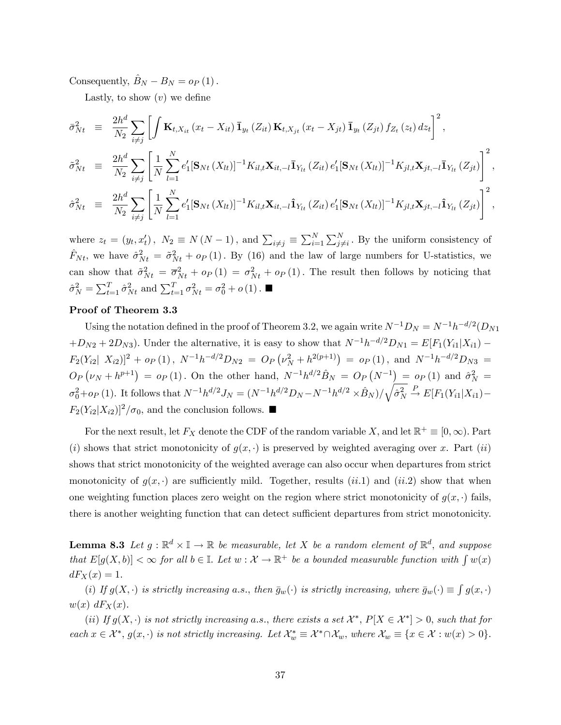Consequently,  $B_N - B_N = o_P (1)$ .

Lastly, to show  $(v)$  we define

$$
\bar{\sigma}_{Nt}^{2} = \frac{2h^{d}}{N_{2}} \sum_{i \neq j} \left[ \int \mathbf{K}_{t,X_{it}}(x_{t} - X_{it}) \mathbf{I}_{y_{t}}(Z_{it}) \mathbf{K}_{t,X_{jt}}(x_{t} - X_{jt}) \mathbf{I}_{y_{t}}(Z_{jt}) f_{Z_{t}}(z_{t}) dz_{t} \right]^{2},
$$
\n
$$
\tilde{\sigma}_{Nt}^{2} = \frac{2h^{d}}{N_{2}} \sum_{i \neq j} \left[ \frac{1}{N} \sum_{l=1}^{N} e_{1}'[\mathbf{S}_{Nt}(X_{lt})]^{-1} K_{il,t} \mathbf{X}_{it,-l} \mathbf{I}_{Y_{lt}}(Z_{it}) e_{1}'[\mathbf{S}_{Nt}(X_{lt})]^{-1} K_{jl,t} \mathbf{X}_{jt,-l} \mathbf{I}_{Y_{lt}}(Z_{jt}) \right]^{2},
$$
\n
$$
\hat{\sigma}_{Nt}^{2} = \frac{2h^{d}}{N_{2}} \sum_{i \neq j} \left[ \frac{1}{N} \sum_{l=1}^{N} e_{1}'[\mathbf{S}_{Nt}(X_{lt})]^{-1} K_{il,t} \mathbf{X}_{it,-l} \hat{\mathbf{1}}_{Y_{lt}}(Z_{it}) e_{1}'[\mathbf{S}_{Nt}(X_{lt})]^{-1} K_{jl,t} \mathbf{X}_{jt,-l} \hat{\mathbf{1}}_{Y_{lt}}(Z_{jt}) \right]^{2},
$$

where  $z_t = (y_t, x'_t)$ ,  $N_2 \equiv N(N-1)$ , and  $\sum_{i \neq j} \equiv \sum_{i=1}^N \sum_{j \neq i}^N$ . By the uniform consistency of  $\hat{F}_{Nt}$ , we have  $\hat{\sigma}_{Nt}^2 = \hat{\sigma}_{Nt}^2 + o_P (1)$ . By (16) and the law of large numbers for U-statistics, we can show that  $\tilde{\sigma}_{Nt}^2 = \overline{\sigma}_{Nt}^2 + o_P(1) = \sigma_{Nt}^2 + o_P(1)$ . The result then follows by noticing that  $\hat{\sigma}_N^2 = \sum_{t=1}^T \hat{\sigma}_{Nt}^2$  and  $\sum_{t=1}^T \sigma_{Nt}^2 = \sigma_0^2 + o(1)$ .

## Proof of Theorem 3.3

Using the notation defined in the proof of Theorem 3.2, we again write  $N^{-1}D_N = N^{-1}h^{-d/2}(D_{N1})$  $+D_{N2}+2D_{N3}$ ). Under the alternative, it is easy to show that  $N^{-1}h^{-d/2}D_{N1} = E[F_1(Y_{i1}|X_{i1}) F_2(Y_{i2} | X_{i2})]^2 + o_P(1)$ ,  $N^{-1}h^{-d/2}D_{N2} = O_P(\nu_N^2 + h^{2(p+1)}) = o_P(1)$ , and  $N^{-1}h^{-d/2}D_{N3} =$  $O_P(p \ ( \nu_N + h^{p+1}) = o_P(1)$ . On the other hand,  $N^{-1} h^{d/2} \hat{B}_N = O_P(N^{-1}) = o_P(1)$  and  $\hat{\sigma}_N^2 =$  $\sigma_0^2 + o_P(1)$ . It follows that  $N^{-1}h^{d/2}J_N = (N^{-1}h^{d/2}D_N - N^{-1}h^{d/2} \times \hat{B}_N)/\sqrt{\hat{\sigma}_N^2} \stackrel{P}{\to} E[F_1(Y_{i1}|X_{i1}) F_2(Y_{i2}|X_{i2})^2/\sigma_0$ , and the conclusion follows.

For the next result, let  $F_X$  denote the CDF of the random variable X, and let  $\mathbb{R}^+ \equiv [0,\infty)$ . Part (i) shows that strict monotonicity of  $g(x, \cdot)$  is preserved by weighted averaging over x. Part (ii) shows that strict monotonicity of the weighted average can also occur when departures from strict monotonicity of  $g(x, \cdot)$  are sufficiently mild. Together, results (ii.1) and (ii.2) show that when one weighting function places zero weight on the region where strict monotonicity of  $g(x, \cdot)$  fails, there is another weighting function that can detect sufficient departures from strict monotonicity.

**Lemma 8.3** Let  $g : \mathbb{R}^d \times \mathbb{I} \to \mathbb{R}$  be measurable, let X be a random element of  $\mathbb{R}^d$ , and suppose that  $E[g(X, b)] < \infty$  for all  $b \in \mathbb{I}$ . Let  $w : \mathcal{X} \to \mathbb{R}^+$  be a bounded measurable function with  $\int w(x)$  $dF_X(x) = 1.$ 

(i) If  $g(X, \cdot)$  is strictly increasing a.s., then  $\bar{g}_w(\cdot)$  is strictly increasing, where  $\bar{g}_w(\cdot) \equiv \int g(x, \cdot)$  $w(x) dF_X(x)$ .

(ii) If  $g(X, \cdot)$  is not strictly increasing a.s., there exists a set  $\mathcal{X}^*, P[X \in \mathcal{X}^*] > 0$ , such that for each  $x \in \mathcal{X}^*, g(x, \cdot)$  is not strictly increasing. Let  $\mathcal{X}^*_{w} \equiv \mathcal{X}^* \cap \mathcal{X}_w$ , where  $\mathcal{X}_w \equiv \{x \in \mathcal{X} : w(x) > 0\}.$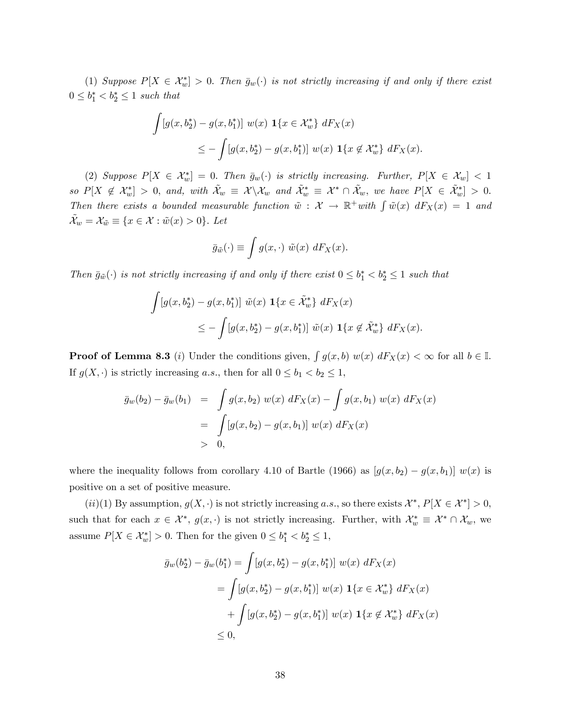(1) Suppose  $P[X \in \mathcal{X}_w^*] > 0$ . Then  $\bar{g}_w(\cdot)$  is not strictly increasing if and only if there exist  $0 \leq b_1^* < b_2^* \leq 1$  such that

$$
\int [g(x, b_2^*) - g(x, b_1^*)] w(x) \mathbf{1}\{x \in \mathcal{X}_w^*\} dF_X(x)
$$
  

$$
\leq -\int [g(x, b_2^*) - g(x, b_1^*)] w(x) \mathbf{1}\{x \notin \mathcal{X}_w^*\} dF_X(x).
$$

(2) Suppose  $P[X \in \mathcal{X}_w^*]=0$ . Then  $\bar{g}_w(\cdot)$  is strictly increasing. Further,  $P[X \in \mathcal{X}_w]<1$ so  $P[X \notin \mathcal{X}_{w}^{*}] > 0$ , and, with  $\tilde{\mathcal{X}}_{w} \equiv \mathcal{X} \setminus \mathcal{X}_{w}$  and  $\tilde{\mathcal{X}}_{w}^{*} \equiv \mathcal{X}^{*} \cap \tilde{\mathcal{X}}_{w}$ , we have  $P[X \in \tilde{\mathcal{X}}_{w}^{*}] > 0$ . Then there exists a bounded measurable function  $\tilde{w}$  :  $\mathcal{X} \to \mathbb{R}^+$  with  $\int \tilde{w}(x) dF_X(x) = 1$  and  $\mathcal{X}_w = \mathcal{X}_{\tilde{w}} \equiv \{x \in \mathcal{X} : \tilde{w}(x) > 0\}.$  Let

$$
\bar{g}_{\tilde{w}}(\cdot) \equiv \int g(x, \cdot) \ \tilde{w}(x) \ dF_X(x).
$$

Then  $\bar{g}_{\tilde{w}}(\cdot)$  is not strictly increasing if and only if there exist  $0 \leq b_1^* < b_2^* \leq 1$  such that

$$
\int [g(x, b_2^*) - g(x, b_1^*)] \tilde{w}(x) \mathbf{1}\{x \in \tilde{\mathcal{X}}_w^*\} dF_X(x)
$$
  

$$
\leq -\int [g(x, b_2^*) - g(x, b_1^*)] \tilde{w}(x) \mathbf{1}\{x \notin \tilde{\mathcal{X}}_w^*\} dF_X(x).
$$

**Proof of Lemma 8.3** (*i*) Under the conditions given,  $\int g(x, b) w(x) dF_X(x) < \infty$  for all  $b \in \mathbb{I}$ . If  $g(X, \cdot)$  is strictly increasing a.s., then for all  $0 \le b_1 < b_2 \le 1$ ,

$$
\bar{g}_w(b_2) - \bar{g}_w(b_1) = \int g(x, b_2) w(x) dF_X(x) - \int g(x, b_1) w(x) dF_X(x)
$$
  
= 
$$
\int [g(x, b_2) - g(x, b_1)] w(x) dF_X(x)
$$
  
> 0,

where the inequality follows from corollary 4.10 of Bartle (1966) as  $[g(x, b_2) - g(x, b_1)] w(x)$  is positive on a set of positive measure.

 $(ii)(1)$  By assumption,  $g(X, \cdot)$  is not strictly increasing a.s., so there exists  $\mathcal{X}^*, P[X \in \mathcal{X}^*] > 0$ , such that for each  $x \in \mathcal{X}^*$ ,  $g(x, \cdot)$  is not strictly increasing. Further, with  $\mathcal{X}^*_{w} \equiv \mathcal{X}^* \cap \mathcal{X}_{w}$ , we assume  $P[X \in \mathcal{X}_{w}^{*}] > 0$ . Then for the given  $0 \leq b_{1}^{*} < b_{2}^{*} \leq 1$ ,

$$
\bar{g}_w(b_2^*) - \bar{g}_w(b_1^*) = \int [g(x, b_2^*) - g(x, b_1^*)] w(x) dF_X(x)
$$
  
\n
$$
= \int [g(x, b_2^*) - g(x, b_1^*)] w(x) \mathbf{1}\{x \in \mathcal{X}_w^*\} dF_X(x)
$$
  
\n
$$
+ \int [g(x, b_2^*) - g(x, b_1^*)] w(x) \mathbf{1}\{x \notin \mathcal{X}_w^*\} dF_X(x)
$$
  
\n
$$
\leq 0,
$$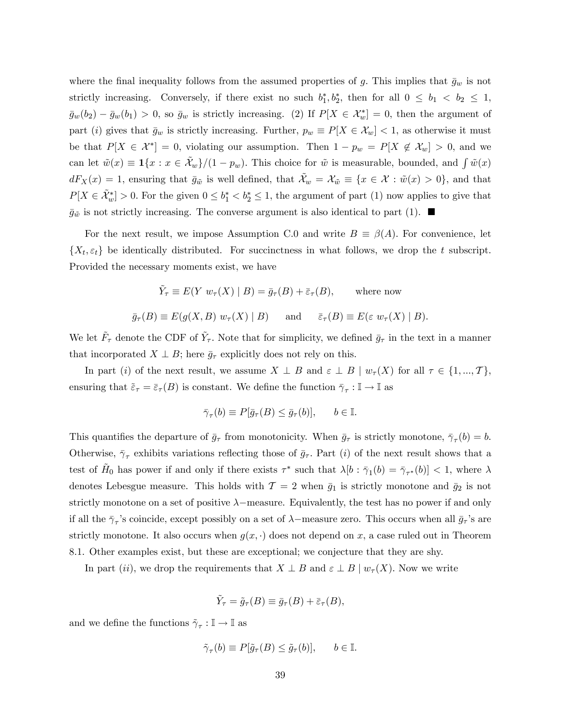where the final inequality follows from the assumed properties of g. This implies that  $\bar{g}_w$  is not strictly increasing. Conversely, if there exist no such  $b_1^*, b_2^*$ , then for all  $0 \le b_1 < b_2 \le 1$ ,  $\bar{g}_w(b_2) - \bar{g}_w(b_1) > 0$ , so  $\bar{g}_w$  is strictly increasing. (2) If  $P[X \in \mathcal{X}_w^*] = 0$ , then the argument of part (i) gives that  $\bar{g}_w$  is strictly increasing. Further,  $p_w \equiv P[X \in \mathcal{X}_w] < 1$ , as otherwise it must be that  $P[X \in \mathcal{X}^*] = 0$ , violating our assumption. Then  $1 - p_w = P[X \notin \mathcal{X}_w] > 0$ , and we can let  $\tilde{w}(x) \equiv \mathbf{1}\{x : x \in \tilde{\mathcal{X}}_w\}/(1 - p_w)$ . This choice for  $\tilde{w}$  is measurable, bounded, and  $\int \tilde{w}(x)$  $dF_X(x) = 1$ , ensuring that  $\bar{g}_{\tilde{w}}$  is well defined, that  $\tilde{\mathcal{X}}_w = \mathcal{X}_{\tilde{w}} \equiv \{x \in \mathcal{X} : \tilde{w}(x) > 0\}$ , and that  $P[X \in \tilde{\mathcal{X}}_w^*] > 0$ . For the given  $0 \le b_1^* < b_2^* \le 1$ , the argument of part (1) now applies to give that  $\bar{g}_{\tilde{\omega}}$  is not strictly increasing. The converse argument is also identical to part (1).

For the next result, we impose Assumption C.0 and write  $B \equiv \beta(A)$ . For convenience, let  $\{X_t, \varepsilon_t\}$  be identically distributed. For succinctness in what follows, we drop the t subscript. Provided the necessary moments exist, we have

$$
\tilde{Y}_{\tau} \equiv E(Y \ w_{\tau}(X) \mid B) = \bar{g}_{\tau}(B) + \bar{\varepsilon}_{\tau}(B), \quad \text{where now}
$$
\n
$$
\bar{g}_{\tau}(B) \equiv E(g(X, B) \ w_{\tau}(X) \mid B) \quad \text{and} \quad \bar{\varepsilon}_{\tau}(B) \equiv E(\varepsilon \ w_{\tau}(X) \mid B).
$$

We let  $\tilde{F}_{\tau}$  denote the CDF of  $\tilde{Y}_{\tau}$ . Note that for simplicity, we defined  $\bar{g}_{\tau}$  in the text in a manner that incorporated  $X \perp B$ ; here  $\bar{g}_{\tau}$  explicitly does not rely on this.

In part (i) of the next result, we assume  $X \perp B$  and  $\varepsilon \perp B \mid w_{\tau}(X)$  for all  $\tau \in \{1, ..., T\}$ , ensuring that  $\tilde{\varepsilon}_{\tau} = \bar{\varepsilon}_{\tau}(B)$  is constant. We define the function  $\bar{\gamma}_{\tau} : \mathbb{I} \to \mathbb{I}$  as

$$
\bar{\gamma}_{\tau}(b) \equiv P[\bar{g}_{\tau}(B) \le \bar{g}_{\tau}(b)], \qquad b \in \mathbb{I}.
$$

This quantifies the departure of  $\bar{g}_{\tau}$  from monotonicity. When  $\bar{g}_{\tau}$  is strictly monotone,  $\bar{\gamma}_{\tau}(b) = b$ . Otherwise,  $\bar{\gamma}_{\tau}$  exhibits variations reflecting those of  $\bar{g}_{\tau}$ . Part (i) of the next result shows that a test of  $H_0$  has power if and only if there exists  $\tau^*$  such that  $\lambda[b]: \bar{\gamma}_1(b) = \bar{\gamma}_{\tau^*}(b)] < 1$ , where  $\lambda$ denotes Lebesgue measure. This holds with  $\mathcal{T} = 2$  when  $\bar{g}_1$  is strictly monotone and  $\bar{g}_2$  is not strictly monotone on a set of positive  $\lambda$ -measure. Equivalently, the test has no power if and only if all the  $\bar{\gamma}_{\tau}$ 's coincide, except possibly on a set of  $\lambda$ –measure zero. This occurs when all  $\bar{g}_{\tau}$ 's are strictly monotone. It also occurs when  $g(x, \cdot)$  does not depend on x, a case ruled out in Theorem 8.1. Other examples exist, but these are exceptional; we conjecture that they are shy.

In part (ii), we drop the requirements that  $X \perp B$  and  $\varepsilon \perp B \mid w_\tau(X)$ . Now we write

$$
\tilde{Y}_{\tau} = \tilde{g}_{\tau}(B) \equiv \bar{g}_{\tau}(B) + \bar{\varepsilon}_{\tau}(B),
$$

and we define the functions  $\tilde{\gamma}_{\tau} : \mathbb{I} \to \mathbb{I}$  as

$$
\tilde{\gamma}_{\tau}(b) \equiv P[\tilde{g}_{\tau}(B) \le \tilde{g}_{\tau}(b)], \qquad b \in \mathbb{I}.
$$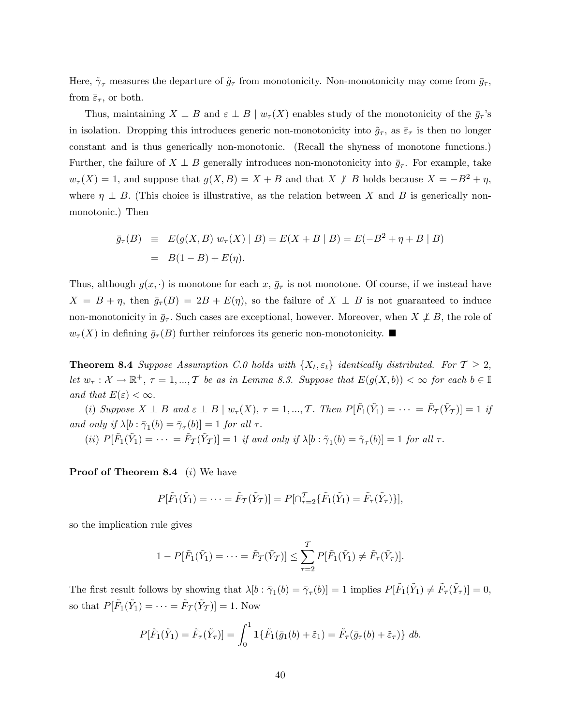Here,  $\tilde{\gamma}_{\tau}$  measures the departure of  $\tilde{g}_{\tau}$  from monotonicity. Non-monotonicity may come from  $\bar{g}_{\tau}$ , from  $\bar{\varepsilon}_{\tau}$ , or both.

Thus, maintaining  $X \perp B$  and  $\varepsilon \perp B \mid w_\tau(X)$  enables study of the monotonicity of the  $\bar{g}_{\tau}$ 's in isolation. Dropping this introduces generic non-monotonicity into  $\tilde{g}_{\tau}$ , as  $\bar{\varepsilon}_{\tau}$  is then no longer constant and is thus generically non-monotonic. (Recall the shyness of monotone functions.) Further, the failure of  $X \perp B$  generally introduces non-monotonicity into  $\bar{g}_{\tau}$ . For example, take  $w_{\tau}(X) = 1$ , and suppose that  $g(X, B) = X + B$  and that  $X \not\perp B$  holds because  $X = -B^2 + \eta$ , where  $\eta \perp B$ . (This choice is illustrative, as the relation between X and B is generically nonmonotonic.) Then

$$
\bar{g}_{\tau}(B) \equiv E(g(X, B) w_{\tau}(X) | B) = E(X + B | B) = E(-B^2 + \eta + B | B)
$$
  
= B(1 - B) + E(\eta).

Thus, although  $g(x, \cdot)$  is monotone for each x,  $\bar{g}_{\tau}$  is not monotone. Of course, if we instead have  $X = B + \eta$ , then  $\bar{g}_{\tau}(B) = 2B + E(\eta)$ , so the failure of  $X \perp B$  is not guaranteed to induce non-monotonicity in  $\bar{g}_{\tau}$ . Such cases are exceptional, however. Moreover, when  $X \not\perp B$ , the role of  $w_{\tau}(X)$  in defining  $\bar{g}_{\tau}(B)$  further reinforces its generic non-monotonicity.

**Theorem 8.4** Suppose Assumption C.0 holds with  $\{X_t, \varepsilon_t\}$  identically distributed. For  $\mathcal{T} \geq 2$ , let  $w_{\tau} : \mathcal{X} \to \mathbb{R}^+, \tau = 1, ..., T$  be as in Lemma 8.3. Suppose that  $E(g(X, b)) < \infty$  for each  $b \in \mathbb{I}$ and that  $E(\varepsilon) < \infty$ .

(i) Suppose  $X \perp B$  and  $\varepsilon \perp B \mid w_{\tau}(X), \tau = 1, ..., T$ . Then  $P[\tilde{F}_1(\tilde{Y}_1) = \cdots = \tilde{F}_T(\tilde{Y}_T)] = 1$  if and only if  $\lambda[b : \bar{\gamma}_1(b) = \bar{\gamma}_\tau(b)] = 1$  for all  $\tau$ .

(ii)  $P[\tilde{F}_1(\tilde{Y}_1) = \cdots = \tilde{F}_{\tilde{T}}(\tilde{Y}_{\tilde{T}})] = 1$  if and only if  $\lambda[b : \tilde{\gamma}_1(b) = \tilde{\gamma}_\tau(b)] = 1$  for all  $\tau$ .

**Proof of Theorem 8.4** (i) We have

$$
P[\tilde{F}_1(\tilde{Y}_1) = \cdots = \tilde{F}_{\mathcal{T}}(\tilde{Y}_{\mathcal{T}})] = P[\bigcap_{\tau=2}^{\mathcal{T}} \{\tilde{F}_1(\tilde{Y}_1) = \tilde{F}_{\tau}(\tilde{Y}_{\tau})\}],
$$

so the implication rule gives

$$
1 - P[\tilde{F}_1(\tilde{Y}_1) = \cdots = \tilde{F}_{\mathcal{T}}(\tilde{Y}_{\mathcal{T}})] \leq \sum_{\tau=2}^{\mathcal{T}} P[\tilde{F}_1(\tilde{Y}_1) \neq \tilde{F}_{\tau}(\tilde{Y}_{\tau})].
$$

The first result follows by showing that  $\lambda[b : \bar{\gamma}_1(b) = \bar{\gamma}_\tau(b)] = 1$  implies  $P[\tilde{F}_1(\tilde{Y}_1) \neq \tilde{F}_\tau(\tilde{Y}_\tau)] = 0$ , so that  $P[\tilde{F}_1(\tilde{Y}_1) = \cdots = \tilde{F}_T(\tilde{Y}_T)] = 1$ . Now

$$
P[\tilde{F}_1(\tilde{Y}_1)=\tilde{F}_\tau(\tilde{Y}_\tau)]=\int_0^1 \mathbf{1}\{\tilde{F}_1(\bar{g}_1(b)+\tilde{\varepsilon}_1)=\tilde{F}_\tau(\bar{g}_\tau(b)+\tilde{\varepsilon}_\tau)\} db.
$$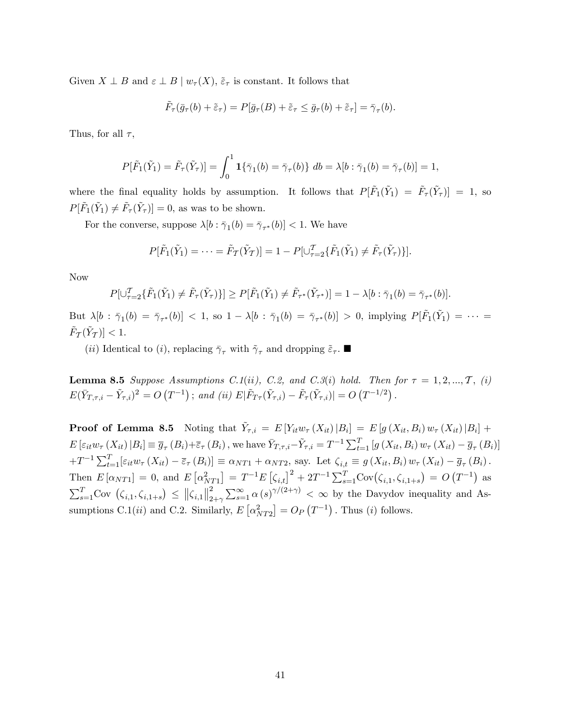Given  $X \perp B$  and  $\varepsilon \perp B \mid w_\tau(X), \, \tilde{\varepsilon}_\tau$  is constant. It follows that

$$
\tilde{F}_{\tau}(\bar{g}_{\tau}(b) + \tilde{\varepsilon}_{\tau}) = P[\bar{g}_{\tau}(B) + \tilde{\varepsilon}_{\tau} \leq \bar{g}_{\tau}(b) + \tilde{\varepsilon}_{\tau}] = \bar{\gamma}_{\tau}(b).
$$

Thus, for all  $\tau$ ,

$$
P[\tilde{F}_1(\tilde{Y}_1) = \tilde{F}_{\tau}(\tilde{Y}_{\tau})] = \int_0^1 \mathbf{1}\{\bar{\gamma}_1(b) = \bar{\gamma}_{\tau}(b)\} \ db = \lambda[b : \bar{\gamma}_1(b) = \bar{\gamma}_{\tau}(b)] = 1,
$$

where the final equality holds by assumption. It follows that  $P[\tilde{F}_1(\tilde{Y}_1) = \tilde{F}_{\tau}(\tilde{Y}_{\tau})] = 1$ , so  $P[\tilde{F}_1(\tilde{Y}_1) \neq \tilde{F}_{\tau}(\tilde{Y}_{\tau})] = 0$ , as was to be shown.

For the converse, suppose  $\lambda[b : \bar{\gamma}_1(b) = \bar{\gamma}_{\tau^*}(b)] < 1$ . We have

$$
P[\tilde{F}_1(\tilde{Y}_1) = \cdots = \tilde{F}_T(\tilde{Y}_T)] = 1 - P[\cup_{\tau=2}^T \{\tilde{F}_1(\tilde{Y}_1) \neq \tilde{F}_\tau(\tilde{Y}_\tau)\}].
$$

Now

$$
P[\cup_{\tau=2}^{\mathcal{T}}\{\tilde{F}_1(\tilde{Y}_1)\neq \tilde{F}_{\tau}(\tilde{Y}_{\tau})\}] \ge P[\tilde{F}_1(\tilde{Y}_1)\neq \tilde{F}_{\tau^*}(\tilde{Y}_{\tau^*})] = 1 - \lambda[b:\bar{\gamma}_1(b) = \bar{\gamma}_{\tau^*}(b)].
$$

But  $\lambda[b : \bar{\gamma}_1(b) = \bar{\gamma}_{\tau^*}(b)] < 1$ , so  $1 - \lambda[b : \bar{\gamma}_1(b) = \bar{\gamma}_{\tau^*}(b)] > 0$ , implying  $P[\tilde{F}_1(\tilde{Y}_1) = \cdots =$  $\tilde{F}_T(\tilde{Y}_T)] < 1.$ 

(*ii*) Identical to (*i*), replacing  $\bar{\gamma}_{\tau}$  with  $\tilde{\gamma}_{\tau}$  and dropping  $\tilde{\varepsilon}_{\tau}$ .

**Lemma 8.5** Suppose Assumptions C.1(ii), C.2, and C.3(i) hold. Then for  $\tau = 1, 2, ..., T$ , (i)  $E(\bar{Y}_{T,\tau,i}-\tilde{Y}_{\tau,i})^2 = O(T^{-1})$ ; and (ii)  $E|\tilde{F}_{T\tau}(\tilde{Y}_{\tau,i}) - \tilde{F}_{\tau}(\tilde{Y}_{\tau,i})| = O(T^{-1/2})$ .

**Proof of Lemma 8.5** Noting that  $\tilde{Y}_{\tau,i} = E[Y_{it}w_{\tau}(X_{it})|B_i] = E[g(X_{it}, B_i)w_{\tau}(X_{it})|B_i] +$  $E\left[\varepsilon_{it}w_{\tau}\left(X_{it}\right)|B_{i}\right]\equiv\overline{g}_{\tau}\left(B_{i}\right)+\overline{\varepsilon}_{\tau}\left(B_{i}\right),$  we have  $\overline{Y}_{T,\tau,i}-\widetilde{Y}_{\tau,i}=T^{-1}\sum_{t=1}^{T}\left[g\left(X_{it},B_{i}\right)w_{\tau}\left(X_{it}\right)-\overline{g}_{\tau}\left(B_{i}\right)\right]$  $+T^{-1}\sum_{t=1}^{T}[\varepsilon_{it}w_{\tau}(X_{it})-\overline{\varepsilon}_{\tau}(B_i)]\equiv \alpha_{NT1}+\alpha_{NT2}$ , say. Let  $\zeta_{i,t}\equiv g(X_{it},B_i) w_{\tau}(X_{it})-\overline{g}_{\tau}(B_i)$ . Then  $E[\alpha_{NT1}] = 0$ , and  $E[\alpha_{NT1}^2] = T^{-1}E[\zeta_{i,t}]^2 + 2T^{-1}\sum_{s=1}^T \text{Cov}(\zeta_{i,1}, \zeta_{i,1+s}) = O(T^{-1})$  as  $\sum_{s=1}^{T}$ Cov  $(\zeta_{i,1}, \zeta_{i,1+s}) \leq ||\zeta_{i,1}||_2^2$  $\sum_{2+\gamma}^2 \sum_{s=1}^{\infty} \alpha(s)^{\gamma/(2+\gamma)} < \infty$  by the Davydov inequality and Assumptions C.1(*ii*) and C.2. Similarly,  $E\left[\alpha_{NT2}^2\right] = O_P(T^{-1})$ . Thus (*i*) follows.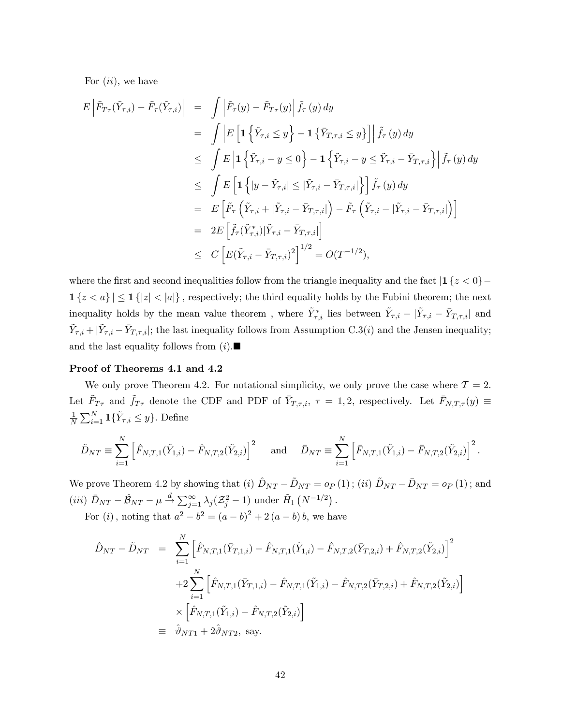For  $(ii)$ , we have

$$
E\left|\tilde{F}_{T\tau}(\tilde{Y}_{\tau,i}) - \tilde{F}_{\tau}(\tilde{Y}_{\tau,i})\right| = \int \left|\tilde{F}_{\tau}(y) - \tilde{F}_{T\tau}(y)\right| \tilde{f}_{\tau}(y) dy
$$
  
\n
$$
= \int \left|E\left[\mathbf{1}\left\{\tilde{Y}_{\tau,i} \leq y\right\} - \mathbf{1}\left\{\bar{Y}_{T,\tau,i} \leq y\right\}\right]\right| \tilde{f}_{\tau}(y) dy
$$
  
\n
$$
\leq \int E\left|\mathbf{1}\left\{\tilde{Y}_{\tau,i} - y \leq 0\right\} - \mathbf{1}\left\{\tilde{Y}_{\tau,i} - y \leq \tilde{Y}_{\tau,i} - \bar{Y}_{T,\tau,i}\right\}\right| \tilde{f}_{\tau}(y) dy
$$
  
\n
$$
\leq \int E\left[\mathbf{1}\left\{|y - \tilde{Y}_{\tau,i}| \leq |\tilde{Y}_{\tau,i} - \bar{Y}_{T,\tau,i}|\right\}\right] \tilde{f}_{\tau}(y) dy
$$
  
\n
$$
= E\left[\tilde{F}_{\tau}\left(\tilde{Y}_{\tau,i} + |\tilde{Y}_{\tau,i} - \bar{Y}_{T,\tau,i}|\right) - \tilde{F}_{\tau}\left(\tilde{Y}_{\tau,i} - |\tilde{Y}_{T,\tau,i}|\right)\right]
$$
  
\n
$$
= 2E\left[\tilde{f}_{\tau}(\tilde{Y}_{\tau,i}^{*})|\tilde{Y}_{\tau,i} - \bar{Y}_{T,\tau,i}|\right]
$$
  
\n
$$
\leq C\left[E(\tilde{Y}_{\tau,i} - \bar{Y}_{T,\tau,i})^{2}\right]^{1/2} = O(T^{-1/2}),
$$

where the first and second inequalities follow from the triangle inequality and the fact  $1 \{z < 0\}$  $1\{z < a\} \leq 1\{|z| < |a|\}$ , respectively; the third equality holds by the Fubini theorem; the next inequality holds by the mean value theorem, where  $\tilde{Y}^*_{\tau,i}$  lies between  $\tilde{Y}_{\tau,i} - |\tilde{Y}_{\tau,i} - \bar{Y}_{T,\tau,i}|$  and  $\tilde{Y}_{\tau,i} + |\tilde{Y}_{\tau,i} - \bar{Y}_{T,\tau,i}|$ ; the last inequality follows from Assumption C.3(*i*) and the Jensen inequality; and the last equality follows from  $(i)$ .

## Proof of Theorems 4.1 and 4.2

We only prove Theorem 4.2. For notational simplicity, we only prove the case where  $\mathcal{T} = 2$ . Let  $\tilde{F}_{T\tau}$  and  $\tilde{f}_{T\tau}$  denote the CDF and PDF of  $\bar{Y}_{T,\tau,i}$ ,  $\tau = 1,2$ , respectively. Let  $\bar{F}_{N,T,\tau}(y) \equiv$ 1  $\frac{1}{N} \sum_{i=1}^{N} \mathbf{1} \{ \tilde{Y}_{\tau,i} \leq y \}.$  Define

$$
\tilde{D}_{NT} \equiv \sum_{i=1}^{N} \left[ \tilde{F}_{N,T,1}(\tilde{Y}_{1,i}) - \tilde{F}_{N,T,2}(\tilde{Y}_{2,i}) \right]^2 \quad \text{and} \quad \bar{D}_{NT} \equiv \sum_{i=1}^{N} \left[ \bar{F}_{N,T,1}(\tilde{Y}_{1,i}) - \bar{F}_{N,T,2}(\tilde{Y}_{2,i}) \right]^2.
$$

We prove Theorem 4.2 by showing that (i)  $\hat{D}_{NT} - \tilde{D}_{NT} = o_P (1)$ ; (ii)  $\tilde{D}_{NT} - \bar{D}_{NT} = o_P (1)$ ; and (*iii*)  $\bar{D}_{NT} - \hat{B}_{NT} - \mu \xrightarrow{d} \sum_{j=1}^{\infty} \lambda_j (\mathcal{Z}_j^2 - 1)$  under  $\tilde{H}_1 (N^{-1/2})$ .

For (*i*), noting that  $a^2 - b^2 = (a - b)^2 + 2(a - b)b$ , we have

$$
\hat{D}_{NT} - \tilde{D}_{NT} = \sum_{i=1}^{N} \left[ \hat{F}_{N,T,1}(\bar{Y}_{T,1,i}) - \hat{F}_{N,T,1}(\tilde{Y}_{1,i}) - \hat{F}_{N,T,2}(\bar{Y}_{T,2,i}) + \hat{F}_{N,T,2}(\tilde{Y}_{2,i}) \right]^2
$$
  
+2
$$
\sum_{i=1}^{N} \left[ \hat{F}_{N,T,1}(\bar{Y}_{T,1,i}) - \hat{F}_{N,T,1}(\tilde{Y}_{1,i}) - \hat{F}_{N,T,2}(\bar{Y}_{T,2,i}) + \hat{F}_{N,T,2}(\tilde{Y}_{2,i}) \right]
$$
  

$$
\times \left[ \hat{F}_{N,T,1}(\tilde{Y}_{1,i}) - \hat{F}_{N,T,2}(\tilde{Y}_{2,i}) \right]
$$
  

$$
\equiv \hat{\vartheta}_{NT1} + 2\hat{\vartheta}_{NT2}
$$
, say.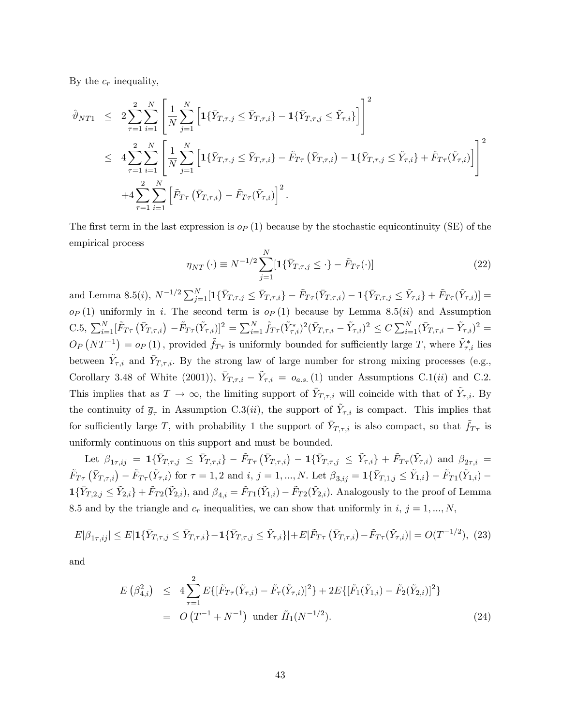By the  $c_r$  inequality,

$$
\hat{\vartheta}_{NT1} \leq 2 \sum_{\tau=1}^{2} \sum_{i=1}^{N} \left[ \frac{1}{N} \sum_{j=1}^{N} \left[ 1 \{ \bar{Y}_{T,\tau,j} \leq \bar{Y}_{T,\tau,i} \} - 1 \{ \bar{Y}_{T,\tau,j} \leq \tilde{Y}_{\tau,i} \} \right] \right]^{2}
$$
\n
$$
\leq 4 \sum_{\tau=1}^{2} \sum_{i=1}^{N} \left[ \frac{1}{N} \sum_{j=1}^{N} \left[ 1 \{ \bar{Y}_{T,\tau,j} \leq \bar{Y}_{T,\tau,i} \} - \tilde{F}_{T\tau} \left( \bar{Y}_{T,\tau,i} \right) - 1 \{ \bar{Y}_{T,\tau,j} \leq \tilde{Y}_{\tau,i} \} + \tilde{F}_{T\tau}(\tilde{Y}_{\tau,i}) \right] \right]^{2}
$$
\n
$$
+ 4 \sum_{\tau=1}^{2} \sum_{i=1}^{N} \left[ \tilde{F}_{T\tau} \left( \bar{Y}_{T,\tau,i} \right) - \tilde{F}_{T\tau}(\tilde{Y}_{\tau,i}) \right]^{2}.
$$

The first term in the last expression is  $o_P(1)$  because by the stochastic equicontinuity (SE) of the empirical process

$$
\eta_{NT}(\cdot) \equiv N^{-1/2} \sum_{j=1}^{N} [\mathbf{1} \{ \bar{Y}_{T,\tau,j} \leq \cdot \} - \tilde{F}_{T\tau}(\cdot)] \tag{22}
$$

and Lemma 8.5(*i*),  $N^{-1/2} \sum_{j=1}^{N} [\mathbf{1} \{ \bar{Y}_{T,\tau,j} \leq \bar{Y}_{T,\tau,i} \} - \tilde{F}_{T\tau}(\bar{Y}_{T,\tau,i}) - \mathbf{1} \{ \bar{Y}_{T,\tau,j} \leq \tilde{Y}_{\tau,i} \} + \tilde{F}_{T\tau}(\tilde{Y}_{\tau,i})] =$  $o_P(1)$  uniformly in i. The second term is  $o_P(1)$  because by Lemma 8.5(ii) and Assumption C.5,  $\sum_{i=1}^{N} [\tilde{F}_{T\tau}(\bar{Y}_{T,\tau,i}) - \tilde{F}_{T\tau}(\tilde{Y}_{\tau,i})]^2 = \sum_{i=1}^{N} \tilde{f}_{T\tau}(\tilde{Y}_{\tau,i}^*)^2 (\bar{Y}_{T,\tau,i} - \tilde{Y}_{\tau,i})^2 \leq C \sum_{i=1}^{N} (\bar{Y}_{T,\tau,i} - \tilde{Y}_{\tau,i})^2 =$  $O_P(NT^{-1}) = o_P(1)$ , provided  $\tilde{f}_{T\tau}$  is uniformly bounded for sufficiently large T, where  $\tilde{Y}_{\tau,i}^*$  lies between  $\tilde{Y}_{\tau,i}$  and  $\bar{Y}_{T,\tau,i}$ . By the strong law of large number for strong mixing processes (e.g., Corollary 3.48 of White (2001)),  $\bar{Y}_{T,\tau,i} - \tilde{Y}_{\tau,i} = o_{a.s.}(1)$  under Assumptions C.1(*ii*) and C.2. This implies that as  $T \to \infty$ , the limiting support of  $\bar{Y}_{T,\tau,i}$  will coincide with that of  $\tilde{Y}_{\tau,i}$ . By the continuity of  $\bar{g}_{\tau}$  in Assumption C.3(*ii*), the support of  $\tilde{Y}_{\tau,i}$  is compact. This implies that for sufficiently large T, with probability 1 the support of  $\bar{Y}_{T,\tau,i}$  is also compact, so that  $\tilde{f}_{T\tau}$  is uniformly continuous on this support and must be bounded.

Let  $\beta_{1\tau, i j} = \mathbf{1} \{ \bar{Y}_{T,\tau, j} \leq \bar{Y}_{T,\tau, i} \} - \tilde{F}_{T\tau} \left( \bar{Y}_{T,\tau, i} \right) - \mathbf{1} \{ \bar{Y}_{T,\tau, j} \leq \tilde{Y}_{\tau, i} \} + \tilde{F}_{T\tau} (\tilde{Y}_{\tau, i}) \text{ and } \beta_{2\tau, i} =$  $\tilde{F}_{T\tau}(\bar{Y}_{T,\tau,i}) - \tilde{F}_{T\tau}(\tilde{Y}_{\tau,i})$  for  $\tau = 1, 2$  and  $i, j = 1, ..., N$ . Let  $\beta_{3,ij} = \mathbf{1}\{\bar{Y}_{T,1,j} \leq \tilde{Y}_{1,i}\} - \tilde{F}_{T1}(\tilde{Y}_{1,i})$  $1{\{\bar{Y}_{T,2,j} \le \tilde{Y}_{2,i}\}} + \tilde{F}_{T2}(\tilde{Y}_{2,i}), \text{ and } \beta_{4,i} = \tilde{F}_{T1}(\tilde{Y}_{1,i}) - \tilde{F}_{T2}(\tilde{Y}_{2,i}).$  Analogously to the proof of Lemma 8.5 and by the triangle and  $c_r$  inequalities, we can show that uniformly in  $i, j = 1, ..., N$ ,

$$
E|\beta_{1\tau,ij}| \le E|\mathbf{1}\{\bar{Y}_{T,\tau,j} \le \bar{Y}_{T,\tau,i}\} - \mathbf{1}\{\bar{Y}_{T,\tau,j} \le \tilde{Y}_{\tau,i}\}| + E|\tilde{F}_{T\tau}\left(\bar{Y}_{T,\tau,i}\right) - \tilde{F}_{T\tau}(\tilde{Y}_{\tau,i})| = O(T^{-1/2}), \tag{23}
$$

and

$$
E(\beta_{4,i}^2) \leq 4 \sum_{\tau=1}^2 E\{[\tilde{F}_{T\tau}(\tilde{Y}_{\tau,i}) - \tilde{F}_{\tau}(\tilde{Y}_{\tau,i})]^2\} + 2E\{[\tilde{F}_1(\tilde{Y}_{1,i}) - \tilde{F}_2(\tilde{Y}_{2,i})]^2\}
$$
  
=  $O(T^{-1} + N^{-1})$  under  $\tilde{H}_1(N^{-1/2})$ . (24)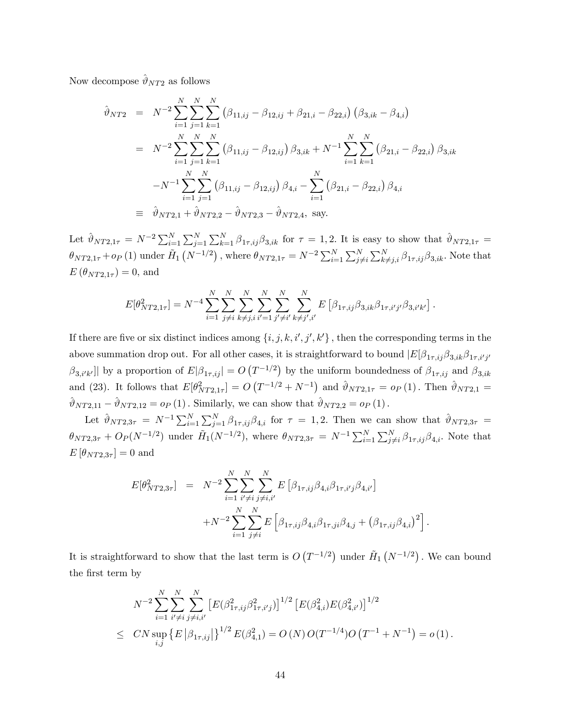Now decompose  $\hat{\vartheta}_{NT2}$  as follows

$$
\hat{\vartheta}_{NT2} = N^{-2} \sum_{i=1}^{N} \sum_{j=1}^{N} \sum_{k=1}^{N} (\beta_{11,ij} - \beta_{12,ij} + \beta_{21,i} - \beta_{22,i}) (\beta_{3,ik} - \beta_{4,i})
$$
  
\n
$$
= N^{-2} \sum_{i=1}^{N} \sum_{j=1}^{N} \sum_{k=1}^{N} (\beta_{11,ij} - \beta_{12,ij}) \beta_{3,ik} + N^{-1} \sum_{i=1}^{N} \sum_{k=1}^{N} (\beta_{21,i} - \beta_{22,i}) \beta_{3,ik}
$$
  
\n
$$
-N^{-1} \sum_{i=1}^{N} \sum_{j=1}^{N} (\beta_{11,ij} - \beta_{12,ij}) \beta_{4,i} - \sum_{i=1}^{N} (\beta_{21,i} - \beta_{22,i}) \beta_{4,i}
$$
  
\n
$$
\equiv \hat{\vartheta}_{NT2,1} + \hat{\vartheta}_{NT2,2} - \hat{\vartheta}_{NT2,3} - \hat{\vartheta}_{NT2,4}, \text{ say.}
$$

Let  $\hat{\vartheta}_{NT2,1\tau} = N^{-2} \sum_{i=1}^{N} \sum_{j=1}^{N} \sum_{k=1}^{N} \beta_{1\tau,ij} \beta_{3,ik}$  for  $\tau = 1,2$ . It is easy to show that  $\hat{\vartheta}_{NT2,1\tau} =$  $\theta_{NT2,1\tau} + o_P(1)$  under  $\tilde{H}_1(N^{-1/2})$  , where  $\theta_{NT2,1\tau} = N^{-2} \sum_{i=1}^N \sum_{j \neq i}^N \sum_{k \neq j,i}^N \beta_{1\tau,ij} \beta_{3,ik}$ . Note that  $E(\theta_{NT2.1\tau}) = 0$ , and

$$
E[\theta_{NT2,1\tau}^2] = N^{-4} \sum_{i=1}^N \sum_{j \neq i}^N \sum_{k \neq j,i}^N \sum_{i'=1}^N \sum_{j' \neq i'}^N \sum_{k \neq j',i'}^N E\left[\beta_{1\tau,ij}\beta_{3,ik}\beta_{1\tau,i'j'}\beta_{3,i'k'}\right].
$$

If there are five or six distinct indices among  $\{i, j, k, i', j', k'\}$ , then the corresponding terms in the above summation drop out. For all other cases, it is straightforward to bound  $|E[\beta_{1\tau,ij}\beta_{3,ik}\beta_{1\tau,i'j'}\rangle]$  $\beta_{3,i'k'}$ ] by a proportion of  $E|\beta_{1\tau,ij}| = O(T^{-1/2})$  by the uniform boundedness of  $\beta_{1\tau,ij}$  and  $\beta_{3,ik'}$ and (23). It follows that  $E[\theta_{NT2,1\tau}^2] = O(T^{-1/2} + N^{-1})$  and  $\hat{\vartheta}_{NT2,1\tau} = o_P(1)$ . Then  $\hat{\vartheta}_{NT2,1} =$  $\hat{\vartheta}_{NT2,11} - \hat{\vartheta}_{NT2,12} = o_P (1)$ . Similarly, we can show that  $\hat{\vartheta}_{NT2,2} = o_P (1)$ .

Let  $\hat{\vartheta}_{NT2,3\tau} = N^{-1} \sum_{i=1}^{N} \sum_{j=1}^{N} \beta_{1\tau,ij} \beta_{4,i}$  for  $\tau = 1,2$ . Then we can show that  $\hat{\vartheta}_{NT2,3\tau} =$  $\theta_{NT2,3\tau} + O_P(N^{-1/2})$  under  $H_1(N^{-1/2})$ , where  $\theta_{NT2,3\tau} = N^{-1} \sum_{i=1}^{N} \sum_{j \neq i}^{N} \beta_{1\tau,ij} \beta_{4,i}$ . Note that  $E[\theta_{NT2,3\tau}] = 0$  and

$$
E[\theta_{NT2,3\tau}^{2}] = N^{-2} \sum_{i=1}^{N} \sum_{i'\neq i}^{N} \sum_{j\neq i,i'}^{N} E\left[\beta_{1\tau,ij}\beta_{4,i}\beta_{1\tau,i'j}\beta_{4,i'}\right]
$$
  
+N^{-2} \sum\_{i=1}^{N} \sum\_{j\neq i}^{N} E\left[\beta\_{1\tau,ij}\beta\_{4,i}\beta\_{1\tau,ji}\beta\_{4,j} + (\beta\_{1\tau,ij}\beta\_{4,i})^{2}\right]

:

It is straightforward to show that the last term is  $O(T^{-1/2})$  under  $H_1(N^{-1/2})$ . We can bound the first term by

$$
N^{-2} \sum_{i=1}^{N} \sum_{i' \neq i}^{N} \sum_{j \neq i, i'}^{N} \left[ E(\beta_{1\tau, ij}^2 \beta_{1\tau, i'j}^2) \right]^{1/2} \left[ E(\beta_{4,i}^2) E(\beta_{4,i'}^2) \right]^{1/2}
$$
  
 
$$
\leq CN \sup_{i,j} \left\{ E \left| \beta_{1\tau, ij} \right| \right\}^{1/2} E(\beta_{4,1}^2) = O(N) O(T^{-1/4}) O(T^{-1} + N^{-1}) = o(1).
$$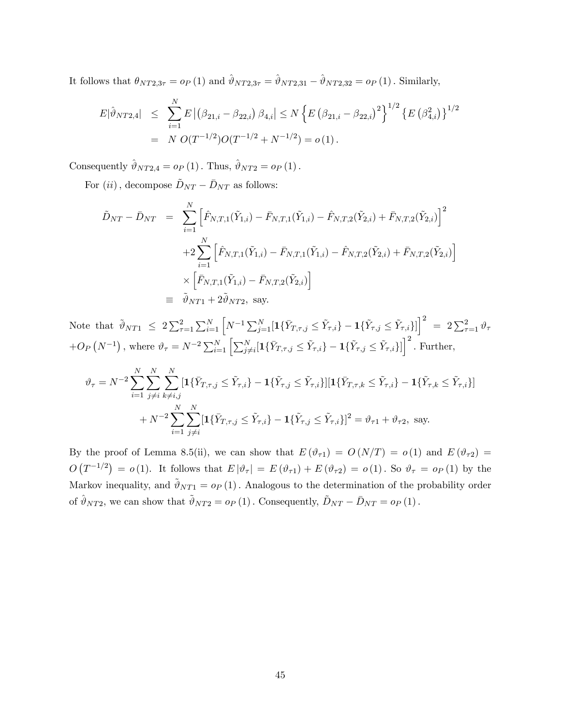It follows that  $\theta_{NT2,3\tau} = o_P (1)$  and  $\hat{\vartheta}_{NT2,3\tau} = \hat{\vartheta}_{NT2,31} - \hat{\vartheta}_{NT2,32} = o_P (1)$ . Similarly,

$$
E|\hat{\vartheta}_{NT2,4}| \leq \sum_{i=1}^{N} E |(\beta_{21,i} - \beta_{22,i}) \beta_{4,i}| \leq N \left\{ E (\beta_{21,i} - \beta_{22,i})^2 \right\}^{1/2} \left\{ E (\beta_{4,i}^2) \right\}^{1/2}
$$
  
=  $N O(T^{-1/2}) O(T^{-1/2} + N^{-1/2}) = o(1).$ 

Consequently  $\hat{\vartheta}_{NT2,4} = o_P (1)$ . Thus,  $\hat{\vartheta}_{NT2} = o_P (1)$ .

For  $(ii)$ , decompose  $\tilde{D}_{NT} - \bar{D}_{NT}$  as follows:

$$
\tilde{D}_{NT} - \bar{D}_{NT} = \sum_{i=1}^{N} \left[ \hat{F}_{N,T,1}(\tilde{Y}_{1,i}) - \bar{F}_{N,T,1}(\tilde{Y}_{1,i}) - \hat{F}_{N,T,2}(\tilde{Y}_{2,i}) + \bar{F}_{N,T,2}(\tilde{Y}_{2,i}) \right]^2
$$
  
+2
$$
\sum_{i=1}^{N} \left[ \hat{F}_{N,T,1}(\tilde{Y}_{1,i}) - \bar{F}_{N,T,1}(\tilde{Y}_{1,i}) - \hat{F}_{N,T,2}(\tilde{Y}_{2,i}) + \bar{F}_{N,T,2}(\tilde{Y}_{2,i}) \right]
$$
  

$$
\times \left[ \bar{F}_{N,T,1}(\tilde{Y}_{1,i}) - \bar{F}_{N,T,2}(\tilde{Y}_{2,i}) \right]
$$
  

$$
\equiv \tilde{\vartheta}_{NT1} + 2\tilde{\vartheta}_{NT2}, \text{ say.}
$$

Note that  $\tilde{\vartheta}_{NT1} \leq 2 \sum_{\tau=1}^{2} \sum_{i=1}^{N} \left[ N^{-1} \sum_{j=1}^{N} [\mathbf{1} \{ \bar{Y}_{T,\tau,j} \leq \tilde{Y}_{\tau,i} \} - \mathbf{1} \{ \tilde{Y}_{\tau,j} \leq \tilde{Y}_{\tau,i} \} ] \right]^2 = 2 \sum_{\tau=1}^{2} \vartheta_{\tau}$  $+O_P\left(N^{-1}\right)$ , where  $\vartheta_{\tau} = N^{-2}\sum_{i=1}^N\left[\sum_{j\neq i}^N[{\bf 1}\{\bar{Y}_{T,\tau,j}\leq \tilde{Y}_{\tau,i}\} - {\bf 1}\{\tilde{Y}_{\tau,j}\leq \tilde{Y}_{\tau,i}\}]\right]^2$ . Further,

$$
\vartheta_{\tau} = N^{-2} \sum_{i=1}^{N} \sum_{j \neq i}^{N} \sum_{k \neq i,j}^{N} [\mathbf{1} \{\bar{Y}_{T,\tau,j} \leq \tilde{Y}_{\tau,i}\} - \mathbf{1} \{\tilde{Y}_{\tau,j} \leq \tilde{Y}_{\tau,i}\}] [\mathbf{1} \{\bar{Y}_{T,\tau,k} \leq \tilde{Y}_{\tau,i}\} - \mathbf{1} \{\tilde{Y}_{\tau,k} \leq \tilde{Y}_{\tau,i}\}]
$$

$$
+ N^{-2} \sum_{i=1}^{N} \sum_{j \neq i}^{N} [\mathbf{1} \{\bar{Y}_{T,\tau,j} \leq \tilde{Y}_{\tau,i}\} - \mathbf{1} \{\tilde{Y}_{\tau,j} \leq \tilde{Y}_{\tau,i}\}]^{2} = \vartheta_{\tau 1} + \vartheta_{\tau 2}, \text{ say.}
$$

By the proof of Lemma 8.5(ii), we can show that  $E(\vartheta_{\tau1}) = O(N/T) = o(1)$  and  $E(\vartheta_{\tau2}) =$  $O(T^{-1/2}) = o(1)$ . It follows that  $E |\vartheta_{\tau}| = E(\vartheta_{\tau 1}) + E(\vartheta_{\tau 2}) = o(1)$ . So  $\vartheta_{\tau} = o_P(1)$  by the Markov inequality, and  $\tilde{\vartheta}_{NT1} = o_P(1)$ . Analogous to the determination of the probability order of  $\hat{\vartheta}_{NT2}$ , we can show that  $\tilde{\vartheta}_{NT2} = o_P (1)$ . Consequently,  $\tilde{D}_{NT} - \bar{D}_{NT} = o_P (1)$ .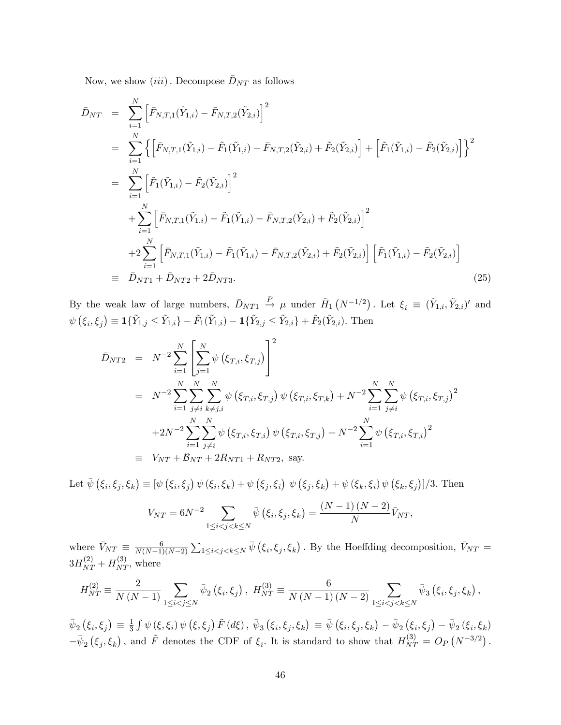Now, we show  $(iii)$ . Decompose  $\bar{D}_{NT}$  as follows

$$
\begin{split}\n\bar{D}_{NT} &= \sum_{i=1}^{N} \left[ \bar{F}_{N,T,1}(\tilde{Y}_{1,i}) - \bar{F}_{N,T,2}(\tilde{Y}_{2,i}) \right]^2 \\
&= \sum_{i=1}^{N} \left\{ \left[ \bar{F}_{N,T,1}(\tilde{Y}_{1,i}) - \tilde{F}_{1}(\tilde{Y}_{1,i}) - \bar{F}_{N,T,2}(\tilde{Y}_{2,i}) + \tilde{F}_{2}(\tilde{Y}_{2,i}) \right] + \left[ \tilde{F}_{1}(\tilde{Y}_{1,i}) - \tilde{F}_{2}(\tilde{Y}_{2,i}) \right] \right\}^2 \\
&= \sum_{i=1}^{N} \left[ \tilde{F}_{1}(\tilde{Y}_{1,i}) - \tilde{F}_{2}(\tilde{Y}_{2,i}) \right]^2 \\
&+ \sum_{i=1}^{N} \left[ \bar{F}_{N,T,1}(\tilde{Y}_{1,i}) - \tilde{F}_{1}(\tilde{Y}_{1,i}) - \bar{F}_{N,T,2}(\tilde{Y}_{2,i}) + \tilde{F}_{2}(\tilde{Y}_{2,i}) \right]^2 \\
&+ 2 \sum_{i=1}^{N} \left[ \bar{F}_{N,T,1}(\tilde{Y}_{1,i}) - \tilde{F}_{1}(\tilde{Y}_{1,i}) - \bar{F}_{N,T,2}(\tilde{Y}_{2,i}) + \tilde{F}_{2}(\tilde{Y}_{2,i}) \right] \left[ \tilde{F}_{1}(\tilde{Y}_{1,i}) - \tilde{F}_{2}(\tilde{Y}_{2,i}) \right] \\
&= \bar{D}_{NT1} + \bar{D}_{NT2} + 2\bar{D}_{NT3}.\n\end{split} \tag{25}
$$

By the weak law of large numbers,  $\bar{D}_{NT1} \stackrel{P}{\rightarrow} \mu$  under  $\tilde{H}_1(N^{-1/2})$ . Let  $\xi_i \equiv (\tilde{Y}_{1,i}, \tilde{Y}_{2,i})'$  and  $\psi\left(\xi_i,\xi_j\right) \equiv \mathbf{1}\{\tilde{Y}_{1,j} \leq \tilde{Y}_{1,i}\} - \tilde{F}_1(\tilde{Y}_{1,i}) - \mathbf{1}\{\tilde{Y}_{2,j} \leq \tilde{Y}_{2,i}\} + \tilde{F}_2(\tilde{Y}_{2,i}).$  Then

$$
\bar{D}_{NT2} = N^{-2} \sum_{i=1}^{N} \left[ \sum_{j=1}^{N} \psi \left( \xi_{T,i}, \xi_{T,j} \right) \right]^2
$$
\n
$$
= N^{-2} \sum_{i=1}^{N} \sum_{j \neq i}^{N} \sum_{k \neq j,i}^{N} \psi \left( \xi_{T,i}, \xi_{T,j} \right) \psi \left( \xi_{T,i}, \xi_{T,k} \right) + N^{-2} \sum_{i=1}^{N} \sum_{j \neq i}^{N} \psi \left( \xi_{T,i}, \xi_{T,j} \right)^2
$$
\n
$$
+ 2N^{-2} \sum_{i=1}^{N} \sum_{j \neq i}^{N} \psi \left( \xi_{T,i}, \xi_{T,i} \right) \psi \left( \xi_{T,i}, \xi_{T,j} \right) + N^{-2} \sum_{i=1}^{N} \psi \left( \xi_{T,i}, \xi_{T,i} \right)^2
$$
\n
$$
\equiv V_{NT} + \mathcal{B}_{NT} + 2R_{NT1} + R_{NT2}, \text{ say.}
$$

Let  $\bar{\psi}(\xi_i, \xi_j, \xi_k) \equiv [\psi(\xi_i, \xi_j) \psi(\xi_i, \xi_k) + \psi(\xi_j, \xi_i) \psi(\xi_j, \xi_k) + \psi(\xi_k, \xi_i) \psi(\xi_k, \xi_j)]/3$ . Then

$$
V_{NT} = 6N^{-2} \sum_{1 \le i < j < k \le N} \bar{\psi} \left( \xi_i, \xi_j, \xi_k \right) = \frac{(N-1)(N-2)}{N} \bar{V}_{NT},
$$

where  $\bar{V}_{NT} \equiv \frac{6}{N(N-1)}$  $N(N-1)(N-2)$  $\sum_{1 \leq i < j < k \leq N} \bar{\psi} (\xi_i, \xi_j, \xi_k)$ . By the Hoeffding decomposition,  $\bar{V}_{NT}$  =  $3H_{NT}^{(2)} + H_{NT}^{(3)}$ , where

$$
H_{NT}^{(2)} \equiv \frac{2}{N(N-1)} \sum_{1 \le i < j \le N} \bar{\psi}_2 \left( \xi_i, \xi_j \right), \ H_{NT}^{(3)} \equiv \frac{6}{N(N-1)(N-2)} \sum_{1 \le i < j < k \le N} \bar{\psi}_3 \left( \xi_i, \xi_j, \xi_k \right),
$$

 $\bar{\psi}_2 (\xi_i, \xi_j) \equiv \frac{1}{3}$  $\frac{1}{3}\int \psi(\xi,\xi_i)\,\psi\left(\xi,\xi_j\right)\tilde{F}\left(d\xi\right),\,\bar{\psi}_3\left(\xi_i,\xi_j,\xi_k\right)\,\equiv\,\bar{\psi}\left(\xi_i,\xi_j,\xi_k\right)\,-\,\bar{\psi}_2\left(\xi_i,\xi_j\right)\,-\,\bar{\psi}_2\left(\xi_i,\xi_k\right)$  $-\bar{\psi}_2(\xi_j, \xi_k)$ , and  $\tilde{F}$  denotes the CDF of  $\xi_i$ . It is standard to show that  $H_{NT}^{(3)} = O_P(N^{-3/2})$ .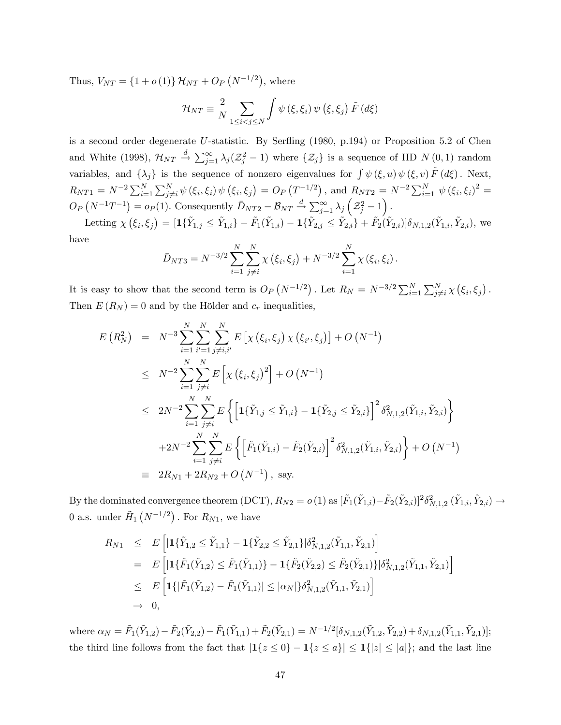Thus,  $V_{NT} = \{1 + o(1)\} \mathcal{H}_{NT} + O_P(N^{-1/2}),$  where

$$
\mathcal{H}_{NT} \equiv \frac{2}{N} \sum_{1 \le i < j \le N} \int \psi \left( \xi, \xi_i \right) \psi \left( \xi, \xi_j \right) \tilde{F} \left( d\xi \right)
$$

is a second order degenerate U-statistic. By Serfling  $(1980, p.194)$  or Proposition 5.2 of Chen and White (1998),  $\mathcal{H}_{NT} \stackrel{d}{\rightarrow} \sum_{j=1}^{\infty} \lambda_j (\mathcal{Z}_j^2 - 1)$  where  $\{\mathcal{Z}_j\}$  is a sequence of IID  $N(0, 1)$  random variables, and  $\{\lambda_j\}$  is the sequence of nonzero eigenvalues for  $\int \psi(\xi, u) \psi(\xi, v) \tilde{F}(d\xi)$ . Next,  $R_{NT1} = N^{-2} \sum_{i=1}^{N} \sum_{j \neq i}^{N} \psi(\xi_i, \xi_i) \psi(\xi_i, \xi_j) = O_P(T^{-1/2}), \text{ and } R_{NT2} = N^{-2} \sum_{i=1}^{N} \psi(\xi_i, \xi_i)^2 =$  $O_P(N^{-1}T^{-1}) = o_P(1)$ . Consequently  $\bar{D}_{NT2} - B_{NT} \xrightarrow{d} \sum_{j=1}^{\infty} \lambda_j$  $\mathcal{Z}_j^2-1\Big).$ 

Letting  $\chi(\xi_i, \xi_j) = [\mathbf{1}\{\tilde{Y}_{1,j} \leq \tilde{Y}_{1,i}\} - \tilde{F}_1(\tilde{Y}_{1,i}) - \mathbf{1}\{\tilde{Y}_{2,j} \leq \tilde{Y}_{2,i}\} + \tilde{F}_2(\tilde{Y}_{2,i})] \delta_{N,1,2}(\tilde{Y}_{1,i}, \tilde{Y}_{2,i}),$  we have

$$
\bar{D}_{NT3} = N^{-3/2} \sum_{i=1}^{N} \sum_{j \neq i}^{N} \chi(\xi_i, \xi_j) + N^{-3/2} \sum_{i=1}^{N} \chi(\xi_i, \xi_i).
$$

It is easy to show that the second term is  $O_P(N^{-1/2})$ . Let  $R_N = N^{-3/2} \sum_{i=1}^N \sum_{j \neq i}^N \chi(\xi_i, \xi_j)$ . Then  $E(R_N) = 0$  and by the Hölder and  $c_r$  inequalities,

$$
E(R_N^2) = N^{-3} \sum_{i=1}^N \sum_{i'=1}^N \sum_{j\neq i,i'}^N E[\chi(\xi_i, \xi_j) \chi(\xi_{i'}, \xi_j)] + O(N^{-1})
$$
  
\n
$$
\leq N^{-2} \sum_{i=1}^N \sum_{j\neq i}^N E[\chi(\xi_i, \xi_j)^2] + O(N^{-1})
$$
  
\n
$$
\leq 2N^{-2} \sum_{i=1}^N \sum_{j\neq i}^N E\left\{ \left[ \mathbf{1} \{\tilde{Y}_{1,j} \leq \tilde{Y}_{1,i} \} - \mathbf{1} \{\tilde{Y}_{2,j} \leq \tilde{Y}_{2,i} \} \right]^2 \delta_{N,1,2}^2(\tilde{Y}_{1,i}, \tilde{Y}_{2,i}) \right\}
$$
  
\n
$$
+ 2N^{-2} \sum_{i=1}^N \sum_{j\neq i}^N E\left\{ \left[ \tilde{F}_1(\tilde{Y}_{1,i}) - \tilde{F}_2(\tilde{Y}_{2,i}) \right]^2 \delta_{N,1,2}^2(\tilde{Y}_{1,i}, \tilde{Y}_{2,i}) \right\} + O(N^{-1})
$$
  
\n
$$
\equiv 2R_{N1} + 2R_{N2} + O(N^{-1}), \text{ say.}
$$

By the dominated convergence theorem (DCT),  $R_{N2} = o(1)$  as  $[\tilde{F}_1(\tilde{Y}_{1,i}) - \tilde{F}_2(\tilde{Y}_{2,i})]^2 \delta_{N,1,2}^2(\tilde{Y}_{1,i}, \tilde{Y}_{2,i}) \rightarrow$ 0 a.s. under  $\tilde{H}_1(N^{-1/2})$  . For  $R_{N1}$ , we have

$$
R_{N1} \leq E \left[ \left| \mathbf{1} \{\tilde{Y}_{1,2} \leq \tilde{Y}_{1,1} \} - \mathbf{1} \{\tilde{Y}_{2,2} \leq \tilde{Y}_{2,1} \} | \delta_{N,1,2}^2(\tilde{Y}_{1,1}, \tilde{Y}_{2,1}) \right] \right]
$$
  
\n
$$
= E \left[ \left| \mathbf{1} \{\tilde{F}_1(\tilde{Y}_{1,2}) \leq \tilde{F}_1(\tilde{Y}_{1,1}) \} - \mathbf{1} \{\tilde{F}_2(\tilde{Y}_{2,2}) \leq \tilde{F}_2(\tilde{Y}_{2,1}) \} | \delta_{N,1,2}^2(\tilde{Y}_{1,1}, \tilde{Y}_{2,1}) \right] \right]
$$
  
\n
$$
\leq E \left[ \mathbf{1} \{ |\tilde{F}_1(\tilde{Y}_{1,2}) - \tilde{F}_1(\tilde{Y}_{1,1}) | \leq |\alpha_N| \} \delta_{N,1,2}^2(\tilde{Y}_{1,1}, \tilde{Y}_{2,1}) \right]
$$
  
\n
$$
\to 0,
$$

where  $\alpha_N = \tilde{F}_1(\tilde{Y}_{1,2}) - \tilde{F}_2(\tilde{Y}_{2,2}) - \tilde{F}_1(\tilde{Y}_{1,1}) + \tilde{F}_2(\tilde{Y}_{2,1}) = N^{-1/2} [\delta_{N,1,2}(\tilde{Y}_{1,2}, \tilde{Y}_{2,2}) + \delta_{N,1,2}(\tilde{Y}_{1,1}, \tilde{Y}_{2,1})];$ the third line follows from the fact that  $|1\{z \le 0\} - 1\{z \le a\}| \le 1\{|z| \le |a|\}$ ; and the last line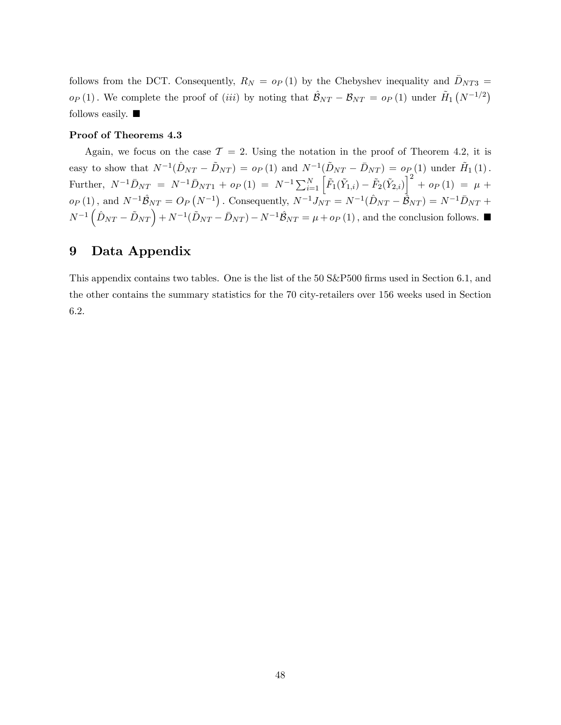follows from the DCT. Consequently,  $R_N = o_P(1)$  by the Chebyshev inequality and  $\bar{D}_{NT3} =$  $o_P(1)$ . We complete the proof of *(iii)* by noting that  $\hat{\mathcal{B}}_{NT} - \mathcal{B}_{NT} = o_P (1)$  under  $\tilde{H}_1 (N^{-1/2})$ follows easily.  $\blacksquare$ 

## Proof of Theorems 4.3

Again, we focus on the case  $\mathcal{T} = 2$ . Using the notation in the proof of Theorem 4.2, it is easy to show that  $N^{-1}(\hat{D}_{NT} - \tilde{D}_{NT}) = o_P (1)$  and  $N^{-1}(\tilde{D}_{NT} - \bar{D}_{NT}) = o_P (1)$  under  $\tilde{H}_1 (1)$ . Further,  $N^{-1}\bar{D}_{NT} = N^{-1}\bar{D}_{NT1} + o_P(1) = N^{-1}\sum_{i=1}^N \left[ \tilde{F}_1(\tilde{Y}_{1,i}) - \tilde{F}_2(\tilde{Y}_{2,i}) \right]^2 + o_P(1) = \mu + o_P(1)$  $o_P(1)$ , and  $N^{-1}\hat{\mathcal{B}}_{NT} = O_P(N^{-1})$ . Consequently,  $N^{-1}J_{NT} = N^{-1}(\hat{D}_{NT} - \hat{\mathcal{B}}_{NT}) = N^{-1}\bar{D}_{NT} +$  $N^{-1}(\hat{D}_{NT} - \tilde{D}_{NT}) + N^{-1}(\tilde{D}_{NT} - \bar{D}_{NT}) - N^{-1}\hat{B}_{NT} = \mu + op(1)$ , and the conclusion follows.

# 9 Data Appendix

This appendix contains two tables. One is the list of the 50 S&P500 firms used in Section 6.1, and the other contains the summary statistics for the 70 city-retailers over 156 weeks used in Section 6.2.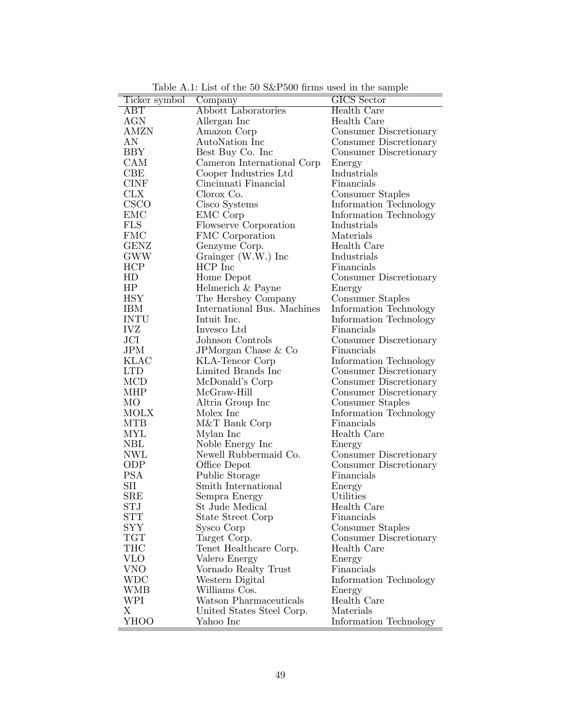|                      | Lable 11.1. Last of the 60 box1 600 millions used in the sample |                        |
|----------------------|-----------------------------------------------------------------|------------------------|
| Ticker symbol        | Company                                                         | <b>GICS</b> Sector     |
| ABT                  | <b>Abbott Laboratories</b>                                      | <b>Health Care</b>     |
| <b>AGN</b>           | Allergan Inc                                                    | Health Care            |
| <b>AMZN</b>          | Amazon Corp                                                     | Consumer Discretionary |
| AN                   | AutoNation Inc                                                  | Consumer Discretionary |
| BBY                  | Best Buy Co. Inc.                                               | Consumer Discretionary |
| CAM                  | Cameron International Corp                                      | Energy                 |
| CBE                  | Cooper Industries Ltd                                           | Industrials            |
| <b>CINF</b>          | Cincinnati Financial                                            | Financials             |
| <b>CLX</b>           | Clorox Co.                                                      | Consumer Staples       |
| <b>CSCO</b>          | Cisco Systems                                                   | Information Technology |
| EMC                  | EMC Corp                                                        | Information Technology |
| FLS                  |                                                                 |                        |
|                      | <b>Flowserve Corporation</b>                                    | Industrials            |
| <b>FMC</b>           | FMC Corporation                                                 | Materials              |
| <b>GENZ</b>          | Genzyme Corp.                                                   | Health Care            |
| GWW                  | Grainger (W.W.) Inc                                             | Industrials            |
| HCP                  | HCP Inc                                                         | Financials             |
| HD                   | Home Depot                                                      | Consumer Discretionary |
| HP                   | Helmerich & Payne                                               | Energy                 |
| <b>HSY</b>           | The Hershey Company                                             | Consumer Staples       |
| <b>IBM</b>           | International Bus. Machines                                     | Information Technology |
| <b>INTU</b>          | Intuit Inc.                                                     | Information Technology |
| <b>IVZ</b>           | Invesco Ltd                                                     | Financials             |
| JCI                  | Johnson Controls                                                | Consumer Discretionary |
| $\rm JPM$            | JPMorgan Chase & Co                                             | Financials             |
| <b>KLAC</b>          | KLA-Tencor Corp                                                 | Information Technology |
| <b>LTD</b>           | Limited Brands Inc.                                             | Consumer Discretionary |
| MCD                  | McDonald's Corp                                                 | Consumer Discretionary |
| MHP                  | McGraw-Hill                                                     | Consumer Discretionary |
| МO                   | Altria Group Inc                                                | Consumer Staples       |
| <b>MOLX</b>          | Molex Inc                                                       | Information Technology |
| <b>MTB</b>           | M&T Bank Corp                                                   |                        |
|                      |                                                                 | Financials             |
| MYL                  | Mylan Inc                                                       | Health Care            |
| $\operatorname{NBL}$ | Noble Energy Inc                                                | Energy                 |
| <b>NWL</b>           | Newell Rubbermaid Co.                                           | Consumer Discretionary |
| ODP                  | Office Depot                                                    | Consumer Discretionary |
| <b>PSA</b>           | Public Storage                                                  | Financials             |
| SII                  | Smith International                                             | Energy                 |
| <b>SRE</b>           | Sempra Energy                                                   | Utilities              |
| STJ                  | St Jude Medical                                                 | Health Care            |
| <b>STT</b>           | State Street Corp                                               | Financials             |
| SYY                  | Sysco Corp                                                      | Consumer Staples       |
| <b>TGT</b>           | Target Corp.                                                    | Consumer Discretionary |
| THC                  | Tenet Healthcare Corp.                                          | Health Care            |
| <b>VLO</b>           | Valero Energy                                                   | Energy                 |
| <b>VNO</b>           | Vornado Realty Trust                                            | Financials             |
| WDC                  | Western Digital                                                 | Information Technology |
| <b>WMB</b>           | Williams Cos.                                                   | Energy                 |
| WPI                  | Watson Pharmaceuticals                                          | Health Care            |
| Χ                    | United States Steel Corp.                                       | Materials              |
| YHOO                 |                                                                 |                        |
|                      | Yahoo Inc                                                       | Information Technology |

Table A.1: List of the  $50$  S&P $500$  firms used in the sample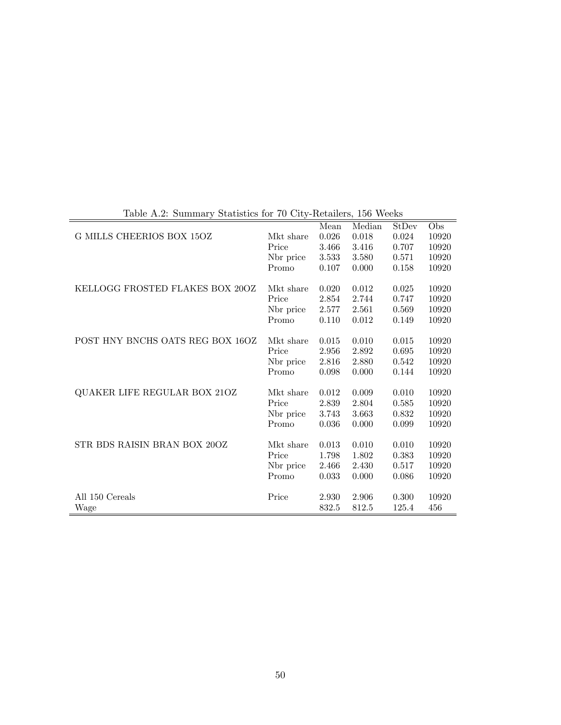|                                  |           | Mean  | Median | StDev | Obs   |
|----------------------------------|-----------|-------|--------|-------|-------|
| G MILLS CHEERIOS BOX 15OZ        | Mkt share | 0.026 | 0.018  | 0.024 | 10920 |
|                                  | Price     | 3.466 | 3.416  | 0.707 | 10920 |
|                                  | No price  | 3.533 | 3.580  | 0.571 | 10920 |
|                                  | Promo     | 0.107 | 0.000  | 0.158 | 10920 |
|                                  |           |       |        |       |       |
| KELLOGG FROSTED FLAKES BOX 20OZ  | Mkt share | 0.020 | 0.012  | 0.025 | 10920 |
|                                  | Price     | 2.854 | 2.744  | 0.747 | 10920 |
|                                  | Nbr price | 2.577 | 2.561  | 0.569 | 10920 |
|                                  | Promo     | 0.110 | 0.012  | 0.149 | 10920 |
|                                  |           |       |        |       |       |
| POST HNY BNCHS OATS REG BOX 16OZ | Mkt share | 0.015 | 0.010  | 0.015 | 10920 |
|                                  | Price     | 2.956 | 2.892  | 0.695 | 10920 |
|                                  | No price  | 2.816 | 2.880  | 0.542 | 10920 |
|                                  | Promo     | 0.098 | 0.000  | 0.144 | 10920 |
|                                  |           |       |        |       |       |
| QUAKER LIFE REGULAR BOX 21OZ     | Mkt share | 0.012 | 0.009  | 0.010 | 10920 |
|                                  | Price     | 2.839 | 2.804  | 0.585 | 10920 |
|                                  | Nbr price | 3.743 | 3.663  | 0.832 | 10920 |
|                                  | Promo     | 0.036 | 0.000  | 0.099 | 10920 |
|                                  |           |       |        |       |       |
| STR BDS RAISIN BRAN BOX 20OZ     | Mkt share | 0.013 | 0.010  | 0.010 | 10920 |
|                                  | Price     | 1.798 | 1.802  | 0.383 | 10920 |
|                                  | Nbr price | 2.466 | 2.430  | 0.517 | 10920 |
|                                  | Promo     | 0.033 | 0.000  | 0.086 | 10920 |
|                                  |           |       |        |       |       |
| All 150 Cereals                  | Price     | 2.930 | 2.906  | 0.300 | 10920 |
| Wage                             |           | 832.5 | 812.5  | 125.4 | 456   |
|                                  |           |       |        |       |       |

Table A.2: Summary Statistics for 70 City-Retailers, 156 Weeks

 $\overline{\phantom{0}}$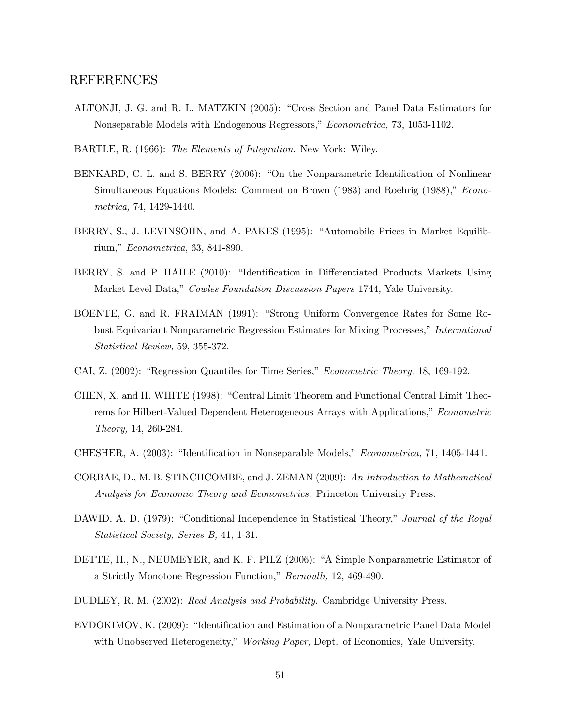## REFERENCES

- ALTONJI, J. G. and R. L. MATZKIN (2005): "Cross Section and Panel Data Estimators for Nonseparable Models with Endogenous Regressors," Econometrica, 73, 1053-1102.
- BARTLE, R. (1966): The Elements of Integration. New York: Wiley.
- BENKARD, C. L. and S. BERRY (2006): "On the Nonparametric Identification of Nonlinear Simultaneous Equations Models: Comment on Brown (1983) and Roehrig (1988)," Econometrica, 74, 1429-1440.
- BERRY, S., J. LEVINSOHN, and A. PAKES (1995): "Automobile Prices in Market Equilibrium,"  $Econometrica$ , 63, 841-890.
- BERRY, S. and P. HAILE (2010): "Identification in Differentiated Products Markets Using Market Level Data," Cowles Foundation Discussion Papers 1744, Yale University.
- BOENTE, G. and R. FRAIMAN (1991): "Strong Uniform Convergence Rates for Some Robust Equivariant Nonparametric Regression Estimates for Mixing Processes," International Statistical Review, 59, 355-372.
- CAI, Z.  $(2002)$ : "Regression Quantiles for Time Series," *Econometric Theory*, 18, 169-192.
- CHEN, X. and H. WHITE (1998): "Central Limit Theorem and Functional Central Limit Theorems for Hilbert-Valued Dependent Heterogeneous Arrays with Applications,<sup>n</sup> Econometric Theory, 14, 260-284.
- CHESHER, A. (2003): "Identification in Nonseparable Models," *Econometrica*, 71, 1405-1441.
- CORBAE, D., M. B. STINCHCOMBE, and J. ZEMAN (2009): An Introduction to Mathematical Analysis for Economic Theory and Econometrics. Princeton University Press.
- DAWID, A. D. (1979): "Conditional Independence in Statistical Theory," Journal of the Royal Statistical Society, Series B, 41, 1-31.
- DETTE, H., N., NEUMEYER, and K. F. PILZ (2006): "A Simple Nonparametric Estimator of a Strictly Monotone Regression Function," Bernoulli, 12, 469-490.
- DUDLEY, R. M. (2002): Real Analysis and Probability. Cambridge University Press.
- EVDOKIMOV, K. (2009): "Identification and Estimation of a Nonparametric Panel Data Model with Unobserved Heterogeneity," Working Paper, Dept. of Economics, Yale University.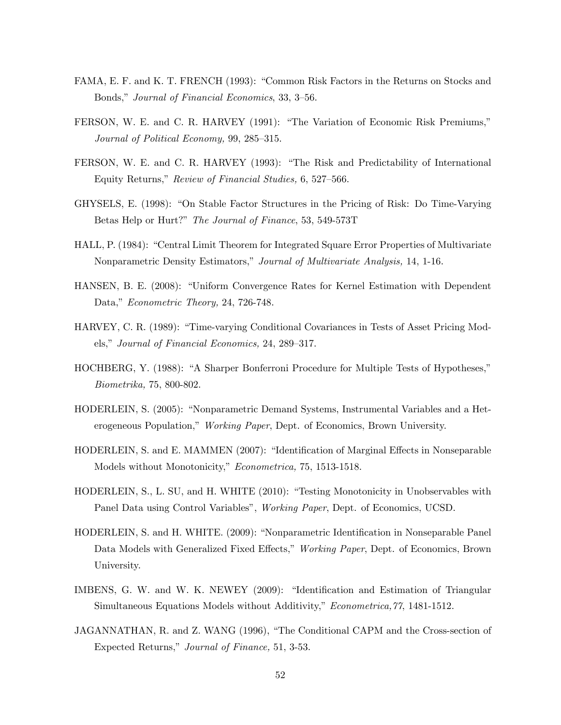- FAMA, E. F. and K. T. FRENCH (1993): "Common Risk Factors in the Returns on Stocks and Bonds," Journal of Financial Economics, 33, 3–56.
- FERSON, W. E. and C. R. HARVEY (1991): "The Variation of Economic Risk Premiums," Journal of Political Economy, 99, 285–315.
- FERSON, W. E. and C. R. HARVEY (1993): "The Risk and Predictability of International Equity Returns," Review of Financial Studies, 6, 527–566.
- GHYSELS, E. (1998): "On Stable Factor Structures in the Pricing of Risk: Do Time-Varying Betas Help or Hurt?" The Journal of Finance, 53, 549-573T
- HALL, P. (1984): "Central Limit Theorem for Integrated Square Error Properties of Multivariate Nonparametric Density Estimators," Journal of Multivariate Analysis, 14, 1-16.
- HANSEN, B. E. (2008): "Uniform Convergence Rates for Kernel Estimation with Dependent Data," Econometric Theory, 24, 726-748.
- HARVEY, C. R. (1989): "Time-varying Conditional Covariances in Tests of Asset Pricing Models," Journal of Financial Economics, 24, 289–317.
- HOCHBERG, Y. (1988): "A Sharper Bonferroni Procedure for Multiple Tests of Hypotheses," Biometrika, 75, 800-802.
- HODERLEIN, S. (2005): "Nonparametric Demand Systems, Instrumental Variables and a Heterogeneous Population," Working Paper, Dept. of Economics, Brown University.
- HODERLEIN, S. and E. MAMMEN (2007): "Identification of Marginal Effects in Nonseparable Models without Monotonicity," Econometrica, 75, 1513-1518.
- HODERLEIN, S., L. SU, and H. WHITE (2010): "Testing Monotonicity in Unobservables with Panel Data using Control Variables", Working Paper, Dept. of Economics, UCSD.
- HODERLEIN, S. and H. WHITE. (2009): "Nonparametric Identification in Nonseparable Panel Data Models with Generalized Fixed Effects," Working Paper, Dept. of Economics, Brown University.
- IMBENS, G. W. and W. K. NEWEY (2009): "Identification and Estimation of Triangular Simultaneous Equations Models without Additivity," *Econometrica*, 77, 1481-1512.
- JAGANNATHAN, R. and Z. WANG (1996), "The Conditional CAPM and the Cross-section of Expected Returns," Journal of Finance, 51, 3-53.